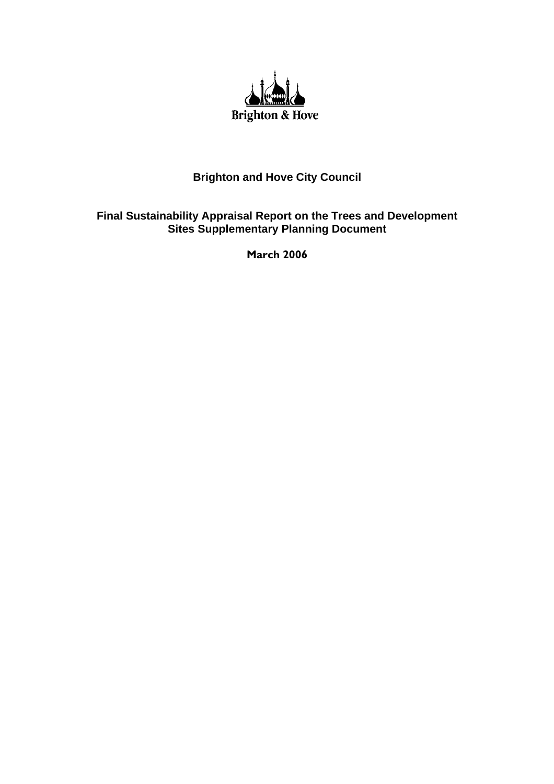

## **Brighton and Hove City Council**

## **Final Sustainability Appraisal Report on the Trees and Development Sites Supplementary Planning Document**

**March 2006**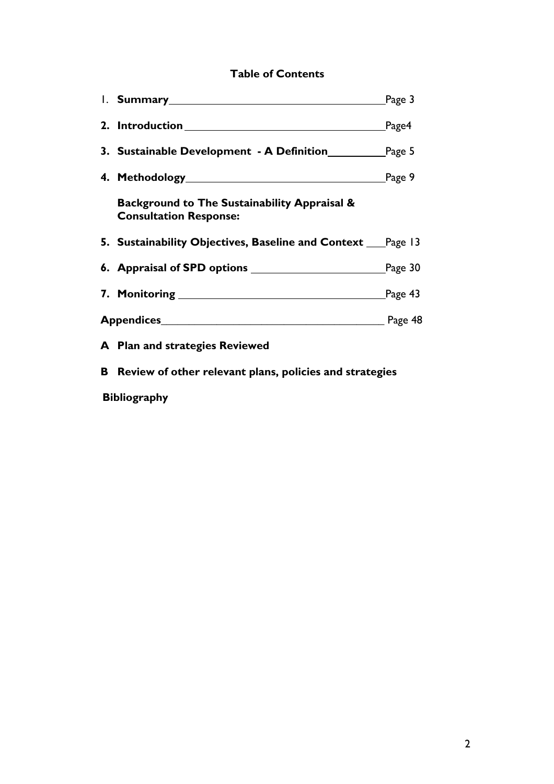# **Table of Contents**

|                                                                               | Page 3          |
|-------------------------------------------------------------------------------|-----------------|
|                                                                               | $\lbrack$ Page4 |
| <b>3. Sustainable Development - A Definition Fage 5</b>                       |                 |
| <b>4. Methodology</b> Page 9                                                  |                 |
| Background to The Sustainability Appraisal &<br><b>Consultation Response:</b> |                 |
| 5. Sustainability Objectives, Baseline and Context ____Page 13                |                 |
| <b>6. Appraisal of SPD options</b> Page 30                                    |                 |
|                                                                               |                 |
|                                                                               |                 |
| A Plan and strategies Reviewed                                                |                 |
| <b>B</b> Review of other relevant plans, policies and strategies              |                 |

 **Bibliography**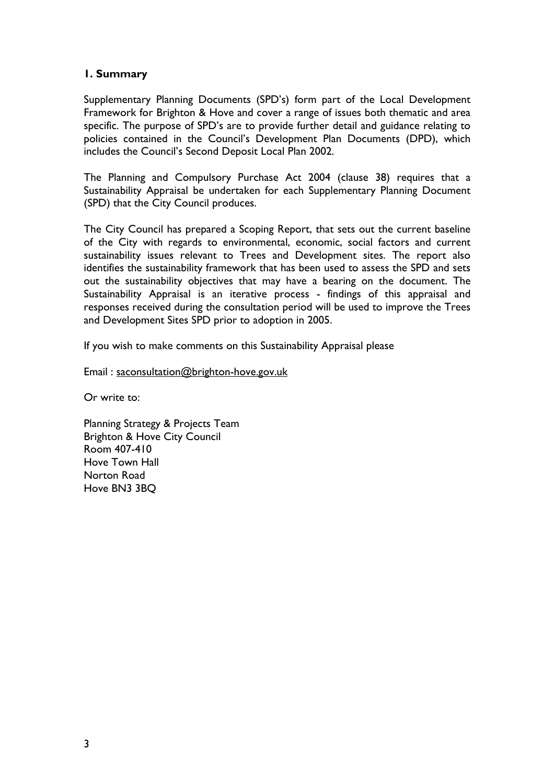## **1. Summary**

Supplementary Planning Documents (SPD's) form part of the Local Development Framework for Brighton & Hove and cover a range of issues both thematic and area specific. The purpose of SPD's are to provide further detail and guidance relating to policies contained in the Council's Development Plan Documents (DPD), which includes the Council's Second Deposit Local Plan 2002.

The Planning and Compulsory Purchase Act 2004 (clause 38) requires that a Sustainability Appraisal be undertaken for each Supplementary Planning Document (SPD) that the City Council produces.

The City Council has prepared a Scoping Report, that sets out the current baseline of the City with regards to environmental, economic, social factors and current sustainability issues relevant to Trees and Development sites. The report also identifies the sustainability framework that has been used to assess the SPD and sets out the sustainability objectives that may have a bearing on the document. The Sustainability Appraisal is an iterative process - findings of this appraisal and responses received during the consultation period will be used to improve the Trees and Development Sites SPD prior to adoption in 2005.

If you wish to make comments on this Sustainability Appraisal please

Email : saconsultation@brighton-hove.gov.uk

Or write to:

Planning Strategy & Projects Team Brighton & Hove City Council Room 407-410 Hove Town Hall Norton Road Hove BN3 3BQ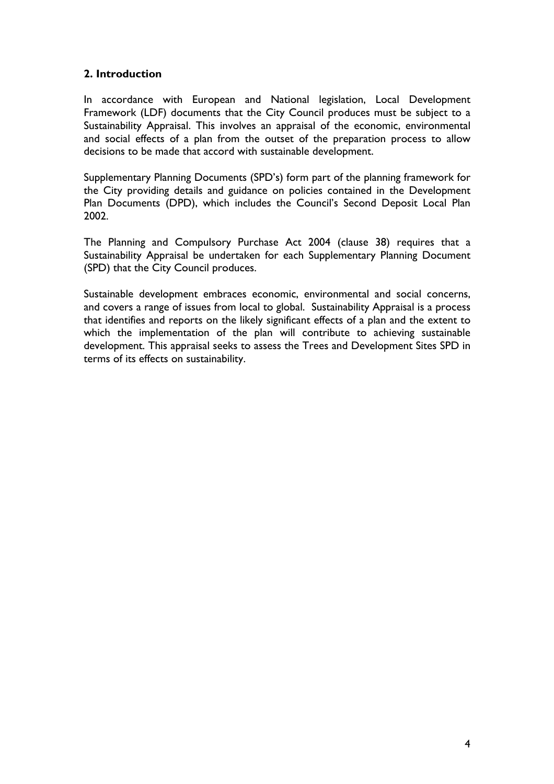## **2. Introduction**

In accordance with European and National legislation, Local Development Framework (LDF) documents that the City Council produces must be subject to a Sustainability Appraisal. This involves an appraisal of the economic, environmental and social effects of a plan from the outset of the preparation process to allow decisions to be made that accord with sustainable development.

Supplementary Planning Documents (SPD's) form part of the planning framework for the City providing details and guidance on policies contained in the Development Plan Documents (DPD), which includes the Council's Second Deposit Local Plan 2002.

The Planning and Compulsory Purchase Act 2004 (clause 38) requires that a Sustainability Appraisal be undertaken for each Supplementary Planning Document (SPD) that the City Council produces.

Sustainable development embraces economic, environmental and social concerns, and covers a range of issues from local to global. Sustainability Appraisal is a process that identifies and reports on the likely significant effects of a plan and the extent to which the implementation of the plan will contribute to achieving sustainable development. This appraisal seeks to assess the Trees and Development Sites SPD in terms of its effects on sustainability.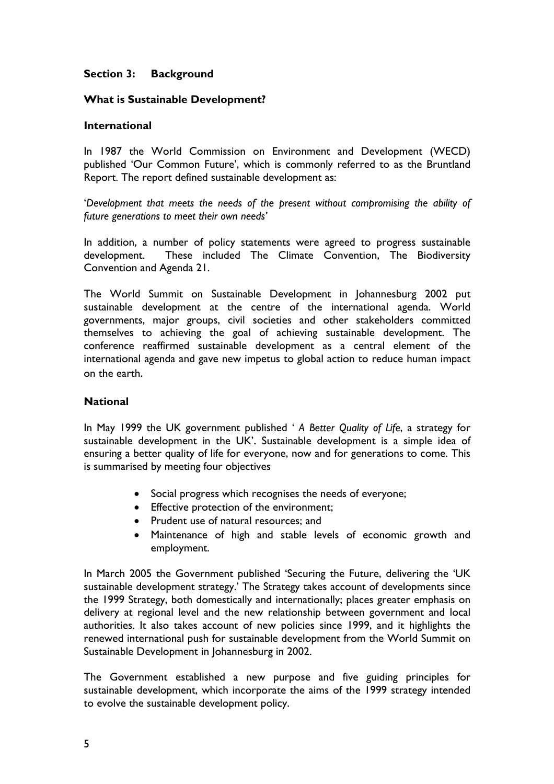## **Section 3: Background**

#### **What is Sustainable Development?**

#### **International**

In 1987 the World Commission on Environment and Development (WECD) published 'Our Common Future', which is commonly referred to as the Bruntland Report. The report defined sustainable development as:

'*Development that meets the needs of the present without compromising the ability of future generations to meet their own needs'*

In addition, a number of policy statements were agreed to progress sustainable development. These included The Climate Convention, The Biodiversity Convention and Agenda 21.

The World Summit on Sustainable Development in Johannesburg 2002 put sustainable development at the centre of the international agenda. World governments, major groups, civil societies and other stakeholders committed themselves to achieving the goal of achieving sustainable development. The conference reaffirmed sustainable development as a central element of the international agenda and gave new impetus to global action to reduce human impact on the earth.

#### **National**

In May 1999 the UK government published ' *A Better Quality of Life*, a strategy for sustainable development in the UK'. Sustainable development is a simple idea of ensuring a better quality of life for everyone, now and for generations to come. This is summarised by meeting four objectives

- Social progress which recognises the needs of everyone;
- Effective protection of the environment;
- Prudent use of natural resources; and
- Maintenance of high and stable levels of economic growth and employment.

In March 2005 the Government published 'Securing the Future, delivering the 'UK sustainable development strategy.' The Strategy takes account of developments since the 1999 Strategy, both domestically and internationally; places greater emphasis on delivery at regional level and the new relationship between government and local authorities. It also takes account of new policies since 1999, and it highlights the renewed international push for sustainable development from the World Summit on Sustainable Development in Johannesburg in 2002.

The Government established a new purpose and five guiding principles for sustainable development, which incorporate the aims of the 1999 strategy intended to evolve the sustainable development policy.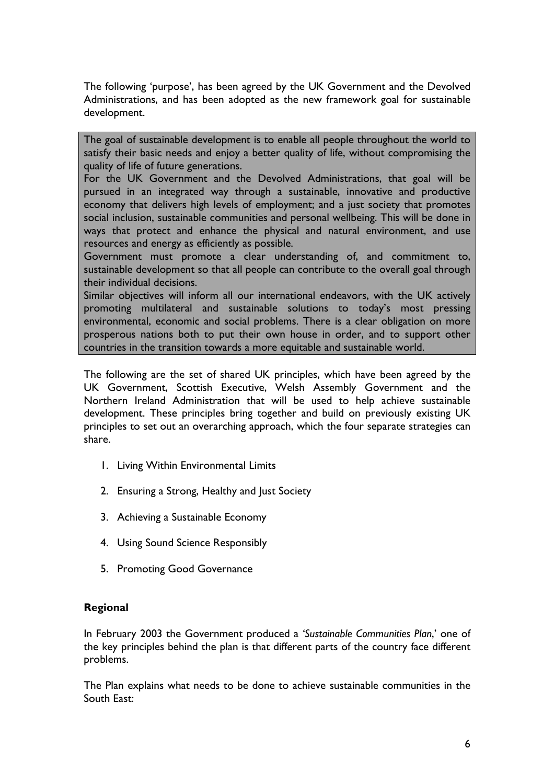The following 'purpose', has been agreed by the UK Government and the Devolved Administrations, and has been adopted as the new framework goal for sustainable development.

The goal of sustainable development is to enable all people throughout the world to satisfy their basic needs and enjoy a better quality of life, without compromising the quality of life of future generations.

For the UK Government and the Devolved Administrations, that goal will be pursued in an integrated way through a sustainable, innovative and productive economy that delivers high levels of employment; and a just society that promotes social inclusion, sustainable communities and personal wellbeing. This will be done in ways that protect and enhance the physical and natural environment, and use resources and energy as efficiently as possible.

Government must promote a clear understanding of, and commitment to, sustainable development so that all people can contribute to the overall goal through their individual decisions.

Similar objectives will inform all our international endeavors, with the UK actively promoting multilateral and sustainable solutions to today's most pressing environmental, economic and social problems. There is a clear obligation on more prosperous nations both to put their own house in order, and to support other countries in the transition towards a more equitable and sustainable world.

The following are the set of shared UK principles, which have been agreed by the UK Government, Scottish Executive, Welsh Assembly Government and the Northern Ireland Administration that will be used to help achieve sustainable development. These principles bring together and build on previously existing UK principles to set out an overarching approach, which the four separate strategies can share.

- 1. Living Within Environmental Limits
- 2. Ensuring a Strong, Healthy and Just Society
- 3. Achieving a Sustainable Economy
- 4. Using Sound Science Responsibly
- 5. Promoting Good Governance

#### **Regional**

In February 2003 the Government produced a *'Sustainable Communities Plan*,' one of the key principles behind the plan is that different parts of the country face different problems.

The Plan explains what needs to be done to achieve sustainable communities in the South East: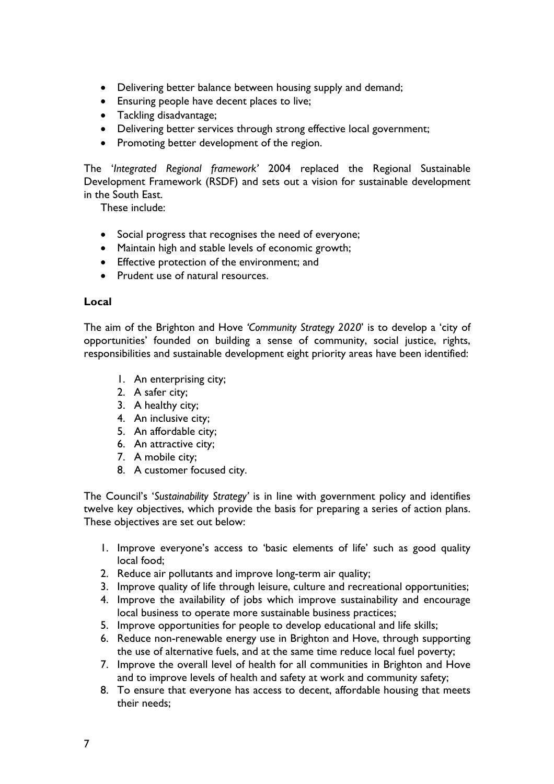- Delivering better balance between housing supply and demand;
- Ensuring people have decent places to live;
- Tackling disadvantage;
- Delivering better services through strong effective local government;
- Promoting better development of the region.

The '*Integrated Regional framework'* 2004 replaced the Regional Sustainable Development Framework (RSDF) and sets out a vision for sustainable development in the South East.

These include:

- Social progress that recognises the need of everyone;
- Maintain high and stable levels of economic growth;
- Effective protection of the environment; and
- Prudent use of natural resources

#### **Local**

The aim of the Brighton and Hove *'Community Strategy 2020*' is to develop a 'city of opportunities' founded on building a sense of community, social justice, rights, responsibilities and sustainable development eight priority areas have been identified:

- 1. An enterprising city;
- 2. A safer city;
- 3. A healthy city;
- 4. An inclusive city;
- 5. An affordable city;
- 6. An attractive city;
- 7. A mobile city;
- 8. A customer focused city.

The Council's '*Sustainability Strategy'* is in line with government policy and identifies twelve key objectives, which provide the basis for preparing a series of action plans. These objectives are set out below:

- 1. Improve everyone's access to 'basic elements of life' such as good quality local food;
- 2. Reduce air pollutants and improve long-term air quality;
- 3. Improve quality of life through leisure, culture and recreational opportunities;
- 4. Improve the availability of jobs which improve sustainability and encourage local business to operate more sustainable business practices;
- 5. Improve opportunities for people to develop educational and life skills;
- 6. Reduce non-renewable energy use in Brighton and Hove, through supporting the use of alternative fuels, and at the same time reduce local fuel poverty;
- 7. Improve the overall level of health for all communities in Brighton and Hove and to improve levels of health and safety at work and community safety;
- 8. To ensure that everyone has access to decent, affordable housing that meets their needs;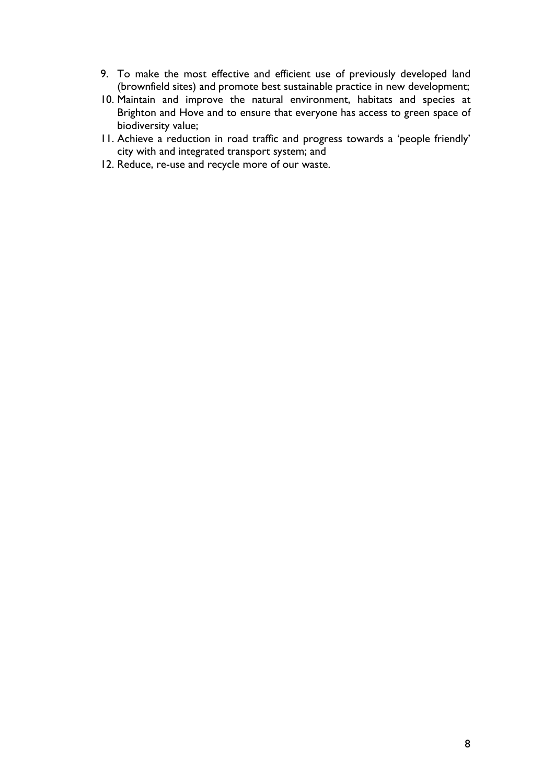- 9. To make the most effective and efficient use of previously developed land (brownfield sites) and promote best sustainable practice in new development;
- 10. Maintain and improve the natural environment, habitats and species at Brighton and Hove and to ensure that everyone has access to green space of biodiversity value;
- 11. Achieve a reduction in road traffic and progress towards a 'people friendly' city with and integrated transport system; and
- 12. Reduce, re-use and recycle more of our waste.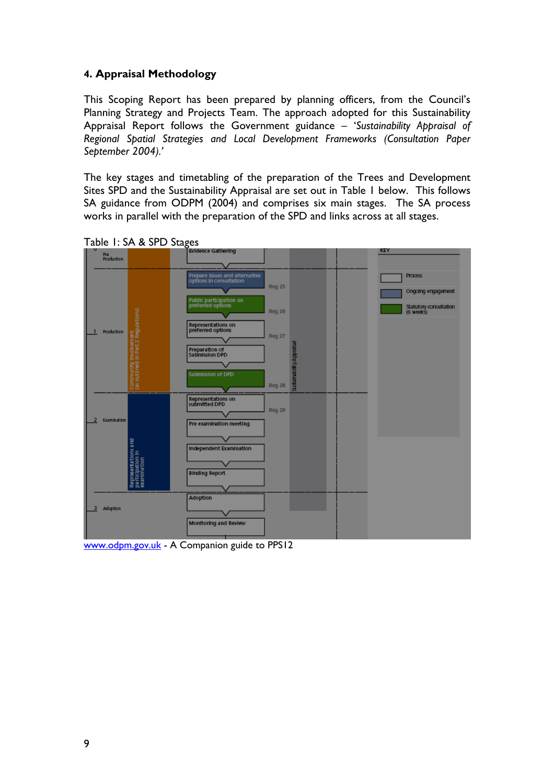## **4. Appraisal Methodology**

This Scoping Report has been prepared by planning officers, from the Council's Planning Strategy and Projects Team. The approach adopted for this Sustainability Appraisal Report follows the Government guidance – '*Sustainability Appraisal of Regional Spatial Strategies and Local Development Frameworks (Consultation Paper September 2004).'*

The key stages and timetabling of the preparation of the Trees and Development Sites SPD and the Sustainability Appraisal are set out in Table 1 below. This follows SA guidance from ODPM (2004) and comprises six main stages. The SA process works in parallel with the preparation of the SPD and links across at all stages.



Table 1: SA & SPD Stages

www.odpm.gov.uk - A Companion guide to PPS12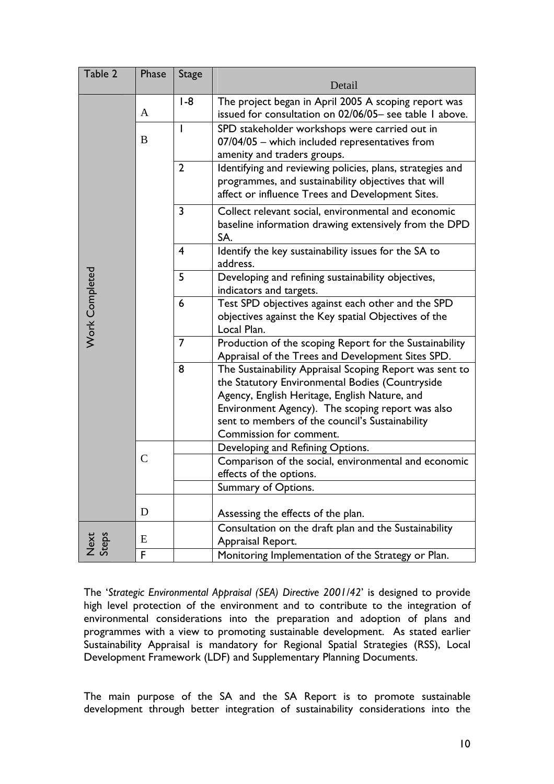| Table 2        | Phase         | <b>Stage</b>   |                                                                                                                                                                                                                                                                                               |
|----------------|---------------|----------------|-----------------------------------------------------------------------------------------------------------------------------------------------------------------------------------------------------------------------------------------------------------------------------------------------|
|                |               |                | Detail                                                                                                                                                                                                                                                                                        |
|                | A             | $1-8$          | The project began in April 2005 A scoping report was<br>issued for consultation on 02/06/05- see table I above.                                                                                                                                                                               |
|                | B             |                | SPD stakeholder workshops were carried out in<br>07/04/05 - which included representatives from<br>amenity and traders groups.                                                                                                                                                                |
|                |               | $\overline{2}$ | Identifying and reviewing policies, plans, strategies and<br>programmes, and sustainability objectives that will<br>affect or influence Trees and Development Sites.                                                                                                                          |
|                |               | 3              | Collect relevant social, environmental and economic<br>baseline information drawing extensively from the DPD<br>SA.                                                                                                                                                                           |
|                |               | 4              | Identify the key sustainability issues for the SA to<br>address.                                                                                                                                                                                                                              |
|                |               | 5              | Developing and refining sustainability objectives,<br>indicators and targets.                                                                                                                                                                                                                 |
| Work Completed |               | 6              | Test SPD objectives against each other and the SPD<br>objectives against the Key spatial Objectives of the<br>Local Plan.                                                                                                                                                                     |
|                |               | 7              | Production of the scoping Report for the Sustainability<br>Appraisal of the Trees and Development Sites SPD.                                                                                                                                                                                  |
|                |               | 8              | The Sustainability Appraisal Scoping Report was sent to<br>the Statutory Environmental Bodies (Countryside<br>Agency, English Heritage, English Nature, and<br>Environment Agency). The scoping report was also<br>sent to members of the council's Sustainability<br>Commission for comment. |
|                |               |                | Developing and Refining Options.                                                                                                                                                                                                                                                              |
|                | $\mathcal{C}$ |                | Comparison of the social, environmental and economic<br>effects of the options.                                                                                                                                                                                                               |
|                |               |                | Summary of Options.                                                                                                                                                                                                                                                                           |
|                | D             |                | Assessing the effects of the plan.                                                                                                                                                                                                                                                            |
|                | E             |                | Consultation on the draft plan and the Sustainability<br>Appraisal Report.                                                                                                                                                                                                                    |
| Next<br>Steps  | F             |                | Monitoring Implementation of the Strategy or Plan.                                                                                                                                                                                                                                            |

The '*Strategic Environmental Appraisal (SEA) Directive 2001/42*' is designed to provide high level protection of the environment and to contribute to the integration of environmental considerations into the preparation and adoption of plans and programmes with a view to promoting sustainable development. As stated earlier Sustainability Appraisal is mandatory for Regional Spatial Strategies (RSS), Local Development Framework (LDF) and Supplementary Planning Documents.

The main purpose of the SA and the SA Report is to promote sustainable development through better integration of sustainability considerations into the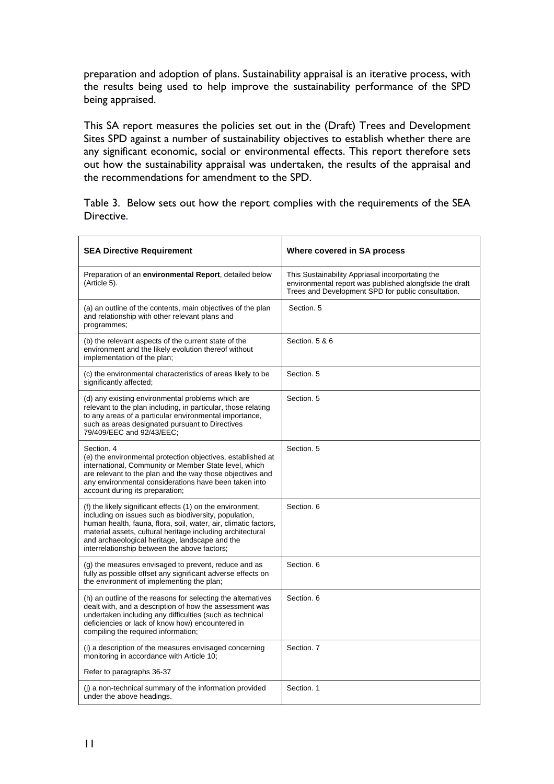preparation and adoption of plans. Sustainability appraisal is an iterative process, with the results being used to help improve the sustainability performance of the SPD being appraised.

This SA report measures the policies set out in the (Draft) Trees and Development Sites SPD against a number of sustainability objectives to establish whether there are any significant economic, social or environmental effects. This report therefore sets out how the sustainability appraisal was undertaken, the results of the appraisal and the recommendations for amendment to the SPD.

Table 3. Below sets out how the report complies with the requirements of the SEA Directive.

| <b>SEA Directive Requirement</b>                                                                                                                                                                                                                                                                                                                       | Where covered in SA process                                                                                                                                       |
|--------------------------------------------------------------------------------------------------------------------------------------------------------------------------------------------------------------------------------------------------------------------------------------------------------------------------------------------------------|-------------------------------------------------------------------------------------------------------------------------------------------------------------------|
| Preparation of an environmental Report, detailed below<br>(Article 5).                                                                                                                                                                                                                                                                                 | This Sustainability Appriasal incorportating the<br>environmental report was published alongfside the draft<br>Trees and Development SPD for public consultation. |
| (a) an outline of the contents, main objectives of the plan<br>and relationship with other relevant plans and<br>programmes;                                                                                                                                                                                                                           | Section, 5                                                                                                                                                        |
| (b) the relevant aspects of the current state of the<br>environment and the likely evolution thereof without<br>implementation of the plan;                                                                                                                                                                                                            | Section, 5 & 6                                                                                                                                                    |
| (c) the environmental characteristics of areas likely to be<br>significantly affected;                                                                                                                                                                                                                                                                 | Section, 5                                                                                                                                                        |
| (d) any existing environmental problems which are<br>relevant to the plan including, in particular, those relating<br>to any areas of a particular environmental importance,<br>such as areas designated pursuant to Directives<br>79/409/EEC and 92/43/EEC:                                                                                           | Section, 5                                                                                                                                                        |
| Section, 4<br>(e) the environmental protection objectives, established at<br>international, Community or Member State level, which<br>are relevant to the plan and the way those objectives and<br>any environmental considerations have been taken into<br>account during its preparation;                                                            | Section, 5                                                                                                                                                        |
| (f) the likely significant effects (1) on the environment,<br>including on issues such as biodiversity, population,<br>human health, fauna, flora, soil, water, air, climatic factors,<br>material assets, cultural heritage including architectural<br>and archaeological heritage, landscape and the<br>interrelationship between the above factors; | Section, 6                                                                                                                                                        |
| (g) the measures envisaged to prevent, reduce and as<br>fully as possible offset any significant adverse effects on<br>the environment of implementing the plan;                                                                                                                                                                                       | Section, 6                                                                                                                                                        |
| (h) an outline of the reasons for selecting the alternatives<br>dealt with, and a description of how the assessment was<br>undertaken including any difficulties (such as technical<br>deficiencies or lack of know how) encountered in<br>compiling the required information;                                                                         | Section, 6                                                                                                                                                        |
| (i) a description of the measures envisaged concerning<br>monitoring in accordance with Article 10;                                                                                                                                                                                                                                                    | Section, 7                                                                                                                                                        |
| Refer to paragraphs 36-37                                                                                                                                                                                                                                                                                                                              |                                                                                                                                                                   |
| (i) a non-technical summary of the information provided<br>under the above headings.                                                                                                                                                                                                                                                                   | Section. 1                                                                                                                                                        |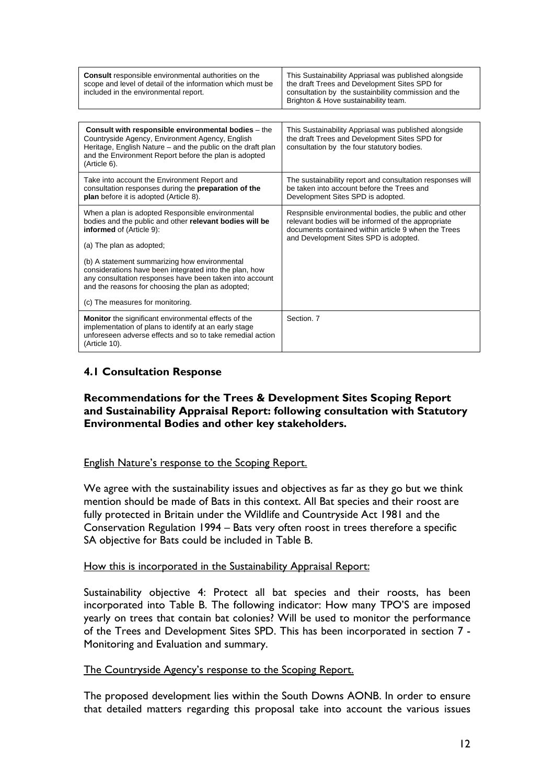| <b>Consult</b> responsible environmental authorities on the<br>scope and level of detail of the information which must be<br>included in the environmental report.                                                                             | This Sustainability Appriasal was published alongside<br>the draft Trees and Development Sites SPD for<br>consultation by the sustainbility commission and the<br>Brighton & Hove sustainability team.       |
|------------------------------------------------------------------------------------------------------------------------------------------------------------------------------------------------------------------------------------------------|--------------------------------------------------------------------------------------------------------------------------------------------------------------------------------------------------------------|
|                                                                                                                                                                                                                                                |                                                                                                                                                                                                              |
| Consult with responsible environmental bodies - the<br>Countryside Agency, Environment Agency, English<br>Heritage, English Nature - and the public on the draft plan<br>and the Environment Report before the plan is adopted<br>(Article 6). | This Sustainability Appriasal was published alongside<br>the draft Trees and Development Sites SPD for<br>consultation by the four statutory bodies.                                                         |
| Take into account the Environment Report and<br>consultation responses during the preparation of the<br>plan before it is adopted (Article 8).                                                                                                 | The sustainability report and consultation responses will<br>be taken into account before the Trees and<br>Development Sites SPD is adopted.                                                                 |
| When a plan is adopted Responsible environmental<br>bodies and the public and other relevant bodies will be<br>informed of (Article 9):<br>(a) The plan as adopted;                                                                            | Respnsible environmental bodies, the public and other<br>relevant bodies will be informed of the appropriate<br>documents contained within article 9 when the Trees<br>and Development Sites SPD is adopted. |
| (b) A statement summarizing how environmental<br>considerations have been integrated into the plan, how<br>any consultation responses have been taken into account<br>and the reasons for choosing the plan as adopted;                        |                                                                                                                                                                                                              |
| (c) The measures for monitoring.                                                                                                                                                                                                               |                                                                                                                                                                                                              |
| <b>Monitor</b> the significant environmental effects of the<br>implementation of plans to identify at an early stage<br>unforeseen adverse effects and so to take remedial action<br>(Article 10).                                             | Section, 7                                                                                                                                                                                                   |

## **4.1 Consultation Response**

#### **Recommendations for the Trees & Development Sites Scoping Report and Sustainability Appraisal Report: following consultation with Statutory Environmental Bodies and other key stakeholders.**

## English Nature's response to the Scoping Report.

We agree with the sustainability issues and objectives as far as they go but we think mention should be made of Bats in this context. All Bat species and their roost are fully protected in Britain under the Wildlife and Countryside Act 1981 and the Conservation Regulation 1994 – Bats very often roost in trees therefore a specific SA objective for Bats could be included in Table B.

#### How this is incorporated in the Sustainability Appraisal Report:

Sustainability objective 4: Protect all bat species and their roosts, has been incorporated into Table B. The following indicator: How many TPO'S are imposed yearly on trees that contain bat colonies? Will be used to monitor the performance of the Trees and Development Sites SPD. This has been incorporated in section 7 - Monitoring and Evaluation and summary.

#### The Countryside Agency's response to the Scoping Report.

The proposed development lies within the South Downs AONB. In order to ensure that detailed matters regarding this proposal take into account the various issues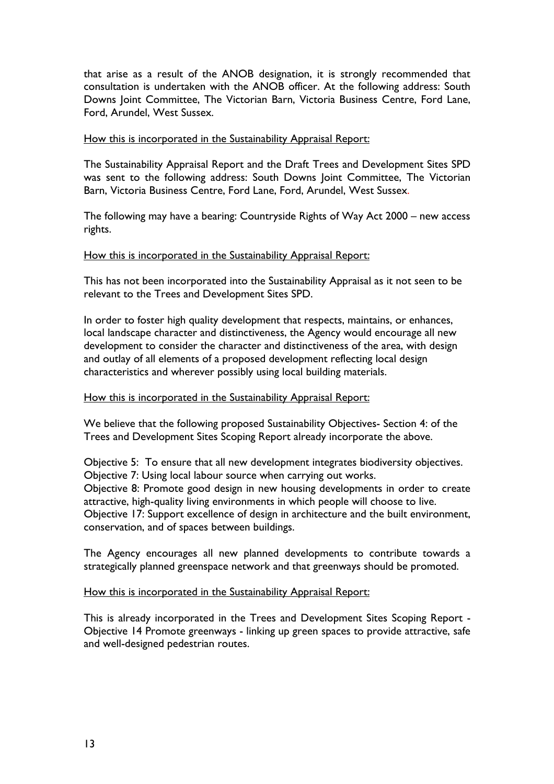that arise as a result of the ANOB designation, it is strongly recommended that consultation is undertaken with the ANOB officer. At the following address: South Downs Joint Committee, The Victorian Barn, Victoria Business Centre, Ford Lane, Ford, Arundel, West Sussex.

#### How this is incorporated in the Sustainability Appraisal Report:

The Sustainability Appraisal Report and the Draft Trees and Development Sites SPD was sent to the following address: South Downs Joint Committee, The Victorian Barn, Victoria Business Centre, Ford Lane, Ford, Arundel, West Sussex.

The following may have a bearing: Countryside Rights of Way Act 2000 – new access rights.

#### How this is incorporated in the Sustainability Appraisal Report:

This has not been incorporated into the Sustainability Appraisal as it not seen to be relevant to the Trees and Development Sites SPD.

In order to foster high quality development that respects, maintains, or enhances, local landscape character and distinctiveness, the Agency would encourage all new development to consider the character and distinctiveness of the area, with design and outlay of all elements of a proposed development reflecting local design characteristics and wherever possibly using local building materials.

#### How this is incorporated in the Sustainability Appraisal Report:

We believe that the following proposed Sustainability Objectives- Section 4: of the Trees and Development Sites Scoping Report already incorporate the above.

Objective 5: To ensure that all new development integrates biodiversity objectives. Objective 7: Using local labour source when carrying out works.

Objective 8: Promote good design in new housing developments in order to create attractive, high-quality living environments in which people will choose to live.

Objective 17: Support excellence of design in architecture and the built environment, conservation, and of spaces between buildings.

The Agency encourages all new planned developments to contribute towards a strategically planned greenspace network and that greenways should be promoted.

#### How this is incorporated in the Sustainability Appraisal Report:

This is already incorporated in the Trees and Development Sites Scoping Report - Objective 14 Promote greenways - linking up green spaces to provide attractive, safe and well-designed pedestrian routes.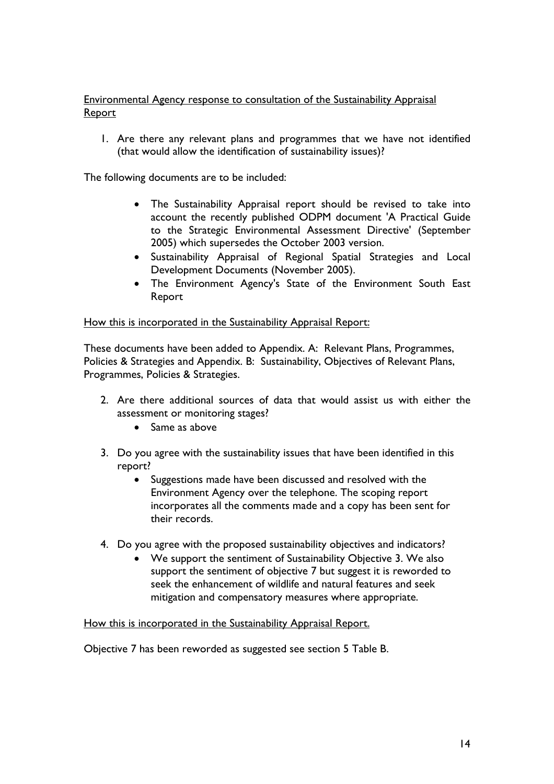## Environmental Agency response to consultation of the Sustainability Appraisal **Report**

1. Are there any relevant plans and programmes that we have not identified (that would allow the identification of sustainability issues)?

The following documents are to be included:

- The Sustainability Appraisal report should be revised to take into account the recently published ODPM document 'A Practical Guide to the Strategic Environmental Assessment Directive' (September 2005) which supersedes the October 2003 version.
- Sustainability Appraisal of Regional Spatial Strategies and Local Development Documents (November 2005).
- The Environment Agency's State of the Environment South East Report

#### How this is incorporated in the Sustainability Appraisal Report:

These documents have been added to Appendix. A: Relevant Plans, Programmes, Policies & Strategies and Appendix. B: Sustainability, Objectives of Relevant Plans, Programmes, Policies & Strategies.

- 2. Are there additional sources of data that would assist us with either the assessment or monitoring stages?
	- Same as above
- 3. Do you agree with the sustainability issues that have been identified in this report?
	- Suggestions made have been discussed and resolved with the Environment Agency over the telephone. The scoping report incorporates all the comments made and a copy has been sent for their records.
- 4. Do you agree with the proposed sustainability objectives and indicators?
	- We support the sentiment of Sustainability Objective 3. We also support the sentiment of objective 7 but suggest it is reworded to seek the enhancement of wildlife and natural features and seek mitigation and compensatory measures where appropriate.

How this is incorporated in the Sustainability Appraisal Report.

Objective 7 has been reworded as suggested see section 5 Table B.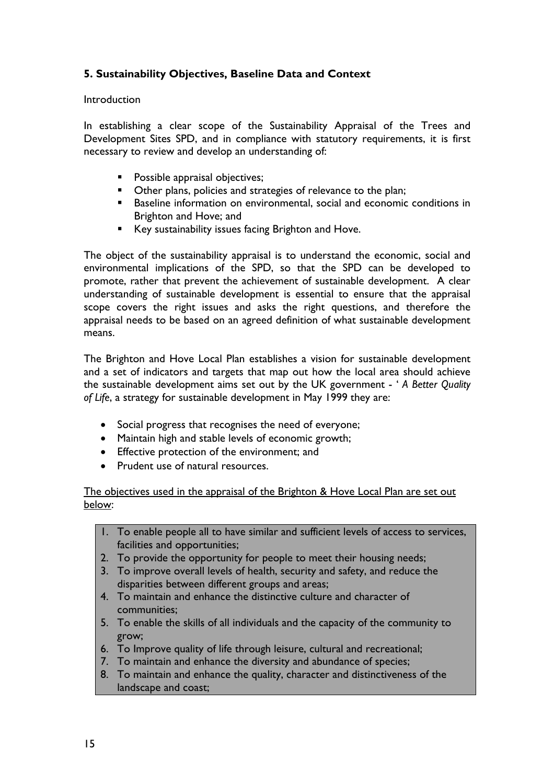## **5. Sustainability Objectives, Baseline Data and Context**

#### **Introduction**

In establishing a clear scope of the Sustainability Appraisal of the Trees and Development Sites SPD, and in compliance with statutory requirements, it is first necessary to review and develop an understanding of:

- **Possible appraisal objectives;**
- Other plans, policies and strategies of relevance to the plan;
- **Baseline information on environmental, social and economic conditions in** Brighton and Hove; and
- Key sustainability issues facing Brighton and Hove.

The object of the sustainability appraisal is to understand the economic, social and environmental implications of the SPD, so that the SPD can be developed to promote, rather that prevent the achievement of sustainable development. A clear understanding of sustainable development is essential to ensure that the appraisal scope covers the right issues and asks the right questions, and therefore the appraisal needs to be based on an agreed definition of what sustainable development means.

The Brighton and Hove Local Plan establishes a vision for sustainable development and a set of indicators and targets that map out how the local area should achieve the sustainable development aims set out by the UK government - ' *A Better Quality of Life*, a strategy for sustainable development in May 1999 they are:

- Social progress that recognises the need of everyone;
- Maintain high and stable levels of economic growth;
- Effective protection of the environment; and
- Prudent use of natural resources.

The objectives used in the appraisal of the Brighton & Hove Local Plan are set out below:

- 1. To enable people all to have similar and sufficient levels of access to services, facilities and opportunities;
- 2. To provide the opportunity for people to meet their housing needs;
- 3. To improve overall levels of health, security and safety, and reduce the disparities between different groups and areas;
- 4. To maintain and enhance the distinctive culture and character of communities;
- 5. To enable the skills of all individuals and the capacity of the community to grow;
- 6. To Improve quality of life through leisure, cultural and recreational;
- 7. To maintain and enhance the diversity and abundance of species;
- 8. To maintain and enhance the quality, character and distinctiveness of the landscape and coast;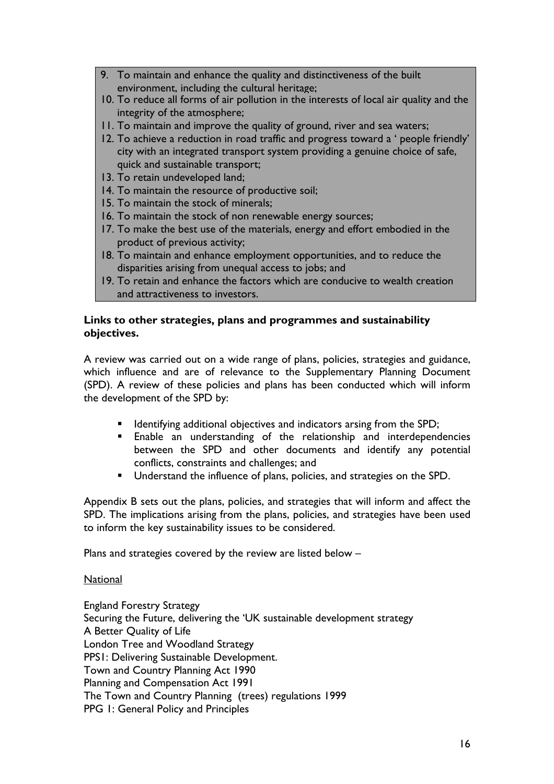- 9. To maintain and enhance the quality and distinctiveness of the built environment, including the cultural heritage;
- 10. To reduce all forms of air pollution in the interests of local air quality and the integrity of the atmosphere;
- 11. To maintain and improve the quality of ground, river and sea waters;
- 12. To achieve a reduction in road traffic and progress toward a ' people friendly' city with an integrated transport system providing a genuine choice of safe, quick and sustainable transport;
- 13. To retain undeveloped land;
- 14. To maintain the resource of productive soil;
- 15. To maintain the stock of minerals;
- 16. To maintain the stock of non renewable energy sources;
- 17. To make the best use of the materials, energy and effort embodied in the product of previous activity;
- 18. To maintain and enhance employment opportunities, and to reduce the disparities arising from unequal access to jobs; and
- 19. To retain and enhance the factors which are conducive to wealth creation and attractiveness to investors.

#### **Links to other strategies, plans and programmes and sustainability objectives.**

A review was carried out on a wide range of plans, policies, strategies and guidance, which influence and are of relevance to the Supplementary Planning Document (SPD). A review of these policies and plans has been conducted which will inform the development of the SPD by:

- **If Identifying additional objectives and indicators arsing from the SPD;**
- **Enable an understanding of the relationship and interdependencies** between the SPD and other documents and identify any potential conflicts, constraints and challenges; and
- **Understand the influence of plans, policies, and strategies on the SPD.**

Appendix B sets out the plans, policies, and strategies that will inform and affect the SPD. The implications arising from the plans, policies, and strategies have been used to inform the key sustainability issues to be considered.

Plans and strategies covered by the review are listed below –

#### **National**

England Forestry Strategy Securing the Future, delivering the 'UK sustainable development strategy A Better Quality of Life London Tree and Woodland Strategy PPS1: Delivering Sustainable Development. Town and Country Planning Act 1990 Planning and Compensation Act 1991 The Town and Country Planning (trees) regulations 1999 PPG 1: General Policy and Principles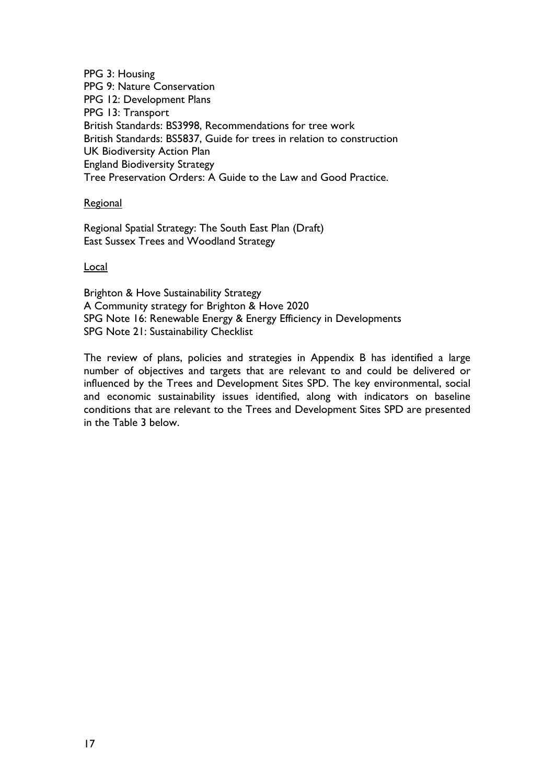PPG 3: Housing PPG 9: Nature Conservation PPG 12: Development Plans PPG 13: Transport British Standards: BS3998, Recommendations for tree work British Standards: BS5837, Guide for trees in relation to construction UK Biodiversity Action Plan England Biodiversity Strategy Tree Preservation Orders: A Guide to the Law and Good Practice.

Regional

Regional Spatial Strategy: The South East Plan (Draft) East Sussex Trees and Woodland Strategy

Local

Brighton & Hove Sustainability Strategy A Community strategy for Brighton & Hove 2020 SPG Note 16: Renewable Energy & Energy Efficiency in Developments SPG Note 21: Sustainability Checklist

The review of plans, policies and strategies in Appendix B has identified a large number of objectives and targets that are relevant to and could be delivered or influenced by the Trees and Development Sites SPD. The key environmental, social and economic sustainability issues identified, along with indicators on baseline conditions that are relevant to the Trees and Development Sites SPD are presented in the Table 3 below.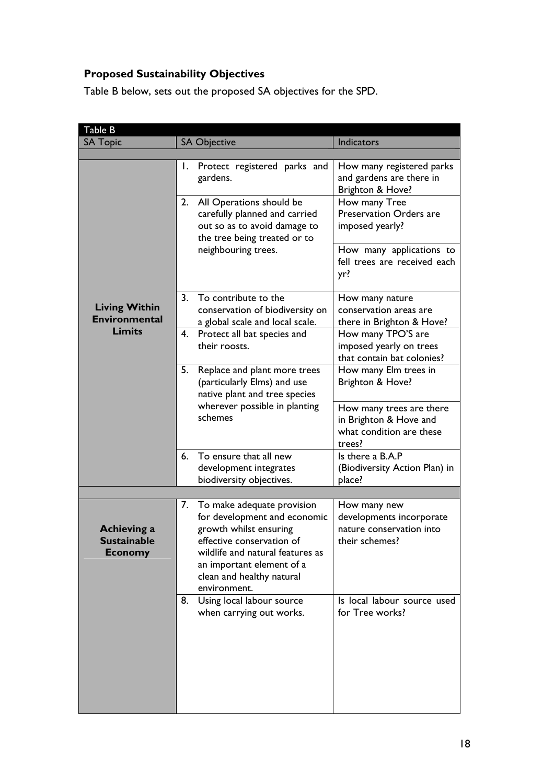# **Proposed Sustainability Objectives**

Table B below, sets out the proposed SA objectives for the SPD.

| Table B                                                    |    |                                                                                                                                                                                                                                    |                                                                                          |
|------------------------------------------------------------|----|------------------------------------------------------------------------------------------------------------------------------------------------------------------------------------------------------------------------------------|------------------------------------------------------------------------------------------|
| <b>SA Topic</b>                                            |    | <b>SA Objective</b>                                                                                                                                                                                                                | <b>Indicators</b>                                                                        |
|                                                            |    |                                                                                                                                                                                                                                    |                                                                                          |
|                                                            |    | 1. Protect registered parks and<br>gardens.                                                                                                                                                                                        | How many registered parks<br>and gardens are there in<br>Brighton & Hove?                |
|                                                            |    | 2. All Operations should be<br>carefully planned and carried<br>out so as to avoid damage to<br>the tree being treated or to                                                                                                       | How many Tree<br><b>Preservation Orders are</b><br>imposed yearly?                       |
|                                                            |    | neighbouring trees.                                                                                                                                                                                                                | How many applications to<br>fell trees are received each<br>yr?                          |
| <b>Living Within</b><br><b>Environmental</b>               | 3. | To contribute to the<br>conservation of biodiversity on<br>a global scale and local scale.                                                                                                                                         | How many nature<br>conservation areas are<br>there in Brighton & Hove?                   |
| <b>Limits</b>                                              |    | 4. Protect all bat species and<br>their roosts.                                                                                                                                                                                    | How many TPO'S are<br>imposed yearly on trees<br>that contain bat colonies?              |
|                                                            | 5. | Replace and plant more trees<br>(particularly Elms) and use<br>native plant and tree species                                                                                                                                       | How many Elm trees in<br>Brighton & Hove?                                                |
|                                                            |    | wherever possible in planting<br>schemes                                                                                                                                                                                           | How many trees are there<br>in Brighton & Hove and<br>what condition are these<br>trees? |
|                                                            |    | 6. To ensure that all new<br>development integrates<br>biodiversity objectives.                                                                                                                                                    | Is there a B.A.P<br>(Biodiversity Action Plan) in<br>place?                              |
|                                                            |    |                                                                                                                                                                                                                                    |                                                                                          |
| <b>Achieving a</b><br><b>Sustainable</b><br><b>Economy</b> |    | 7. To make adequate provision<br>for development and economic<br>growth whilst ensuring<br>effective conservation of<br>wildlife and natural features as<br>an important element of a<br>clean and healthy natural<br>environment. | How many new<br>developments incorporate<br>nature conservation into<br>their schemes?   |
|                                                            | 8. | Using local labour source<br>when carrying out works.                                                                                                                                                                              | Is local labour source used<br>for Tree works?                                           |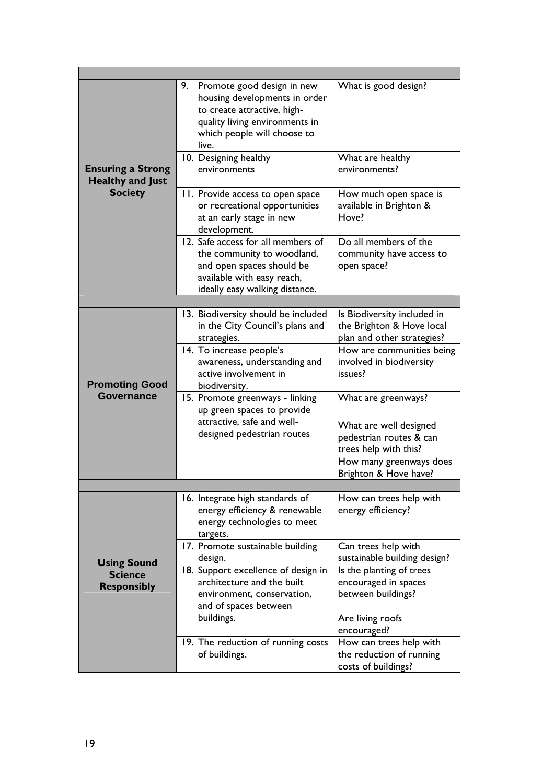| <b>Ensuring a Strong</b><br><b>Healthy and Just</b><br><b>Society</b> | 9. Promote good design in new<br>housing developments in order<br>to create attractive, high-<br>quality living environments in<br>which people will choose to<br>live.<br>10. Designing healthy<br>environments | What is good design?<br>What are healthy<br>environments?                              |
|-----------------------------------------------------------------------|------------------------------------------------------------------------------------------------------------------------------------------------------------------------------------------------------------------|----------------------------------------------------------------------------------------|
|                                                                       | 11. Provide access to open space<br>or recreational opportunities<br>at an early stage in new<br>development.                                                                                                    | How much open space is<br>available in Brighton &<br>Hove?                             |
|                                                                       | 12. Safe access for all members of<br>the community to woodland,<br>and open spaces should be<br>available with easy reach,<br>ideally easy walking distance.                                                    | Do all members of the<br>community have access to<br>open space?                       |
|                                                                       |                                                                                                                                                                                                                  |                                                                                        |
|                                                                       | 13. Biodiversity should be included<br>in the City Council's plans and<br>strategies.                                                                                                                            | Is Biodiversity included in<br>the Brighton & Hove local<br>plan and other strategies? |
| <b>Promoting Good</b>                                                 | 14. To increase people's<br>awareness, understanding and<br>active involvement in<br>biodiversity.                                                                                                               | How are communities being<br>involved in biodiversity<br>issues?                       |
| <b>Governance</b>                                                     | 15. Promote greenways - linking<br>up green spaces to provide                                                                                                                                                    | What are greenways?                                                                    |
|                                                                       | attractive, safe and well-<br>designed pedestrian routes                                                                                                                                                         | What are well designed<br>pedestrian routes & can<br>trees help with this?             |
|                                                                       |                                                                                                                                                                                                                  | How many greenways does<br>Brighton & Hove have?                                       |
|                                                                       |                                                                                                                                                                                                                  |                                                                                        |
|                                                                       | 16. Integrate high standards of<br>energy efficiency & renewable<br>energy technologies to meet<br>targets.                                                                                                      | How can trees help with<br>energy efficiency?                                          |
| <b>Using Sound</b>                                                    | 17. Promote sustainable building<br>design.                                                                                                                                                                      | Can trees help with<br>sustainable building design?                                    |
| <b>Science</b><br><b>Responsibly</b>                                  | 18. Support excellence of design in<br>architecture and the built<br>environment, conservation,<br>and of spaces between                                                                                         | Is the planting of trees<br>encouraged in spaces<br>between buildings?                 |
|                                                                       | buildings.                                                                                                                                                                                                       | Are living roofs<br>encouraged?                                                        |
|                                                                       | 19. The reduction of running costs<br>of buildings.                                                                                                                                                              | How can trees help with<br>the reduction of running<br>costs of buildings?             |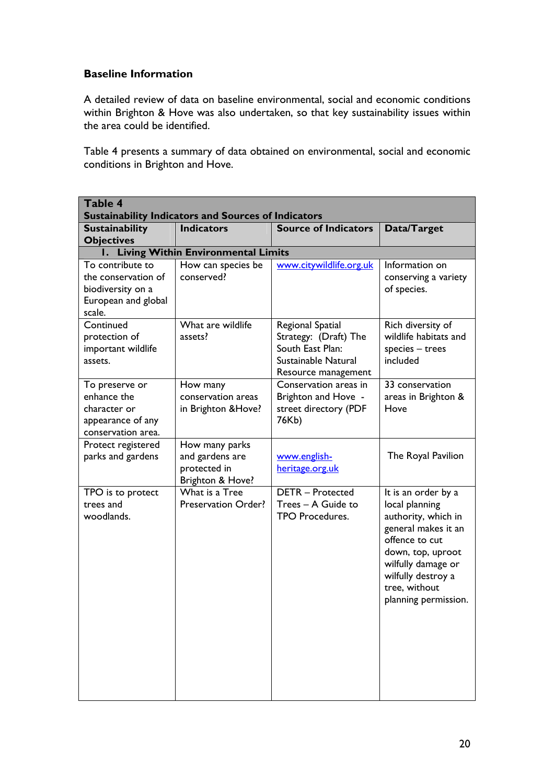## **Baseline Information**

A detailed review of data on baseline environmental, social and economic conditions within Brighton & Hove was also undertaken, so that key sustainability issues within the area could be identified.

Table 4 presents a summary of data obtained on environmental, social and economic conditions in Brighton and Hove.

| <b>Table 4</b><br><b>Sustainability Indicators and Sources of Indicators</b>                  |                                                                       |                                                                                                             |                                                                                                                                                                                                                 |  |  |
|-----------------------------------------------------------------------------------------------|-----------------------------------------------------------------------|-------------------------------------------------------------------------------------------------------------|-----------------------------------------------------------------------------------------------------------------------------------------------------------------------------------------------------------------|--|--|
| <b>Sustainability</b><br><b>Objectives</b>                                                    | <b>Indicators</b>                                                     | <b>Source of Indicators</b>                                                                                 | Data/Target                                                                                                                                                                                                     |  |  |
|                                                                                               | I. Living Within Environmental Limits                                 |                                                                                                             |                                                                                                                                                                                                                 |  |  |
| To contribute to<br>the conservation of<br>biodiversity on a<br>European and global<br>scale. | How can species be<br>conserved?                                      | www.citywildlife.org.uk                                                                                     | Information on<br>conserving a variety<br>of species.                                                                                                                                                           |  |  |
| Continued<br>protection of<br>important wildlife<br>assets.                                   | What are wildlife<br>assets?                                          | Regional Spatial<br>Strategy: (Draft) The<br>South East Plan:<br>Sustainable Natural<br>Resource management | Rich diversity of<br>wildlife habitats and<br>$species - trees$<br>included                                                                                                                                     |  |  |
| To preserve or<br>enhance the<br>character or<br>appearance of any<br>conservation area.      | How many<br>conservation areas<br>in Brighton & Hove?                 | Conservation areas in<br>Brighton and Hove -<br>street directory (PDF<br>76Kb)                              | 33 conservation<br>areas in Brighton &<br>Hove                                                                                                                                                                  |  |  |
| Protect registered<br>parks and gardens                                                       | How many parks<br>and gardens are<br>protected in<br>Brighton & Hove? | www.english-<br>heritage.org.uk                                                                             | The Royal Pavilion                                                                                                                                                                                              |  |  |
| TPO is to protect<br>trees and<br>woodlands.                                                  | What is a Tree<br>Preservation Order?                                 | <b>DETR</b> - Protected<br>Trees - A Guide to<br><b>TPO Procedures.</b>                                     | It is an order by a<br>local planning<br>authority, which in<br>general makes it an<br>offence to cut<br>down, top, uproot<br>wilfully damage or<br>wilfully destroy a<br>tree, without<br>planning permission. |  |  |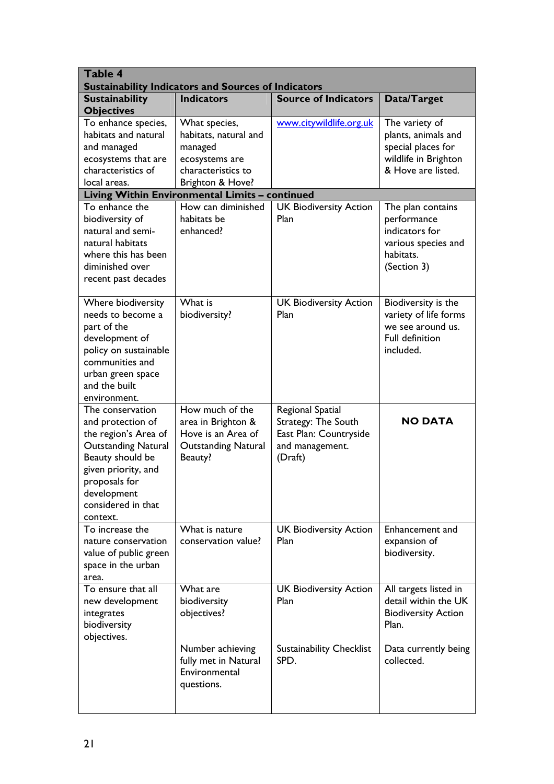| Table 4<br><b>Sustainability Indicators and Sources of Indicators</b>                                                                                                                                    |                                                                                                               |                                                                                                 |                                                                                                           |  |  |
|----------------------------------------------------------------------------------------------------------------------------------------------------------------------------------------------------------|---------------------------------------------------------------------------------------------------------------|-------------------------------------------------------------------------------------------------|-----------------------------------------------------------------------------------------------------------|--|--|
| <b>Sustainability</b><br><b>Objectives</b>                                                                                                                                                               | <b>Indicators</b>                                                                                             | <b>Source of Indicators</b>                                                                     | Data/Target                                                                                               |  |  |
| To enhance species,<br>habitats and natural<br>and managed<br>ecosystems that are<br>characteristics of<br>local areas.                                                                                  | What species,<br>habitats, natural and<br>managed<br>ecosystems are<br>characteristics to<br>Brighton & Hove? | www.citywildlife.org.uk                                                                         | The variety of<br>plants, animals and<br>special places for<br>wildlife in Brighton<br>& Hove are listed. |  |  |
|                                                                                                                                                                                                          | Living Within Environmental Limits - continued                                                                |                                                                                                 |                                                                                                           |  |  |
| To enhance the<br>biodiversity of<br>natural and semi-<br>natural habitats<br>where this has been<br>diminished over<br>recent past decades                                                              | How can diminished<br>habitats be<br>enhanced?                                                                | <b>UK Biodiversity Action</b><br>Plan                                                           | The plan contains<br>performance<br>indicators for<br>various species and<br>habitats.<br>(Section 3)     |  |  |
| Where biodiversity<br>needs to become a<br>part of the<br>development of<br>policy on sustainable<br>communities and<br>urban green space<br>and the built<br>environment.                               | What is<br>biodiversity?                                                                                      | <b>UK Biodiversity Action</b><br>Plan                                                           | Biodiversity is the<br>variety of life forms<br>we see around us.<br><b>Full definition</b><br>included.  |  |  |
| The conservation<br>and protection of<br>the region's Area of<br><b>Outstanding Natural</b><br>Beauty should be<br>given priority, and<br>proposals for<br>development<br>considered in that<br>context. | How much of the<br>area in Brighton &<br>Hove is an Area of<br><b>Outstanding Natural</b><br>Beauty?          | Regional Spatial<br>Strategy: The South<br>East Plan: Countryside<br>and management.<br>(Draft) | <b>NO DATA</b>                                                                                            |  |  |
| To increase the<br>nature conservation<br>value of public green<br>space in the urban<br>area.                                                                                                           | What is nature<br>conservation value?                                                                         | <b>UK Biodiversity Action</b><br>Plan                                                           | Enhancement and<br>expansion of<br>biodiversity.                                                          |  |  |
| To ensure that all<br>new development<br>integrates<br>biodiversity<br>objectives.                                                                                                                       | What are<br>biodiversity<br>objectives?                                                                       | <b>UK Biodiversity Action</b><br>Plan                                                           | All targets listed in<br>detail within the UK<br><b>Biodiversity Action</b><br>Plan.                      |  |  |
|                                                                                                                                                                                                          | Number achieving<br>fully met in Natural<br>Environmental<br>questions.                                       | <b>Sustainability Checklist</b><br>SPD.                                                         | Data currently being<br>collected.                                                                        |  |  |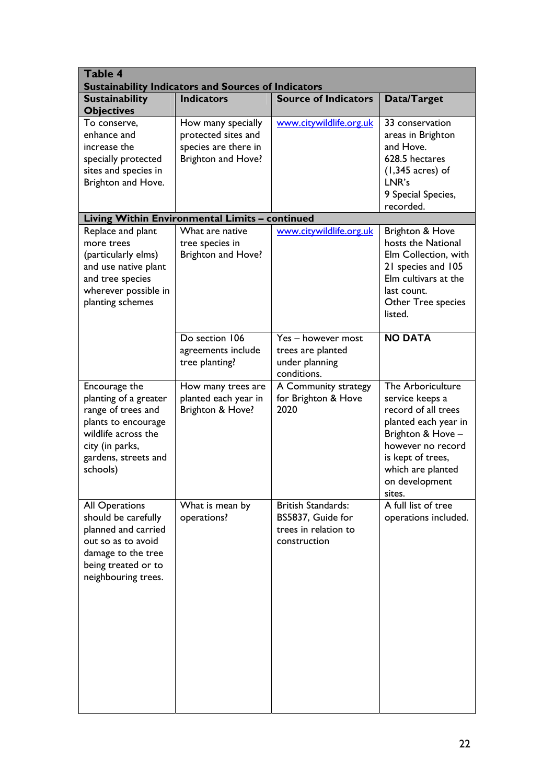| <b>Table 4</b><br><b>Sustainability Indicators and Sources of Indicators</b>                                                                                      |                                                                                         |                                                                                        |                                                                                                                                                                                                     |  |  |
|-------------------------------------------------------------------------------------------------------------------------------------------------------------------|-----------------------------------------------------------------------------------------|----------------------------------------------------------------------------------------|-----------------------------------------------------------------------------------------------------------------------------------------------------------------------------------------------------|--|--|
| <b>Sustainability</b><br><b>Objectives</b>                                                                                                                        | <b>Indicators</b>                                                                       | <b>Source of Indicators</b>                                                            | Data/Target                                                                                                                                                                                         |  |  |
| To conserve,<br>enhance and<br>increase the<br>specially protected<br>sites and species in<br>Brighton and Hove.                                                  | How many specially<br>protected sites and<br>species are there in<br>Brighton and Hove? | www.citywildlife.org.uk                                                                | 33 conservation<br>areas in Brighton<br>and Hove.<br>628.5 hectares<br>$(1,345 \text{ acres})$ of<br>LNR's<br>9 Special Species,<br>recorded.                                                       |  |  |
|                                                                                                                                                                   | Living Within Environmental Limits - continued                                          |                                                                                        |                                                                                                                                                                                                     |  |  |
| Replace and plant<br>more trees<br>(particularly elms)<br>and use native plant<br>and tree species<br>wherever possible in<br>planting schemes                    | What are native<br>tree species in<br>Brighton and Hove?                                | www.citywildlife.org.uk                                                                | Brighton & Hove<br>hosts the National<br>Elm Collection, with<br>21 species and 105<br>Elm cultivars at the<br>last count.<br>Other Tree species<br>listed.                                         |  |  |
|                                                                                                                                                                   | Do section 106<br>agreements include<br>tree planting?                                  | Yes - however most<br>trees are planted<br>under planning<br>conditions.               | <b>NO DATA</b>                                                                                                                                                                                      |  |  |
| Encourage the<br>planting of a greater<br>range of trees and<br>plants to encourage<br>wildlife across the<br>city (in parks,<br>gardens, streets and<br>schools) | How many trees are<br>planted each year in<br>Brighton & Hove?                          | A Community strategy<br>for Brighton & Hove<br>2020                                    | The Arboriculture<br>service keeps a<br>record of all trees<br>planted each year in<br>Brighton & Hove -<br>however no record<br>is kept of trees,<br>which are planted<br>on development<br>sites. |  |  |
| <b>All Operations</b><br>should be carefully<br>planned and carried<br>out so as to avoid<br>damage to the tree<br>being treated or to<br>neighbouring trees.     | What is mean by<br>operations?                                                          | <b>British Standards:</b><br>BS5837, Guide for<br>trees in relation to<br>construction | A full list of tree<br>operations included.                                                                                                                                                         |  |  |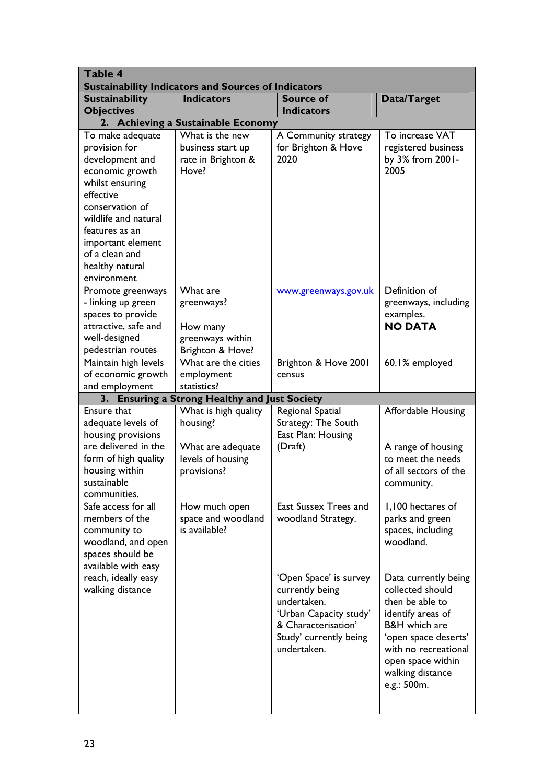| <b>Table 4</b><br><b>Sustainability Indicators and Sources of Indicators</b>                                                                                                                                                                  |                                                                     |                                                                                                                                                    |                                                                                                                                                                                                                      |  |  |
|-----------------------------------------------------------------------------------------------------------------------------------------------------------------------------------------------------------------------------------------------|---------------------------------------------------------------------|----------------------------------------------------------------------------------------------------------------------------------------------------|----------------------------------------------------------------------------------------------------------------------------------------------------------------------------------------------------------------------|--|--|
| <b>Sustainability</b><br><b>Objectives</b>                                                                                                                                                                                                    | <b>Indicators</b>                                                   | <b>Source of</b><br><b>Indicators</b>                                                                                                              | Data/Target                                                                                                                                                                                                          |  |  |
| 2.                                                                                                                                                                                                                                            | <b>Achieving a Sustainable Economy</b>                              |                                                                                                                                                    |                                                                                                                                                                                                                      |  |  |
| To make adequate<br>provision for<br>development and<br>economic growth<br>whilst ensuring<br>effective<br>conservation of<br>wildlife and natural<br>features as an<br>important element<br>of a clean and<br>healthy natural<br>environment | What is the new<br>business start up<br>rate in Brighton &<br>Hove? | A Community strategy<br>for Brighton & Hove<br>2020                                                                                                | To increase VAT<br>registered business<br>by 3% from 2001-<br>2005                                                                                                                                                   |  |  |
| Promote greenways<br>- linking up green<br>spaces to provide                                                                                                                                                                                  | What are<br>greenways?                                              | www.greenways.gov.uk                                                                                                                               | Definition of<br>greenways, including<br>examples.                                                                                                                                                                   |  |  |
| attractive, safe and<br>well-designed<br>pedestrian routes                                                                                                                                                                                    | How many<br>greenways within<br>Brighton & Hove?                    |                                                                                                                                                    | <b>NO DATA</b>                                                                                                                                                                                                       |  |  |
| Maintain high levels<br>of economic growth<br>and employment                                                                                                                                                                                  | What are the cities<br>employment<br>statistics?                    | Brighton & Hove 2001<br>census                                                                                                                     | 60.1% employed                                                                                                                                                                                                       |  |  |
|                                                                                                                                                                                                                                               | 3. Ensuring a Strong Healthy and Just Society                       |                                                                                                                                                    |                                                                                                                                                                                                                      |  |  |
| Ensure that<br>adequate levels of<br>housing provisions                                                                                                                                                                                       | What is high quality<br>housing?                                    | Regional Spatial<br>Strategy: The South<br>East Plan: Housing                                                                                      | <b>Affordable Housing</b>                                                                                                                                                                                            |  |  |
| are delivered in the<br>form of high quality<br>housing within<br>sustainable<br>communities.                                                                                                                                                 | What are adequate<br>levels of housing<br>provisions?               | (Draft)                                                                                                                                            | A range of housing<br>to meet the needs<br>of all sectors of the<br>community.                                                                                                                                       |  |  |
| Safe access for all<br>members of the<br>community to<br>woodland, and open<br>spaces should be<br>available with easy                                                                                                                        | How much open<br>space and woodland<br>is available?                | <b>East Sussex Trees and</b><br>woodland Strategy.                                                                                                 | 1,100 hectares of<br>parks and green<br>spaces, including<br>woodland.                                                                                                                                               |  |  |
| reach, ideally easy<br>walking distance                                                                                                                                                                                                       |                                                                     | 'Open Space' is survey<br>currently being<br>undertaken.<br>'Urban Capacity study'<br>& Characterisation'<br>Study' currently being<br>undertaken. | Data currently being<br>collected should<br>then be able to<br>identify areas of<br><b>B&amp;H</b> which are<br>'open space deserts'<br>with no recreational<br>open space within<br>walking distance<br>e.g.: 500m. |  |  |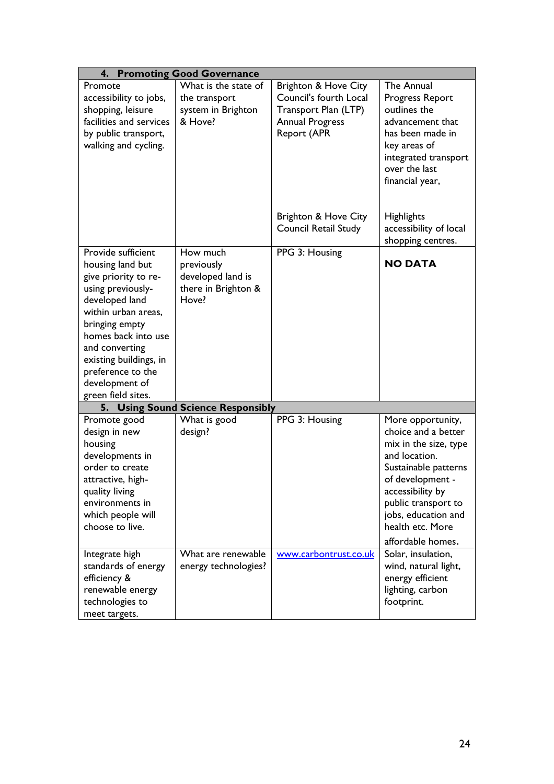|                         | 4. Promoting Good Governance       |                             |                        |
|-------------------------|------------------------------------|-----------------------------|------------------------|
| Promote                 | What is the state of               | Brighton & Hove City        | The Annual             |
| accessibility to jobs,  | the transport                      | Council's fourth Local      | Progress Report        |
| shopping, leisure       | system in Brighton                 | Transport Plan (LTP)        | outlines the           |
| facilities and services | & Hove?                            | <b>Annual Progress</b>      | advancement that       |
| by public transport,    |                                    | Report (APR                 | has been made in       |
| walking and cycling.    |                                    |                             | key areas of           |
|                         |                                    |                             | integrated transport   |
|                         |                                    |                             | over the last          |
|                         |                                    |                             | financial year,        |
|                         |                                    |                             |                        |
|                         |                                    |                             |                        |
|                         |                                    | Brighton & Hove City        | <b>Highlights</b>      |
|                         |                                    | <b>Council Retail Study</b> | accessibility of local |
|                         |                                    |                             | shopping centres.      |
| Provide sufficient      | How much                           | PPG 3: Housing              |                        |
| housing land but        | previously                         |                             | <b>NO DATA</b>         |
| give priority to re-    | developed land is                  |                             |                        |
| using previously-       | there in Brighton &                |                             |                        |
| developed land          | Hove?                              |                             |                        |
| within urban areas,     |                                    |                             |                        |
| bringing empty          |                                    |                             |                        |
| homes back into use     |                                    |                             |                        |
| and converting          |                                    |                             |                        |
| existing buildings, in  |                                    |                             |                        |
| preference to the       |                                    |                             |                        |
| development of          |                                    |                             |                        |
| green field sites.      |                                    |                             |                        |
|                         | 5. Using Sound Science Responsibly |                             |                        |
| Promote good            | What is good                       | PPG 3: Housing              | More opportunity,      |
| design in new           | design?                            |                             | choice and a better    |
| housing                 |                                    |                             | mix in the size, type  |
| developments in         |                                    |                             | and location.          |
| order to create         |                                    |                             | Sustainable patterns   |
| attractive, high-       |                                    |                             | of development -       |
| quality living          |                                    |                             | accessibility by       |
| environments in         |                                    |                             | public transport to    |
| which people will       |                                    |                             | jobs, education and    |
| choose to live.         |                                    |                             | health etc. More       |
|                         |                                    |                             | affordable homes.      |
| Integrate high          | What are renewable                 | www.carbontrust.co.uk       | Solar, insulation,     |
| standards of energy     | energy technologies?               |                             | wind, natural light,   |
| efficiency &            |                                    |                             | energy efficient       |
| renewable energy        |                                    |                             | lighting, carbon       |
| technologies to         |                                    |                             | footprint.             |
| meet targets.           |                                    |                             |                        |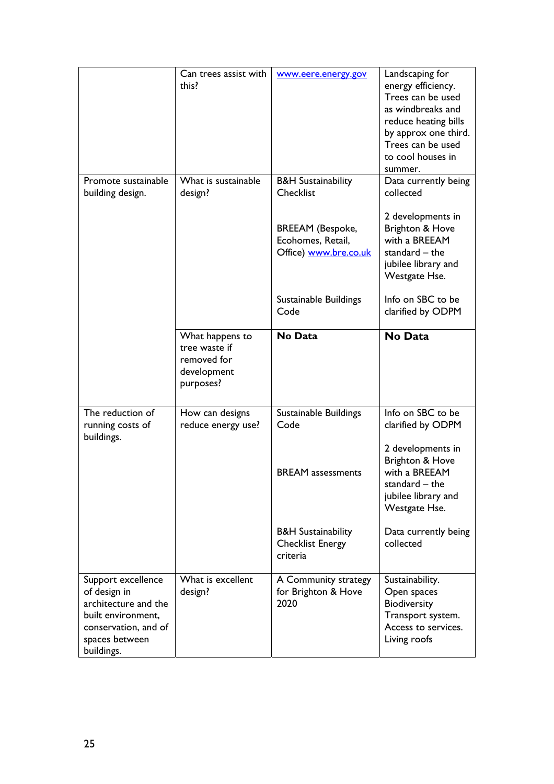|                                                                                                                                          | Can trees assist with<br>this?                                              | www.eere.energy.gov                                                   | Landscaping for<br>energy efficiency.<br>Trees can be used<br>as windbreaks and<br>reduce heating bills<br>by approx one third.<br>Trees can be used<br>to cool houses in<br>summer. |
|------------------------------------------------------------------------------------------------------------------------------------------|-----------------------------------------------------------------------------|-----------------------------------------------------------------------|--------------------------------------------------------------------------------------------------------------------------------------------------------------------------------------|
| Promote sustainable<br>building design.                                                                                                  | What is sustainable<br>design?                                              | <b>B&amp;H Sustainability</b><br>Checklist                            | Data currently being<br>collected                                                                                                                                                    |
|                                                                                                                                          |                                                                             | <b>BREEAM</b> (Bespoke,<br>Ecohomes, Retail,<br>Office) www.bre.co.uk | 2 developments in<br>Brighton & Hove<br>with a BREEAM<br>standard $-$ the<br>jubilee library and<br>Westgate Hse.                                                                    |
|                                                                                                                                          |                                                                             | Sustainable Buildings<br>Code                                         | Info on SBC to be<br>clarified by ODPM                                                                                                                                               |
|                                                                                                                                          | What happens to<br>tree waste if<br>removed for<br>development<br>purposes? | No Data                                                               | No Data                                                                                                                                                                              |
| The reduction of<br>running costs of<br>buildings.                                                                                       | How can designs<br>reduce energy use?                                       | Sustainable Buildings<br>Code                                         | Info on SBC to be<br>clarified by ODPM                                                                                                                                               |
|                                                                                                                                          |                                                                             | <b>BREAM</b> assessments                                              | 2 developments in<br>Brighton & Hove<br>with a BREEAM<br>standard – the<br>jubilee library and<br>Westgate Hse.                                                                      |
|                                                                                                                                          |                                                                             | <b>B&amp;H Sustainability</b><br><b>Checklist Energy</b><br>criteria  | Data currently being<br>collected                                                                                                                                                    |
| Support excellence<br>of design in<br>architecture and the<br>built environment,<br>conservation, and of<br>spaces between<br>buildings. | What is excellent<br>design?                                                | A Community strategy<br>for Brighton & Hove<br>2020                   | Sustainability.<br>Open spaces<br>Biodiversity<br>Transport system.<br>Access to services.<br>Living roofs                                                                           |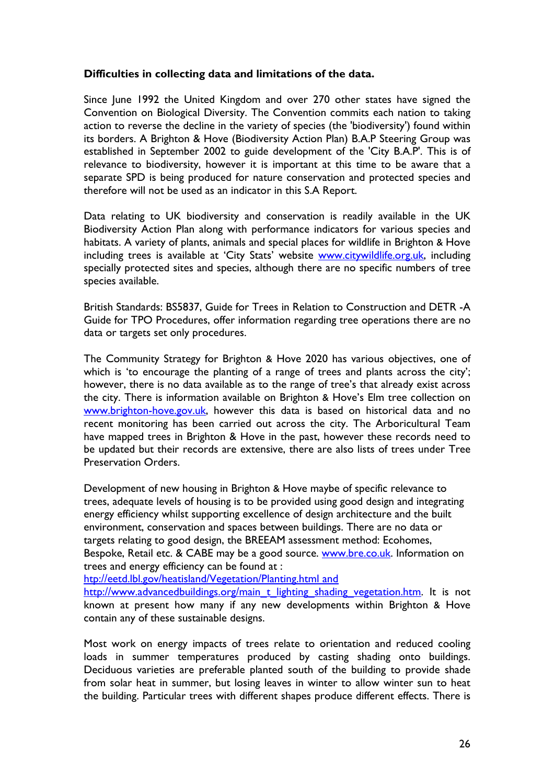#### **Difficulties in collecting data and limitations of the data.**

Since June 1992 the United Kingdom and over 270 other states have signed the Convention on Biological Diversity. The Convention commits each nation to taking action to reverse the decline in the variety of species (the 'biodiversity') found within its borders. A Brighton & Hove (Biodiversity Action Plan) B.A.P Steering Group was established in September 2002 to guide development of the 'City B.A.P'. This is of relevance to biodiversity, however it is important at this time to be aware that a separate SPD is being produced for nature conservation and protected species and therefore will not be used as an indicator in this S.A Report.

Data relating to UK biodiversity and conservation is readily available in the UK Biodiversity Action Plan along with performance indicators for various species and habitats. A variety of plants, animals and special places for wildlife in Brighton & Hove including trees is available at 'City Stats' website www.citywildlife.org.uk, including specially protected sites and species, although there are no specific numbers of tree species available.

British Standards: BS5837, Guide for Trees in Relation to Construction and DETR -A Guide for TPO Procedures, offer information regarding tree operations there are no data or targets set only procedures.

The Community Strategy for Brighton & Hove 2020 has various objectives, one of which is 'to encourage the planting of a range of trees and plants across the city'; however, there is no data available as to the range of tree's that already exist across the city. There is information available on Brighton & Hove's Elm tree collection on www.brighton-hove.gov.uk, however this data is based on historical data and no recent monitoring has been carried out across the city. The Arboricultural Team have mapped trees in Brighton & Hove in the past, however these records need to be updated but their records are extensive, there are also lists of trees under Tree Preservation Orders.

Development of new housing in Brighton & Hove maybe of specific relevance to trees, adequate levels of housing is to be provided using good design and integrating energy efficiency whilst supporting excellence of design architecture and the built environment, conservation and spaces between buildings. There are no data or targets relating to good design, the BREEAM assessment method: Ecohomes, Bespoke, Retail etc. & CABE may be a good source. www.bre.co.uk. Information on trees and energy efficiency can be found at :

htp://eetd.lbl.gov/heatisland/Vegetation/Planting.html and

http://www.advancedbuildings.org/main\_t\_lighting\_shading\_vegetation.htm. It is not known at present how many if any new developments within Brighton & Hove contain any of these sustainable designs.

Most work on energy impacts of trees relate to orientation and reduced cooling loads in summer temperatures produced by casting shading onto buildings. Deciduous varieties are preferable planted south of the building to provide shade from solar heat in summer, but losing leaves in winter to allow winter sun to heat the building. Particular trees with different shapes produce different effects. There is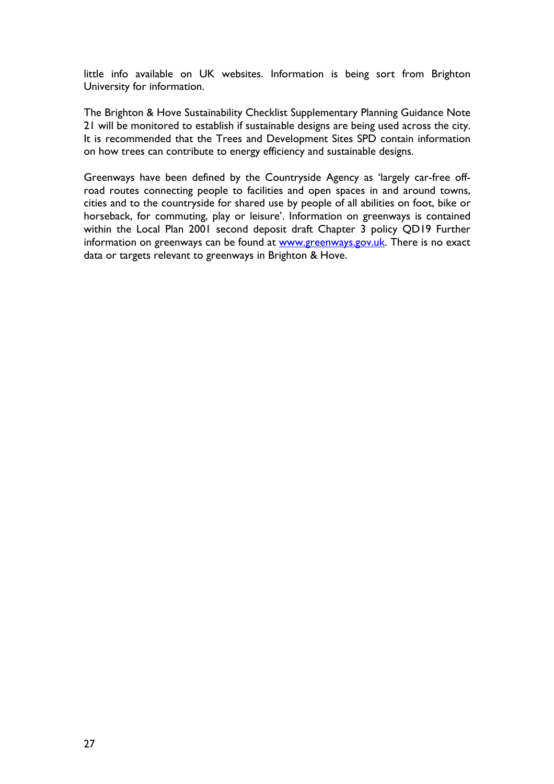little info available on UK websites. Information is being sort from Brighton University for information.

The Brighton & Hove Sustainability Checklist Supplementary Planning Guidance Note 21 will be monitored to establish if sustainable designs are being used across the city. It is recommended that the Trees and Development Sites SPD contain information on how trees can contribute to energy efficiency and sustainable designs.

Greenways have been defined by the Countryside Agency as 'largely car-free offroad routes connecting people to facilities and open spaces in and around towns, cities and to the countryside for shared use by people of all abilities on foot, bike or horseback, for commuting, play or leisure'. Information on greenways is contained within the Local Plan 2001 second deposit draft Chapter 3 policy QD19 Further information on greenways can be found at www.greenways.gov.uk. There is no exact data or targets relevant to greenways in Brighton & Hove.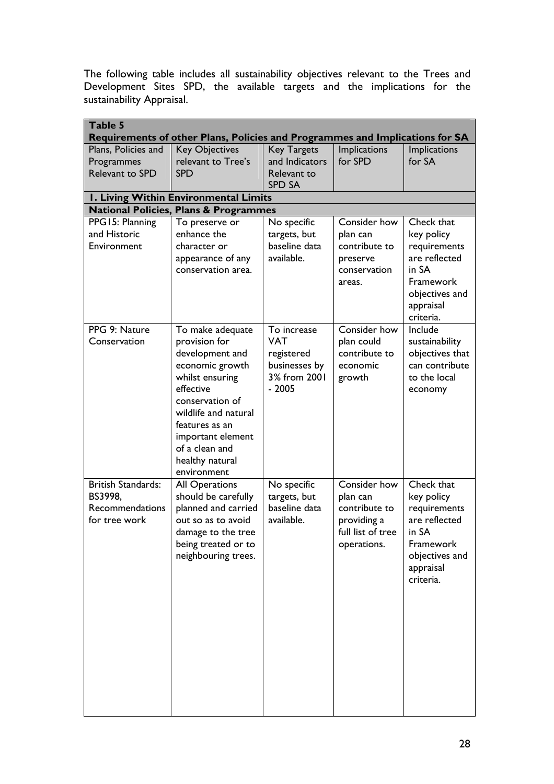The following table includes all sustainability objectives relevant to the Trees and Development Sites SPD, the available targets and the implications for the sustainability Appraisal.

| Table 5                                                                      |                                                  |                               |                            |                                   |  |  |
|------------------------------------------------------------------------------|--------------------------------------------------|-------------------------------|----------------------------|-----------------------------------|--|--|
| Requirements of other Plans, Policies and Programmes and Implications for SA |                                                  |                               |                            |                                   |  |  |
| Plans, Policies and                                                          | <b>Key Objectives</b>                            | <b>Key Targets</b>            | Implications               | <b>Implications</b>               |  |  |
| Programmes                                                                   | relevant to Tree's                               | and Indicators                | for SPD                    | for SA                            |  |  |
| Relevant to SPD                                                              | <b>SPD</b>                                       | Relevant to<br>SPD SA         |                            |                                   |  |  |
|                                                                              | I. Living Within Environmental Limits            |                               |                            |                                   |  |  |
|                                                                              | <b>National Policies, Plans &amp; Programmes</b> |                               |                            |                                   |  |  |
| PPG15: Planning                                                              | To preserve or                                   | No specific                   | Consider how               | Check that                        |  |  |
| and Historic<br>Environment                                                  | enhance the<br>character or                      | targets, but<br>baseline data | plan can<br>contribute to  | key policy<br>requirements        |  |  |
|                                                                              | appearance of any                                | available.                    | preserve                   | are reflected                     |  |  |
|                                                                              | conservation area.                               |                               | conservation               | in SA                             |  |  |
|                                                                              |                                                  |                               | areas.                     | Framework                         |  |  |
|                                                                              |                                                  |                               |                            | objectives and                    |  |  |
|                                                                              |                                                  |                               |                            | appraisal                         |  |  |
|                                                                              |                                                  |                               |                            | criteria.                         |  |  |
| PPG 9: Nature<br>Conservation                                                | To make adequate<br>provision for                | To increase<br><b>VAT</b>     | Consider how<br>plan could | Include                           |  |  |
|                                                                              | development and                                  | registered                    | contribute to              | sustainability<br>objectives that |  |  |
|                                                                              | economic growth                                  | businesses by                 | economic                   | can contribute                    |  |  |
|                                                                              | whilst ensuring                                  | 3% from 2001                  | growth                     | to the local                      |  |  |
|                                                                              | effective                                        | $-2005$                       |                            | economy                           |  |  |
|                                                                              | conservation of                                  |                               |                            |                                   |  |  |
|                                                                              | wildlife and natural<br>features as an           |                               |                            |                                   |  |  |
|                                                                              | important element                                |                               |                            |                                   |  |  |
|                                                                              | of a clean and                                   |                               |                            |                                   |  |  |
|                                                                              | healthy natural                                  |                               |                            |                                   |  |  |
|                                                                              | environment                                      |                               |                            |                                   |  |  |
| <b>British Standards:</b>                                                    | <b>All Operations</b>                            | No specific                   | Consider how               | Check that                        |  |  |
| BS3998,<br>Recommendations                                                   | should be carefully                              | targets, but<br>baseline data | plan can<br>contribute to  | key policy                        |  |  |
| for tree work                                                                | planned and carried<br>out so as to avoid        | available.                    | providing a                | requirements<br>are reflected     |  |  |
|                                                                              | damage to the tree                               |                               | full list of tree          | in SA                             |  |  |
|                                                                              | being treated or to                              |                               | operations.                | Framework                         |  |  |
|                                                                              | neighbouring trees.                              |                               |                            | objectives and                    |  |  |
|                                                                              |                                                  |                               |                            | appraisal                         |  |  |
|                                                                              |                                                  |                               |                            | criteria.                         |  |  |
|                                                                              |                                                  |                               |                            |                                   |  |  |
|                                                                              |                                                  |                               |                            |                                   |  |  |
|                                                                              |                                                  |                               |                            |                                   |  |  |
|                                                                              |                                                  |                               |                            |                                   |  |  |
|                                                                              |                                                  |                               |                            |                                   |  |  |
|                                                                              |                                                  |                               |                            |                                   |  |  |
|                                                                              |                                                  |                               |                            |                                   |  |  |
|                                                                              |                                                  |                               |                            |                                   |  |  |
|                                                                              |                                                  |                               |                            |                                   |  |  |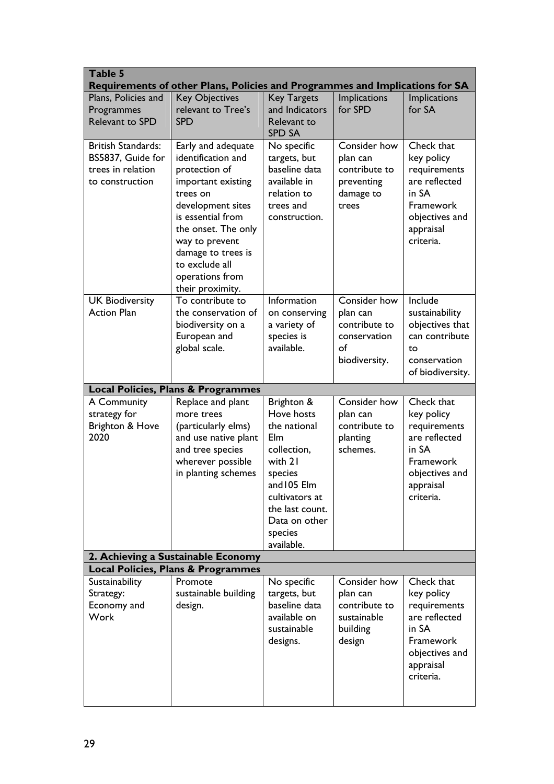| Table 5                                                                                | Requirements of other Plans, Policies and Programmes and Implications for SA                                                                                                                                                                                  |                                                                                                                                                                                    |                                                                                  |                                                                                                                             |
|----------------------------------------------------------------------------------------|---------------------------------------------------------------------------------------------------------------------------------------------------------------------------------------------------------------------------------------------------------------|------------------------------------------------------------------------------------------------------------------------------------------------------------------------------------|----------------------------------------------------------------------------------|-----------------------------------------------------------------------------------------------------------------------------|
| Plans, Policies and<br>Programmes<br><b>Relevant to SPD</b>                            | <b>Key Objectives</b><br>relevant to Tree's<br><b>SPD</b>                                                                                                                                                                                                     | <b>Key Targets</b><br>and Indicators<br>Relevant to<br><b>SPD SA</b>                                                                                                               | Implications<br>for SPD                                                          | <b>Implications</b><br>for SA                                                                                               |
| <b>British Standards:</b><br>BS5837, Guide for<br>trees in relation<br>to construction | Early and adequate<br>identification and<br>protection of<br>important existing<br>trees on<br>development sites<br>is essential from<br>the onset. The only<br>way to prevent<br>damage to trees is<br>to exclude all<br>operations from<br>their proximity. | No specific<br>targets, but<br>baseline data<br>available in<br>relation to<br>trees and<br>construction.                                                                          | Consider how<br>plan can<br>contribute to<br>preventing<br>damage to<br>trees    | Check that<br>key policy<br>requirements<br>are reflected<br>in SA<br>Framework<br>objectives and<br>appraisal<br>criteria. |
| <b>UK Biodiversity</b><br><b>Action Plan</b>                                           | To contribute to<br>the conservation of<br>biodiversity on a<br>European and<br>global scale.                                                                                                                                                                 | Information<br>on conserving<br>a variety of<br>species is<br>available.                                                                                                           | Consider how<br>plan can<br>contribute to<br>conservation<br>of<br>biodiversity. | Include<br>sustainability<br>objectives that<br>can contribute<br>to<br>conservation<br>of biodiversity.                    |
|                                                                                        | <b>Local Policies, Plans &amp; Programmes</b>                                                                                                                                                                                                                 |                                                                                                                                                                                    |                                                                                  |                                                                                                                             |
| A Community<br>strategy for<br>Brighton & Hove<br>2020                                 | Replace and plant<br>more trees<br>(particularly elms)<br>and use native plant<br>and tree species<br>wherever possible<br>in planting schemes<br>2. Achieving a Sustainable Economy                                                                          | Brighton &<br>Hove hosts<br>the national<br>Elm<br>collection,<br>with 21<br>species<br>and 105 Elm<br>cultivators at<br>the last count.<br>Data on other<br>species<br>available. | Consider how<br>plan can<br>contribute to<br>planting<br>schemes.                | Check that<br>key policy<br>requirements<br>are reflected<br>in SA<br>Framework<br>objectives and<br>appraisal<br>criteria. |
|                                                                                        | <b>Local Policies, Plans &amp; Programmes</b>                                                                                                                                                                                                                 |                                                                                                                                                                                    |                                                                                  |                                                                                                                             |
| Sustainability<br>Strategy:<br>Economy and<br><b>Work</b>                              | Promote<br>sustainable building<br>design.                                                                                                                                                                                                                    | No specific<br>targets, but<br>baseline data<br>available on<br>sustainable<br>designs.                                                                                            | Consider how<br>plan can<br>contribute to<br>sustainable<br>building<br>design   | Check that<br>key policy<br>requirements<br>are reflected<br>in SA<br>Framework<br>objectives and<br>appraisal<br>criteria. |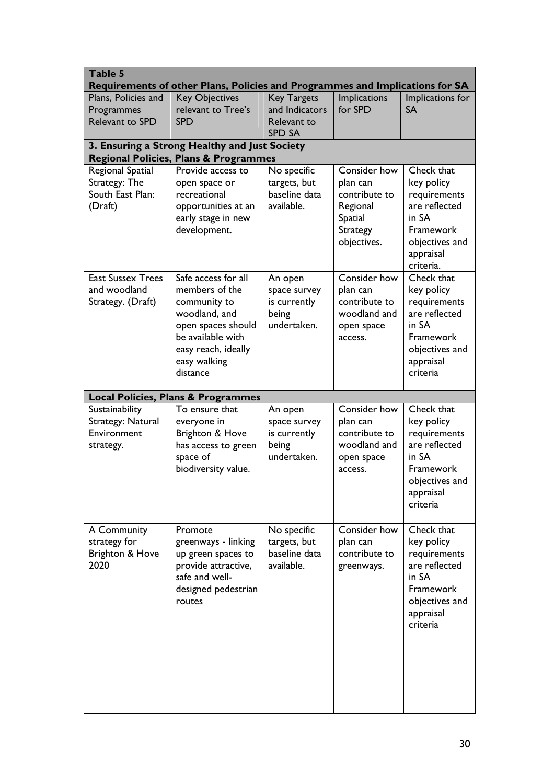| Table 5<br>Requirements of other Plans, Policies and Programmes and Implications for SA |                                                                                                                                                                      |                                                                      |                                                                                                    |                                                                                                                                   |  |  |
|-----------------------------------------------------------------------------------------|----------------------------------------------------------------------------------------------------------------------------------------------------------------------|----------------------------------------------------------------------|----------------------------------------------------------------------------------------------------|-----------------------------------------------------------------------------------------------------------------------------------|--|--|
| Plans, Policies and<br>Programmes<br><b>Relevant to SPD</b>                             | <b>Key Objectives</b><br>relevant to Tree's<br><b>SPD</b>                                                                                                            | <b>Key Targets</b><br>and Indicators<br>Relevant to<br><b>SPD SA</b> | <b>Implications</b><br>for SPD                                                                     | Implications for<br><b>SA</b>                                                                                                     |  |  |
| 3. Ensuring a Strong Healthy and Just Society                                           |                                                                                                                                                                      |                                                                      |                                                                                                    |                                                                                                                                   |  |  |
|                                                                                         | <b>Regional Policies, Plans &amp; Programmes</b>                                                                                                                     |                                                                      |                                                                                                    |                                                                                                                                   |  |  |
| Regional Spatial<br>Strategy: The<br>South East Plan:<br>(Draft)                        | Provide access to<br>open space or<br>recreational<br>opportunities at an<br>early stage in new<br>development.                                                      | No specific<br>targets, but<br>baseline data<br>available.           | Consider how<br>plan can<br>contribute to<br>Regional<br>Spatial<br><b>Strategy</b><br>objectives. | Check that<br>key policy<br>requirements<br>are reflected<br>in SA<br>Framework<br>objectives and<br>appraisal<br>criteria.       |  |  |
| <b>East Sussex Trees</b><br>and woodland<br>Strategy. (Draft)                           | Safe access for all<br>members of the<br>community to<br>woodland, and<br>open spaces should<br>be available with<br>easy reach, ideally<br>easy walking<br>distance | An open<br>space survey<br>is currently<br>being<br>undertaken.      | Consider how<br>plan can<br>contribute to<br>woodland and<br>open space<br>access.                 | Check that<br>key policy<br>requirements<br>are reflected<br>in SA<br>Framework<br>objectives and<br>appraisal<br>criteria        |  |  |
|                                                                                         | <b>Local Policies, Plans &amp; Programmes</b>                                                                                                                        |                                                                      |                                                                                                    |                                                                                                                                   |  |  |
| Sustainability<br>Strategy: Natural<br>Environment<br>strategy.                         | To ensure that<br>everyone in<br>Brighton & Hove<br>has access to green<br>space of<br>biodiversity value.                                                           | An open<br>space survey<br>is currently<br>being<br>undertaken.      | Consider how<br>plan can<br>contribute to<br>woodland and<br>open space<br>access.                 | Check that<br>key policy<br>requirements<br>are reflected<br>in SA<br><b>Framework</b><br>objectives and<br>appraisal<br>criteria |  |  |
| A Community<br>strategy for<br>Brighton & Hove<br>2020                                  | Promote<br>greenways - linking<br>up green spaces to<br>provide attractive,<br>safe and well-<br>designed pedestrian<br>routes                                       | No specific<br>targets, but<br>baseline data<br>available.           | Consider how<br>plan can<br>contribute to<br>greenways.                                            | Check that<br>key policy<br>requirements<br>are reflected<br>in SA<br>Framework<br>objectives and<br>appraisal<br>criteria        |  |  |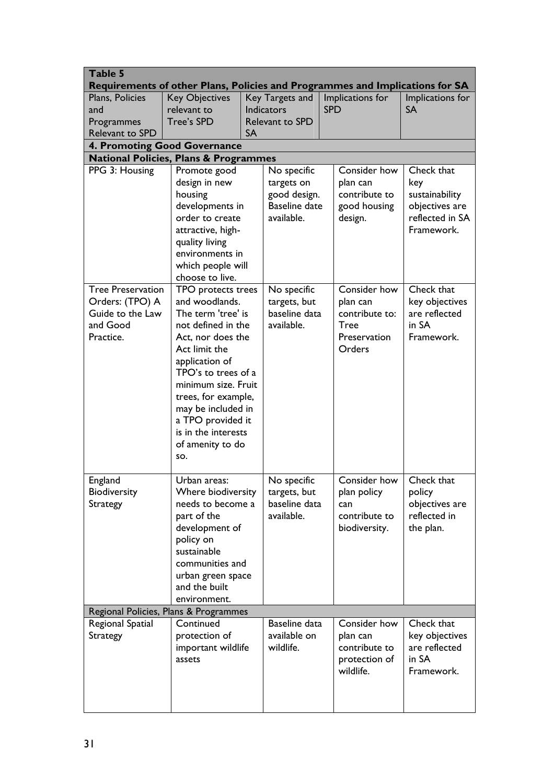| Table 5                                                                      |                                                                  |                                     |                        |            |                        |                 |
|------------------------------------------------------------------------------|------------------------------------------------------------------|-------------------------------------|------------------------|------------|------------------------|-----------------|
| Requirements of other Plans, Policies and Programmes and Implications for SA |                                                                  |                                     |                        |            |                        |                 |
| Plans, Policies                                                              | <b>Key Objectives</b>                                            | Key Targets and<br>Implications for |                        |            | Implications for       |                 |
| and                                                                          | relevant to                                                      |                                     | <b>Indicators</b>      | <b>SPD</b> |                        | <b>SA</b>       |
| Programmes                                                                   | <b>Tree's SPD</b>                                                |                                     | <b>Relevant to SPD</b> |            |                        |                 |
| Relevant to SPD                                                              |                                                                  | <b>SA</b>                           |                        |            |                        |                 |
|                                                                              | 4. Promoting Good Governance                                     |                                     |                        |            |                        |                 |
| PPG 3: Housing                                                               | <b>National Policies, Plans &amp; Programmes</b><br>Promote good |                                     | No specific            |            | Consider how           | Check that      |
|                                                                              | design in new                                                    |                                     | targets on             |            | plan can               | key             |
|                                                                              | housing                                                          |                                     | good design.           |            | contribute to          | sustainability  |
|                                                                              | developments in                                                  |                                     | <b>Baseline date</b>   |            | good housing           | objectives are  |
|                                                                              | order to create                                                  |                                     | available.             |            | design.                | reflected in SA |
|                                                                              | attractive, high-                                                |                                     |                        |            |                        | Framework.      |
|                                                                              | quality living                                                   |                                     |                        |            |                        |                 |
|                                                                              | environments in                                                  |                                     |                        |            |                        |                 |
|                                                                              | which people will                                                |                                     |                        |            |                        |                 |
|                                                                              | choose to live.                                                  |                                     |                        |            |                        |                 |
| <b>Tree Preservation</b>                                                     | TPO protects trees                                               |                                     | No specific            |            | Consider how           | Check that      |
| Orders: (TPO) A                                                              | and woodlands.                                                   |                                     | targets, but           |            | plan can               | key objectives  |
| Guide to the Law                                                             | The term 'tree' is                                               |                                     | baseline data          |            | contribute to:         | are reflected   |
| and Good                                                                     | not defined in the                                               |                                     | available.             |            | <b>Tree</b>            | in SA           |
| Practice.                                                                    | Act, nor does the<br>Act limit the                               |                                     |                        |            | Preservation<br>Orders | Framework.      |
|                                                                              | application of                                                   |                                     |                        |            |                        |                 |
|                                                                              | TPO's to trees of a                                              |                                     |                        |            |                        |                 |
|                                                                              | minimum size. Fruit                                              |                                     |                        |            |                        |                 |
|                                                                              | trees, for example,                                              |                                     |                        |            |                        |                 |
|                                                                              | may be included in                                               |                                     |                        |            |                        |                 |
|                                                                              | a TPO provided it                                                |                                     |                        |            |                        |                 |
|                                                                              | is in the interests                                              |                                     |                        |            |                        |                 |
|                                                                              | of amenity to do                                                 |                                     |                        |            |                        |                 |
|                                                                              | SO.                                                              |                                     |                        |            |                        |                 |
| England                                                                      | Urban areas:                                                     |                                     | No specific            |            | Consider how           | Check that      |
| Biodiversity                                                                 | Where biodiversity                                               |                                     | targets, but           |            | plan policy            | policy          |
| <b>Strategy</b>                                                              | needs to become a                                                |                                     | baseline data          |            | can                    | objectives are  |
|                                                                              | part of the                                                      |                                     | available.             |            | contribute to          | reflected in    |
|                                                                              | development of                                                   |                                     |                        |            | biodiversity.          | the plan.       |
|                                                                              | policy on                                                        |                                     |                        |            |                        |                 |
|                                                                              | sustainable                                                      |                                     |                        |            |                        |                 |
|                                                                              | communities and                                                  |                                     |                        |            |                        |                 |
|                                                                              | urban green space                                                |                                     |                        |            |                        |                 |
|                                                                              | and the built                                                    |                                     |                        |            |                        |                 |
|                                                                              | environment.                                                     |                                     |                        |            |                        |                 |
| Regional Spatial                                                             | Regional Policies, Plans & Programmes<br>Continued               |                                     | Baseline data          |            | Consider how           | Check that      |
| <b>Strategy</b>                                                              | protection of                                                    |                                     | available on           |            | plan can               | key objectives  |
|                                                                              | important wildlife                                               |                                     | wildlife.              |            | contribute to          | are reflected   |
|                                                                              | assets                                                           |                                     |                        |            | protection of          | in SA           |
|                                                                              |                                                                  |                                     |                        |            | wildlife.              | Framework.      |
|                                                                              |                                                                  |                                     |                        |            |                        |                 |
|                                                                              |                                                                  |                                     |                        |            |                        |                 |
|                                                                              |                                                                  |                                     |                        |            |                        |                 |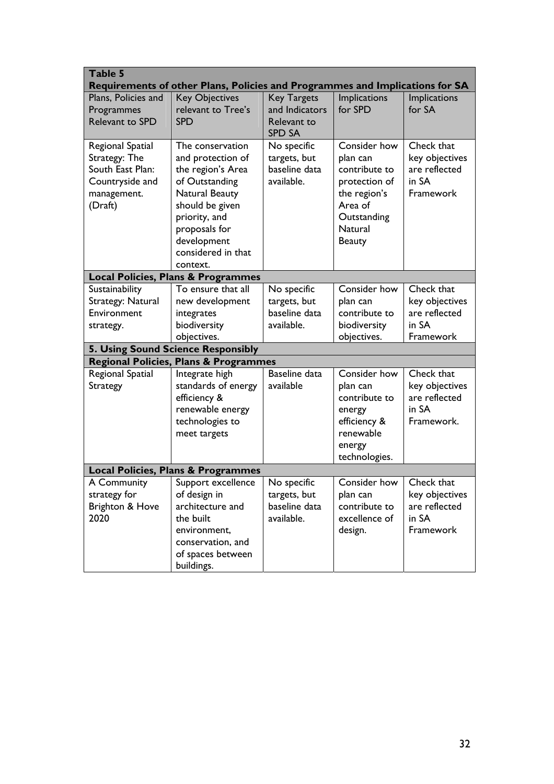| Table 5                                                                                                | Requirements of other Plans, Policies and Programmes and Implications for SA                                                                                                                                                                   |                                                                                          |                                                                                                                                  |                                                                                                                               |
|--------------------------------------------------------------------------------------------------------|------------------------------------------------------------------------------------------------------------------------------------------------------------------------------------------------------------------------------------------------|------------------------------------------------------------------------------------------|----------------------------------------------------------------------------------------------------------------------------------|-------------------------------------------------------------------------------------------------------------------------------|
| Plans, Policies and<br>Programmes<br>Relevant to SPD                                                   | <b>Key Objectives</b><br>relevant to Tree's<br><b>SPD</b>                                                                                                                                                                                      | <b>Key Targets</b><br>and Indicators<br>Relevant to<br><b>SPD SA</b>                     | Implications<br>for SPD                                                                                                          | Implications<br>for SA                                                                                                        |
| Regional Spatial<br>Strategy: The<br>South East Plan:<br>Countryside and<br>management.<br>(Draft)     | The conservation<br>and protection of<br>the region's Area<br>of Outstanding<br>Natural Beauty<br>should be given<br>priority, and<br>proposals for<br>development<br>considered in that<br>context.                                           | No specific<br>targets, but<br>baseline data<br>available.                               | Consider how<br>plan can<br>contribute to<br>protection of<br>the region's<br>Area of<br>Outstanding<br>Natural<br><b>Beauty</b> | Check that<br>key objectives<br>are reflected<br>in SA<br>Framework                                                           |
|                                                                                                        | <b>Local Policies, Plans &amp; Programmes</b>                                                                                                                                                                                                  |                                                                                          |                                                                                                                                  |                                                                                                                               |
| Sustainability<br>Strategy: Natural<br>Environment<br>strategy.<br>Regional Spatial<br><b>Strategy</b> | To ensure that all<br>new development<br>integrates<br>biodiversity<br>objectives.<br>5. Using Sound Science Responsibly<br>Regional Policies, Plans & Programmes<br>Integrate high<br>standards of energy<br>efficiency &<br>renewable energy | No specific<br>targets, but<br>baseline data<br>available.<br>Baseline data<br>available | Consider how<br>plan can<br>contribute to<br>biodiversity<br>objectives.<br>Consider how<br>plan can<br>contribute to<br>energy  | Check that<br>key objectives<br>are reflected<br>in SA<br>Framework<br>Check that<br>key objectives<br>are reflected<br>in SA |
|                                                                                                        | technologies to<br>meet targets                                                                                                                                                                                                                |                                                                                          | efficiency &<br>renewable<br>energy<br>technologies.                                                                             | Framework.                                                                                                                    |
|                                                                                                        | <b>Local Policies, Plans &amp; Programmes</b>                                                                                                                                                                                                  |                                                                                          |                                                                                                                                  |                                                                                                                               |
| A Community<br>strategy for<br>Brighton & Hove<br>2020                                                 | Support excellence<br>of design in<br>architecture and<br>the built<br>environment,<br>conservation, and<br>of spaces between<br>buildings.                                                                                                    | No specific<br>targets, but<br>baseline data<br>available.                               | Consider how   Check that<br>plan can<br>contribute to<br>excellence of<br>design.                                               | key objectives<br>are reflected<br>in SA<br>Framework                                                                         |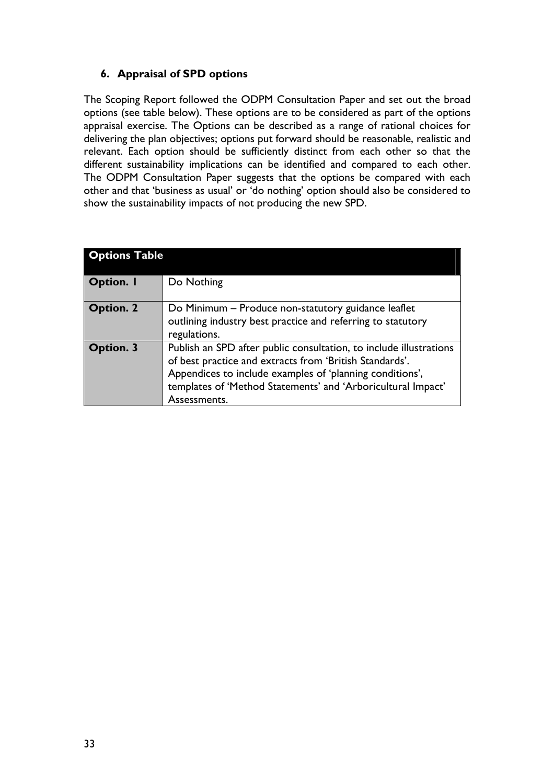## **6. Appraisal of SPD options**

The Scoping Report followed the ODPM Consultation Paper and set out the broad options (see table below). These options are to be considered as part of the options appraisal exercise. The Options can be described as a range of rational choices for delivering the plan objectives; options put forward should be reasonable, realistic and relevant. Each option should be sufficiently distinct from each other so that the different sustainability implications can be identified and compared to each other. The ODPM Consultation Paper suggests that the options be compared with each other and that 'business as usual' or 'do nothing' option should also be considered to show the sustainability impacts of not producing the new SPD.

| <b>Options Table</b> |                                                                                                                                                                                                                                                                           |
|----------------------|---------------------------------------------------------------------------------------------------------------------------------------------------------------------------------------------------------------------------------------------------------------------------|
| <b>Option.</b> I     | Do Nothing                                                                                                                                                                                                                                                                |
| <b>Option. 2</b>     | Do Minimum – Produce non-statutory guidance leaflet<br>outlining industry best practice and referring to statutory<br>regulations.                                                                                                                                        |
| Option. 3            | Publish an SPD after public consultation, to include illustrations<br>of best practice and extracts from 'British Standards'.<br>Appendices to include examples of 'planning conditions',<br>templates of 'Method Statements' and 'Arboricultural Impact'<br>Assessments. |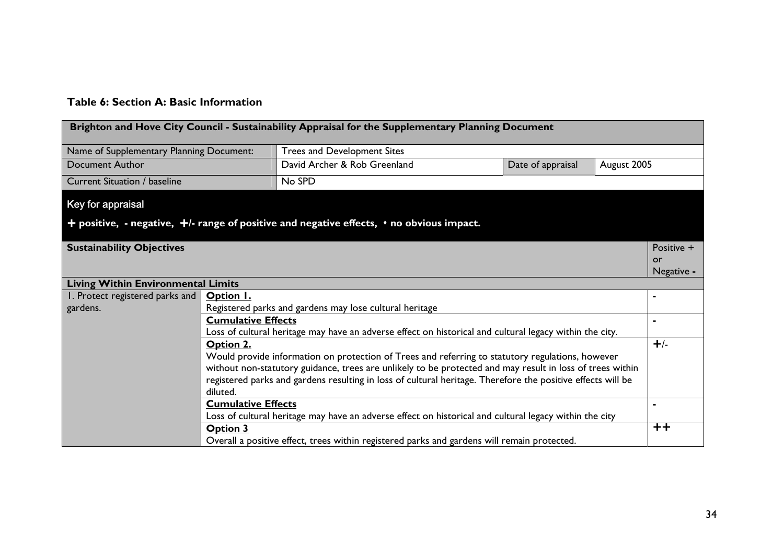#### **Table 6: Section A: Basic Information**

|                                           | Brighton and Hove City Council - Sustainability Appraisal for the Supplementary Planning Document |                                                                                                             |                   |             |                |  |
|-------------------------------------------|---------------------------------------------------------------------------------------------------|-------------------------------------------------------------------------------------------------------------|-------------------|-------------|----------------|--|
| Name of Supplementary Planning Document:  |                                                                                                   | Trees and Development Sites                                                                                 |                   |             |                |  |
| <b>Document Author</b>                    |                                                                                                   | David Archer & Rob Greenland                                                                                | Date of appraisal | August 2005 |                |  |
| <b>Current Situation / baseline</b>       |                                                                                                   | No SPD                                                                                                      |                   |             |                |  |
| Key for appraisal                         |                                                                                                   |                                                                                                             |                   |             |                |  |
|                                           |                                                                                                   | $+$ positive, - negative, $+$ /- range of positive and negative effects, $\cdot$ no obvious impact.         |                   |             |                |  |
| <b>Sustainability Objectives</b>          |                                                                                                   |                                                                                                             |                   |             | Positive +     |  |
|                                           |                                                                                                   |                                                                                                             |                   |             | or             |  |
|                                           |                                                                                                   |                                                                                                             |                   |             | Negative -     |  |
| <b>Living Within Environmental Limits</b> |                                                                                                   |                                                                                                             |                   |             |                |  |
| I. Protect registered parks and           | Option I.                                                                                         |                                                                                                             |                   |             |                |  |
| gardens.                                  |                                                                                                   | Registered parks and gardens may lose cultural heritage                                                     |                   |             |                |  |
|                                           | <b>Cumulative Effects</b>                                                                         |                                                                                                             |                   |             |                |  |
|                                           |                                                                                                   | Loss of cultural heritage may have an adverse effect on historical and cultural legacy within the city.     |                   |             |                |  |
|                                           | Option 2.                                                                                         |                                                                                                             |                   |             | $+/-$          |  |
|                                           |                                                                                                   | Would provide information on protection of Trees and referring to statutory regulations, however            |                   |             |                |  |
|                                           |                                                                                                   | without non-statutory guidance, trees are unlikely to be protected and may result in loss of trees within   |                   |             |                |  |
|                                           |                                                                                                   | registered parks and gardens resulting in loss of cultural heritage. Therefore the positive effects will be |                   |             |                |  |
|                                           | diluted.                                                                                          |                                                                                                             |                   |             |                |  |
|                                           | <b>Cumulative Effects</b>                                                                         |                                                                                                             |                   |             | $\blacksquare$ |  |
|                                           |                                                                                                   | Loss of cultural heritage may have an adverse effect on historical and cultural legacy within the city      |                   |             |                |  |
|                                           | <b>Option 3</b>                                                                                   |                                                                                                             |                   |             | $+ +$          |  |
|                                           |                                                                                                   | Overall a positive effect, trees within registered parks and gardens will remain protected.                 |                   |             |                |  |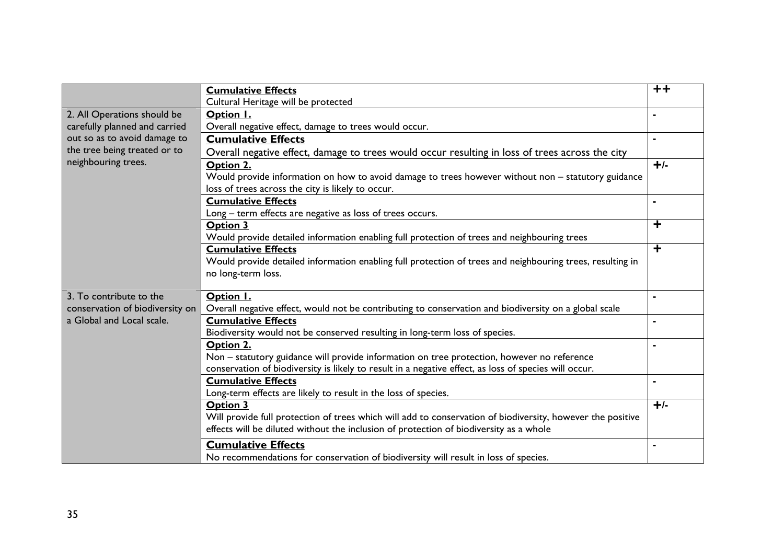|                                 | <b>Cumulative Effects</b>                                                                                  | $++$                    |
|---------------------------------|------------------------------------------------------------------------------------------------------------|-------------------------|
|                                 | Cultural Heritage will be protected                                                                        |                         |
| 2. All Operations should be     | Option I.                                                                                                  |                         |
| carefully planned and carried   | Overall negative effect, damage to trees would occur.                                                      |                         |
| out so as to avoid damage to    | <b>Cumulative Effects</b>                                                                                  |                         |
| the tree being treated or to    | Overall negative effect, damage to trees would occur resulting in loss of trees across the city            |                         |
| neighbouring trees.             | Option 2.                                                                                                  | $+/-$                   |
|                                 | Would provide information on how to avoid damage to trees however without non - statutory guidance         |                         |
|                                 | loss of trees across the city is likely to occur.                                                          |                         |
|                                 | <b>Cumulative Effects</b>                                                                                  | $\blacksquare$          |
|                                 | Long - term effects are negative as loss of trees occurs.                                                  |                         |
|                                 | <b>Option 3</b>                                                                                            | $\overline{\textbf{r}}$ |
|                                 | Would provide detailed information enabling full protection of trees and neighbouring trees                |                         |
|                                 | <b>Cumulative Effects</b>                                                                                  | $\overline{\textbf{+}}$ |
|                                 | Would provide detailed information enabling full protection of trees and neighbouring trees, resulting in  |                         |
|                                 | no long-term loss.                                                                                         |                         |
|                                 |                                                                                                            |                         |
| 3. To contribute to the         | Option I.                                                                                                  |                         |
| conservation of biodiversity on | Overall negative effect, would not be contributing to conservation and biodiversity on a global scale      |                         |
| a Global and Local scale.       | <b>Cumulative Effects</b>                                                                                  |                         |
|                                 | Biodiversity would not be conserved resulting in long-term loss of species.                                |                         |
|                                 | Option 2.                                                                                                  |                         |
|                                 | Non - statutory guidance will provide information on tree protection, however no reference                 |                         |
|                                 | conservation of biodiversity is likely to result in a negative effect, as loss of species will occur.      |                         |
|                                 | <b>Cumulative Effects</b>                                                                                  |                         |
|                                 | Long-term effects are likely to result in the loss of species.                                             |                         |
|                                 | <b>Option 3</b>                                                                                            | $+/-$                   |
|                                 | Will provide full protection of trees which will add to conservation of biodiversity, however the positive |                         |
|                                 | effects will be diluted without the inclusion of protection of biodiversity as a whole                     |                         |
|                                 | <b>Cumulative Effects</b>                                                                                  |                         |
|                                 | No recommendations for conservation of biodiversity will result in loss of species.                        |                         |
|                                 |                                                                                                            |                         |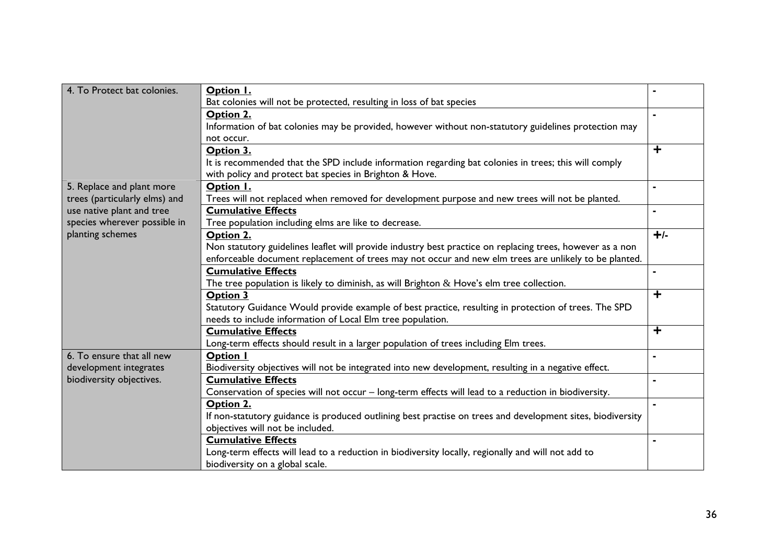| 4. To Protect bat colonies.   | Option I.                                                                                                  |                         |
|-------------------------------|------------------------------------------------------------------------------------------------------------|-------------------------|
|                               | Bat colonies will not be protected, resulting in loss of bat species                                       |                         |
|                               | Option 2.                                                                                                  |                         |
|                               | Information of bat colonies may be provided, however without non-statutory guidelines protection may       |                         |
|                               | not occur.                                                                                                 |                         |
|                               | Option 3.                                                                                                  | $\overline{\textbf{+}}$ |
|                               | It is recommended that the SPD include information regarding bat colonies in trees; this will comply       |                         |
|                               | with policy and protect bat species in Brighton & Hove.                                                    |                         |
| 5. Replace and plant more     | Option I.                                                                                                  |                         |
| trees (particularly elms) and | Trees will not replaced when removed for development purpose and new trees will not be planted.            |                         |
| use native plant and tree     | <b>Cumulative Effects</b>                                                                                  |                         |
| species wherever possible in  | Tree population including elms are like to decrease.                                                       |                         |
| planting schemes              | Option 2.                                                                                                  | $+/-$                   |
|                               | Non statutory guidelines leaflet will provide industry best practice on replacing trees, however as a non  |                         |
|                               | enforceable document replacement of trees may not occur and new elm trees are unlikely to be planted.      |                         |
|                               | <b>Cumulative Effects</b>                                                                                  | ٠                       |
|                               | The tree population is likely to diminish, as will Brighton $\&$ Hove's elm tree collection.               |                         |
|                               | Option 3                                                                                                   | $\overline{\textbf{+}}$ |
|                               | Statutory Guidance Would provide example of best practice, resulting in protection of trees. The SPD       |                         |
|                               | needs to include information of Local Elm tree population.                                                 |                         |
|                               | <b>Cumulative Effects</b>                                                                                  | ╋                       |
|                               | Long-term effects should result in a larger population of trees including Elm trees.                       |                         |
| 6. To ensure that all new     | Option I                                                                                                   |                         |
| development integrates        | Biodiversity objectives will not be integrated into new development, resulting in a negative effect.       |                         |
| biodiversity objectives.      | <b>Cumulative Effects</b>                                                                                  |                         |
|                               | Conservation of species will not occur - long-term effects will lead to a reduction in biodiversity.       |                         |
|                               | Option 2.                                                                                                  |                         |
|                               | If non-statutory guidance is produced outlining best practise on trees and development sites, biodiversity |                         |
|                               | objectives will not be included.                                                                           |                         |
|                               | <b>Cumulative Effects</b>                                                                                  |                         |
|                               | Long-term effects will lead to a reduction in biodiversity locally, regionally and will not add to         |                         |
|                               | biodiversity on a global scale.                                                                            |                         |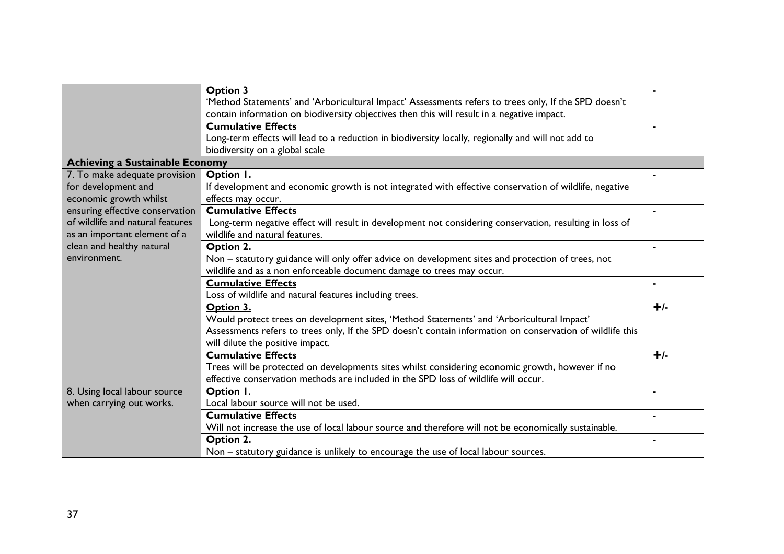|                                        | <b>Option 3</b>                                                                                           |       |
|----------------------------------------|-----------------------------------------------------------------------------------------------------------|-------|
|                                        | 'Method Statements' and 'Arboricultural Impact' Assessments refers to trees only, If the SPD doesn't      |       |
|                                        | contain information on biodiversity objectives then this will result in a negative impact.                |       |
|                                        | <b>Cumulative Effects</b>                                                                                 |       |
|                                        | Long-term effects will lead to a reduction in biodiversity locally, regionally and will not add to        |       |
|                                        | biodiversity on a global scale                                                                            |       |
| <b>Achieving a Sustainable Economy</b> |                                                                                                           |       |
| 7. To make adequate provision          | Option I.                                                                                                 |       |
| for development and                    | If development and economic growth is not integrated with effective conservation of wildlife, negative    |       |
| economic growth whilst                 | effects may occur.                                                                                        |       |
| ensuring effective conservation        | <b>Cumulative Effects</b>                                                                                 |       |
| of wildlife and natural features       | Long-term negative effect will result in development not considering conservation, resulting in loss of   |       |
| as an important element of a           | wildlife and natural features.                                                                            |       |
| clean and healthy natural              | Option 2.                                                                                                 |       |
| environment.                           | Non - statutory guidance will only offer advice on development sites and protection of trees, not         |       |
|                                        | wildlife and as a non enforceable document damage to trees may occur.                                     |       |
|                                        | <b>Cumulative Effects</b>                                                                                 |       |
|                                        | Loss of wildlife and natural features including trees.                                                    |       |
|                                        | Option 3.                                                                                                 | $+/-$ |
|                                        | Would protect trees on development sites, 'Method Statements' and 'Arboricultural Impact'                 |       |
|                                        | Assessments refers to trees only, If the SPD doesn't contain information on conservation of wildlife this |       |
|                                        | will dilute the positive impact.                                                                          |       |
|                                        | <b>Cumulative Effects</b>                                                                                 | $+/-$ |
|                                        | Trees will be protected on developments sites whilst considering economic growth, however if no           |       |
|                                        | effective conservation methods are included in the SPD loss of wildlife will occur.                       |       |
| 8. Using local labour source           | Option I.                                                                                                 |       |
| when carrying out works.               | Local labour source will not be used.                                                                     |       |
|                                        | <b>Cumulative Effects</b>                                                                                 |       |
|                                        | Will not increase the use of local labour source and therefore will not be economically sustainable.      |       |
|                                        | Option 2.                                                                                                 |       |
|                                        | Non – statutory guidance is unlikely to encourage the use of local labour sources.                        |       |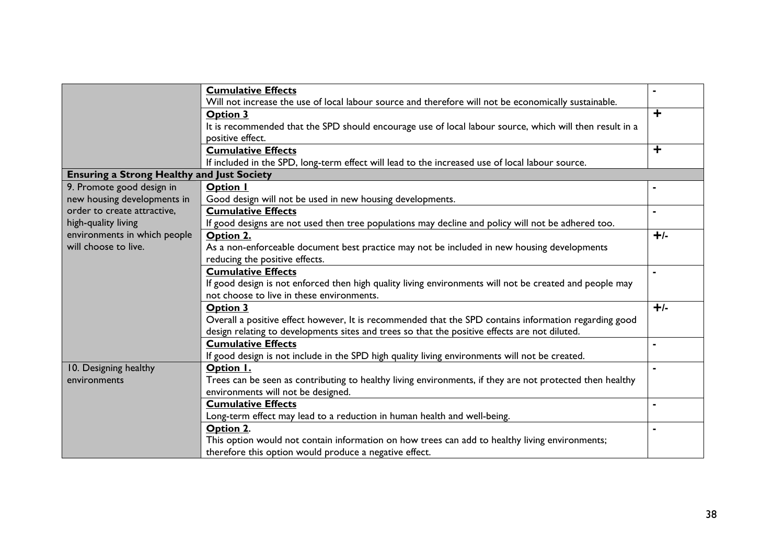|                                                   | <b>Cumulative Effects</b>                                                                                |           |
|---------------------------------------------------|----------------------------------------------------------------------------------------------------------|-----------|
|                                                   | Will not increase the use of local labour source and therefore will not be economically sustainable.     |           |
|                                                   | <b>Option 3</b>                                                                                          | $\ddag$   |
|                                                   | It is recommended that the SPD should encourage use of local labour source, which will then result in a  |           |
|                                                   | positive effect.                                                                                         |           |
|                                                   | <b>Cumulative Effects</b>                                                                                | $\ddot{}$ |
|                                                   | If included in the SPD, long-term effect will lead to the increased use of local labour source.          |           |
| <b>Ensuring a Strong Healthy and Just Society</b> |                                                                                                          |           |
| 9. Promote good design in                         | <b>Option I</b>                                                                                          |           |
| new housing developments in                       | Good design will not be used in new housing developments.                                                |           |
| order to create attractive,                       | <b>Cumulative Effects</b>                                                                                |           |
| high-quality living                               | If good designs are not used then tree populations may decline and policy will not be adhered too.       |           |
| environments in which people                      | Option 2.                                                                                                | $+/-$     |
| will choose to live.                              | As a non-enforceable document best practice may not be included in new housing developments              |           |
|                                                   | reducing the positive effects.                                                                           |           |
|                                                   | <b>Cumulative Effects</b>                                                                                |           |
|                                                   | If good design is not enforced then high quality living environments will not be created and people may  |           |
|                                                   | not choose to live in these environments.                                                                |           |
|                                                   | <b>Option 3</b>                                                                                          | $+/-$     |
|                                                   | Overall a positive effect however, It is recommended that the SPD contains information regarding good    |           |
|                                                   | design relating to developments sites and trees so that the positive effects are not diluted.            |           |
|                                                   | <b>Cumulative Effects</b>                                                                                |           |
|                                                   | If good design is not include in the SPD high quality living environments will not be created.           |           |
| 10. Designing healthy                             | Option I.                                                                                                |           |
| environments                                      | Trees can be seen as contributing to healthy living environments, if they are not protected then healthy |           |
|                                                   | environments will not be designed.                                                                       |           |
|                                                   | <b>Cumulative Effects</b>                                                                                |           |
|                                                   | Long-term effect may lead to a reduction in human health and well-being.                                 |           |
|                                                   | Option 2.                                                                                                |           |
|                                                   | This option would not contain information on how trees can add to healthy living environments;           |           |
|                                                   | therefore this option would produce a negative effect.                                                   |           |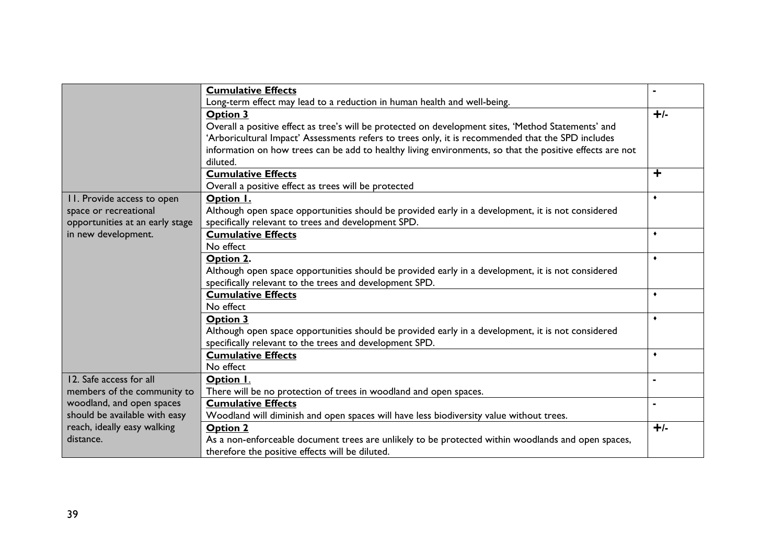|                                 | <b>Cumulative Effects</b>                                                                                |           |
|---------------------------------|----------------------------------------------------------------------------------------------------------|-----------|
|                                 | Long-term effect may lead to a reduction in human health and well-being.                                 |           |
|                                 | <b>Option 3</b>                                                                                          | $+/-$     |
|                                 | Overall a positive effect as tree's will be protected on development sites, 'Method Statements' and      |           |
|                                 | 'Arboricultural Impact' Assessments refers to trees only, it is recommended that the SPD includes        |           |
|                                 | information on how trees can be add to healthy living environments, so that the positive effects are not |           |
|                                 | diluted.                                                                                                 |           |
|                                 | <b>Cumulative Effects</b>                                                                                | $\ddot{}$ |
|                                 | Overall a positive effect as trees will be protected                                                     |           |
| 11. Provide access to open      | Option I.                                                                                                | ٠         |
| space or recreational           | Although open space opportunities should be provided early in a development, it is not considered        |           |
| opportunities at an early stage | specifically relevant to trees and development SPD.                                                      |           |
| in new development.             | <b>Cumulative Effects</b>                                                                                | ۰         |
|                                 | No effect                                                                                                |           |
|                                 | Option 2.                                                                                                | ۰         |
|                                 | Although open space opportunities should be provided early in a development, it is not considered        |           |
|                                 | specifically relevant to the trees and development SPD.                                                  |           |
|                                 | <b>Cumulative Effects</b>                                                                                | ٠         |
|                                 | No effect                                                                                                |           |
|                                 | Option 3                                                                                                 | ٠         |
|                                 | Although open space opportunities should be provided early in a development, it is not considered        |           |
|                                 | specifically relevant to the trees and development SPD.                                                  |           |
|                                 | <b>Cumulative Effects</b>                                                                                | $\bullet$ |
|                                 | No effect                                                                                                |           |
| 12. Safe access for all         | Option I.                                                                                                |           |
| members of the community to     | There will be no protection of trees in woodland and open spaces.                                        |           |
| woodland, and open spaces       | <b>Cumulative Effects</b>                                                                                |           |
| should be available with easy   | Woodland will diminish and open spaces will have less biodiversity value without trees.                  |           |
| reach, ideally easy walking     | Option 2                                                                                                 | $+/-$     |
| distance.                       | As a non-enforceable document trees are unlikely to be protected within woodlands and open spaces,       |           |
|                                 | therefore the positive effects will be diluted.                                                          |           |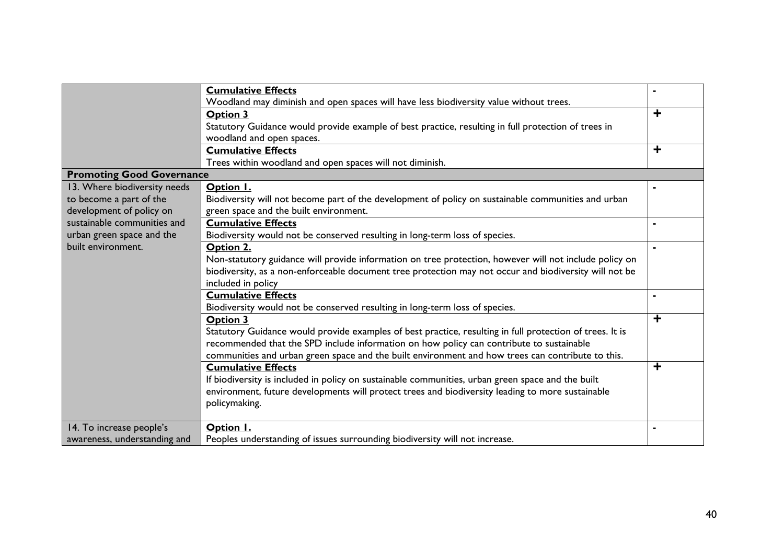|                                  | <b>Cumulative Effects</b>                                                                                |                         |
|----------------------------------|----------------------------------------------------------------------------------------------------------|-------------------------|
|                                  | Woodland may diminish and open spaces will have less biodiversity value without trees.                   |                         |
|                                  | Option 3                                                                                                 | $\ddagger$              |
|                                  | Statutory Guidance would provide example of best practice, resulting in full protection of trees in      |                         |
|                                  | woodland and open spaces.                                                                                |                         |
|                                  | <b>Cumulative Effects</b>                                                                                | $\overline{\textbf{r}}$ |
|                                  | Trees within woodland and open spaces will not diminish.                                                 |                         |
| <b>Promoting Good Governance</b> |                                                                                                          |                         |
| 13. Where biodiversity needs     | Option I.                                                                                                |                         |
| to become a part of the          | Biodiversity will not become part of the development of policy on sustainable communities and urban      |                         |
| development of policy on         | green space and the built environment.                                                                   |                         |
| sustainable communities and      | <b>Cumulative Effects</b>                                                                                |                         |
| urban green space and the        | Biodiversity would not be conserved resulting in long-term loss of species.                              |                         |
| built environment.               | Option 2.                                                                                                |                         |
|                                  | Non-statutory guidance will provide information on tree protection, however will not include policy on   |                         |
|                                  | biodiversity, as a non-enforceable document tree protection may not occur and biodiversity will not be   |                         |
|                                  | included in policy                                                                                       |                         |
|                                  | <b>Cumulative Effects</b>                                                                                |                         |
|                                  | Biodiversity would not be conserved resulting in long-term loss of species.                              |                         |
|                                  | <b>Option 3</b>                                                                                          | $\overline{\textbf{+}}$ |
|                                  | Statutory Guidance would provide examples of best practice, resulting in full protection of trees. It is |                         |
|                                  | recommended that the SPD include information on how policy can contribute to sustainable                 |                         |
|                                  | communities and urban green space and the built environment and how trees can contribute to this.        |                         |
|                                  | <b>Cumulative Effects</b>                                                                                | $\ddot{}$               |
|                                  | If biodiversity is included in policy on sustainable communities, urban green space and the built        |                         |
|                                  | environment, future developments will protect trees and biodiversity leading to more sustainable         |                         |
|                                  |                                                                                                          |                         |
|                                  | policymaking.                                                                                            |                         |
| 14. To increase people's         | Option I.                                                                                                |                         |
| awareness, understanding and     | Peoples understanding of issues surrounding biodiversity will not increase.                              |                         |
|                                  |                                                                                                          |                         |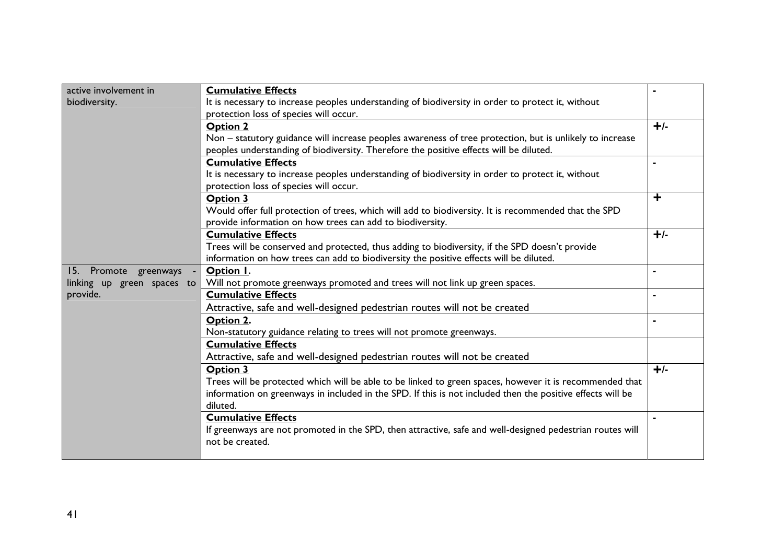| active involvement in      | <b>Cumulative Effects</b>                                                                                  |                         |  |  |
|----------------------------|------------------------------------------------------------------------------------------------------------|-------------------------|--|--|
| biodiversity.              | It is necessary to increase peoples understanding of biodiversity in order to protect it, without          |                         |  |  |
|                            | protection loss of species will occur.                                                                     |                         |  |  |
|                            | <b>Option 2</b>                                                                                            | $+/-$                   |  |  |
|                            | Non - statutory guidance will increase peoples awareness of tree protection, but is unlikely to increase   |                         |  |  |
|                            | peoples understanding of biodiversity. Therefore the positive effects will be diluted.                     |                         |  |  |
|                            | <b>Cumulative Effects</b>                                                                                  |                         |  |  |
|                            | It is necessary to increase peoples understanding of biodiversity in order to protect it, without          |                         |  |  |
|                            | protection loss of species will occur.                                                                     |                         |  |  |
|                            | <b>Option 3</b>                                                                                            | $\overline{\textbf{r}}$ |  |  |
|                            | Would offer full protection of trees, which will add to biodiversity. It is recommended that the SPD       |                         |  |  |
|                            | provide information on how trees can add to biodiversity.                                                  |                         |  |  |
|                            | <b>Cumulative Effects</b>                                                                                  | $+/-$                   |  |  |
|                            | Trees will be conserved and protected, thus adding to biodiversity, if the SPD doesn't provide             |                         |  |  |
|                            | information on how trees can add to biodiversity the positive effects will be diluted.                     |                         |  |  |
| 15. Promote greenways      | Option I.                                                                                                  |                         |  |  |
| linking up green spaces to | Will not promote greenways promoted and trees will not link up green spaces.                               |                         |  |  |
| provide.                   | <b>Cumulative Effects</b>                                                                                  |                         |  |  |
|                            | Attractive, safe and well-designed pedestrian routes will not be created                                   |                         |  |  |
|                            | Option 2.                                                                                                  |                         |  |  |
|                            | Non-statutory guidance relating to trees will not promote greenways.                                       |                         |  |  |
|                            | <b>Cumulative Effects</b>                                                                                  |                         |  |  |
|                            | Attractive, safe and well-designed pedestrian routes will not be created                                   |                         |  |  |
|                            | Option 3                                                                                                   | $+/-$                   |  |  |
|                            | Trees will be protected which will be able to be linked to green spaces, however it is recommended that    |                         |  |  |
|                            | information on greenways in included in the SPD. If this is not included then the positive effects will be |                         |  |  |
|                            | diluted.                                                                                                   |                         |  |  |
|                            | <b>Cumulative Effects</b>                                                                                  |                         |  |  |
|                            | If greenways are not promoted in the SPD, then attractive, safe and well-designed pedestrian routes will   |                         |  |  |
|                            | not be created.                                                                                            |                         |  |  |
|                            |                                                                                                            |                         |  |  |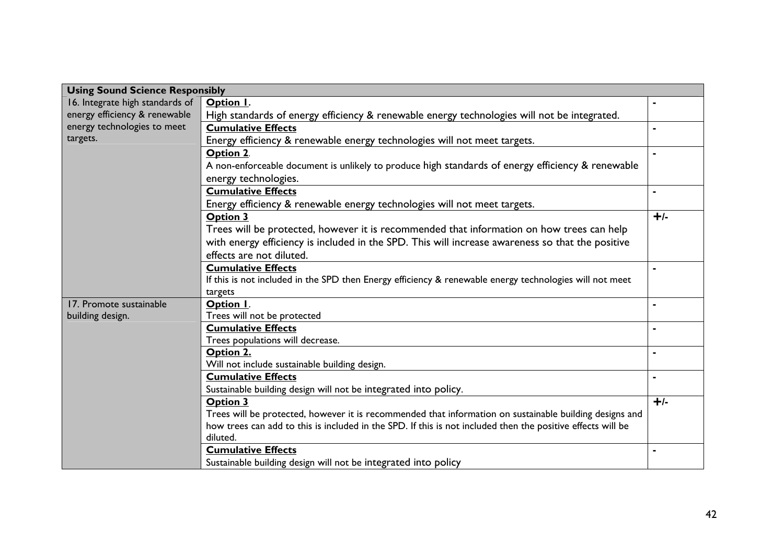| <b>Using Sound Science Responsibly</b> |                                                                                                             |       |
|----------------------------------------|-------------------------------------------------------------------------------------------------------------|-------|
| 16. Integrate high standards of        | Option I.                                                                                                   |       |
| energy efficiency & renewable          | High standards of energy efficiency & renewable energy technologies will not be integrated.                 |       |
| energy technologies to meet            | <b>Cumulative Effects</b>                                                                                   |       |
| targets.                               | Energy efficiency & renewable energy technologies will not meet targets.                                    |       |
|                                        | Option 2.                                                                                                   |       |
|                                        | A non-enforceable document is unlikely to produce high standards of energy efficiency & renewable           |       |
|                                        | energy technologies.                                                                                        |       |
|                                        | <b>Cumulative Effects</b>                                                                                   |       |
|                                        | Energy efficiency & renewable energy technologies will not meet targets.                                    |       |
|                                        | <b>Option 3</b>                                                                                             | $+/-$ |
|                                        | Trees will be protected, however it is recommended that information on how trees can help                   |       |
|                                        | with energy efficiency is included in the SPD. This will increase awareness so that the positive            |       |
|                                        | effects are not diluted.                                                                                    |       |
|                                        | <b>Cumulative Effects</b>                                                                                   |       |
|                                        | If this is not included in the SPD then Energy efficiency & renewable energy technologies will not meet     |       |
|                                        | targets                                                                                                     |       |
| 17. Promote sustainable                | Option I.                                                                                                   |       |
| building design.                       | Trees will not be protected                                                                                 |       |
|                                        | <b>Cumulative Effects</b>                                                                                   |       |
|                                        | Trees populations will decrease.                                                                            |       |
|                                        | Option 2.                                                                                                   |       |
|                                        | Will not include sustainable building design.                                                               |       |
|                                        | <b>Cumulative Effects</b>                                                                                   |       |
|                                        | Sustainable building design will not be integrated into policy.                                             |       |
|                                        | Option 3                                                                                                    | $+/-$ |
|                                        | Trees will be protected, however it is recommended that information on sustainable building designs and     |       |
|                                        | how trees can add to this is included in the SPD. If this is not included then the positive effects will be |       |
|                                        | diluted.                                                                                                    |       |
|                                        | <b>Cumulative Effects</b>                                                                                   |       |
|                                        | Sustainable building design will not be integrated into policy                                              |       |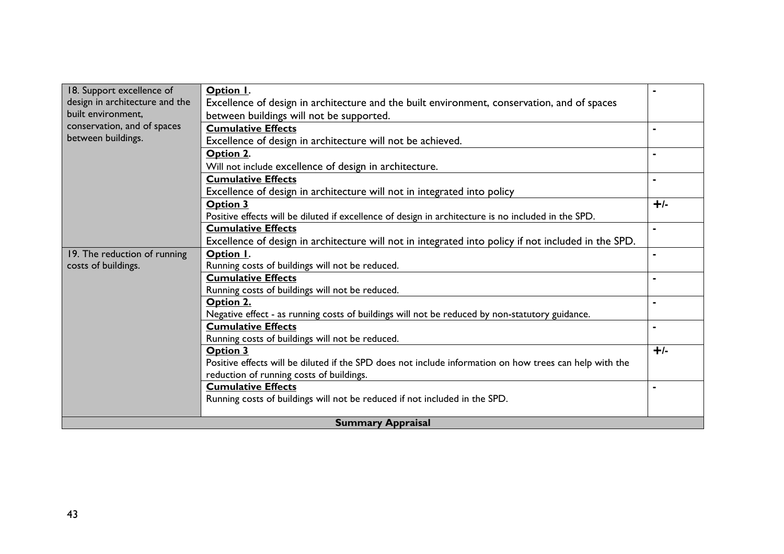| 18. Support excellence of      | Option I.                                                                                               |       |  |  |  |  |
|--------------------------------|---------------------------------------------------------------------------------------------------------|-------|--|--|--|--|
| design in architecture and the | Excellence of design in architecture and the built environment, conservation, and of spaces             |       |  |  |  |  |
| built environment,             | between buildings will not be supported.                                                                |       |  |  |  |  |
| conservation, and of spaces    | <b>Cumulative Effects</b>                                                                               |       |  |  |  |  |
| between buildings.             | Excellence of design in architecture will not be achieved.                                              |       |  |  |  |  |
|                                | Option 2.                                                                                               |       |  |  |  |  |
|                                | Will not include excellence of design in architecture.                                                  |       |  |  |  |  |
|                                | <b>Cumulative Effects</b>                                                                               |       |  |  |  |  |
|                                | Excellence of design in architecture will not in integrated into policy                                 |       |  |  |  |  |
|                                | <b>Option 3</b>                                                                                         | $+/-$ |  |  |  |  |
|                                | Positive effects will be diluted if excellence of design in architecture is no included in the SPD.     |       |  |  |  |  |
|                                | <b>Cumulative Effects</b>                                                                               |       |  |  |  |  |
|                                | Excellence of design in architecture will not in integrated into policy if not included in the SPD.     |       |  |  |  |  |
| 19. The reduction of running   | Option I.                                                                                               |       |  |  |  |  |
| costs of buildings.            | Running costs of buildings will not be reduced.                                                         |       |  |  |  |  |
|                                | <b>Cumulative Effects</b>                                                                               |       |  |  |  |  |
|                                | Running costs of buildings will not be reduced.                                                         |       |  |  |  |  |
|                                | Option 2.                                                                                               |       |  |  |  |  |
|                                | Negative effect - as running costs of buildings will not be reduced by non-statutory guidance.          |       |  |  |  |  |
|                                | <b>Cumulative Effects</b>                                                                               |       |  |  |  |  |
|                                | Running costs of buildings will not be reduced.                                                         |       |  |  |  |  |
|                                | <b>Option 3</b>                                                                                         | $+/-$ |  |  |  |  |
|                                | Positive effects will be diluted if the SPD does not include information on how trees can help with the |       |  |  |  |  |
|                                | reduction of running costs of buildings.                                                                |       |  |  |  |  |
|                                | <b>Cumulative Effects</b>                                                                               |       |  |  |  |  |
|                                | Running costs of buildings will not be reduced if not included in the SPD.                              |       |  |  |  |  |
|                                | <b>Summary Appraisal</b>                                                                                |       |  |  |  |  |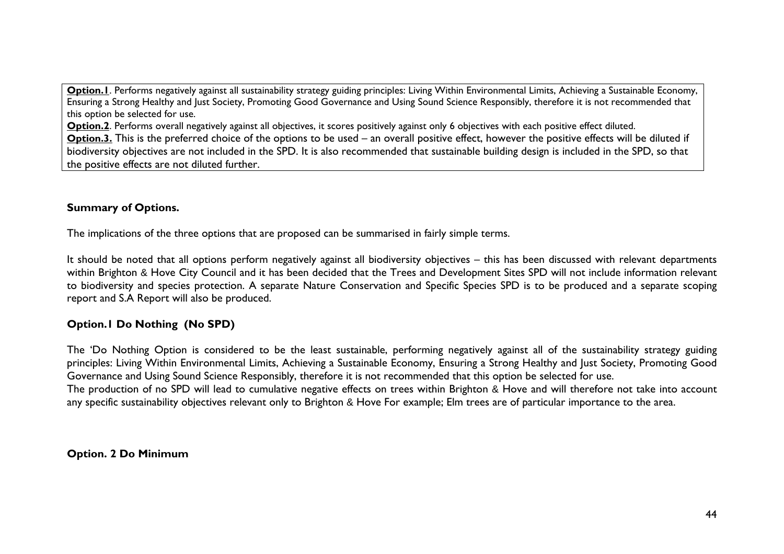**Option.1**. Performs negatively against all sustainability strategy guiding principles: Living Within Environmental Limits, Achieving a Sustainable Economy, Ensuring a Strong Healthy and Just Society, Promoting Good Governance and Using Sound Science Responsibly, therefore it is not recommended that this option be selected for use.

**Option.2.** Performs overall negatively against all objectives, it scores positively against only 6 objectives with each positive effect diluted. **Option.3.** This is the preferred choice of the options to be used – an overall positive effect, however the positive effects will be diluted if biodiversity objectives are not included in the SPD. It is also recommended that sustainable building design is included in the SPD, so that the positive effects are not diluted further.

## **Summary of Options.**

The implications of the three options that are proposed can be summarised in fairly simple terms.

It should be noted that all options perform negatively against all biodiversity objectives – this has been discussed with relevant departments within Brighton & Hove City Council and it has been decided that the Trees and Development Sites SPD will not include information relevant to biodiversity and species protection. A separate Nature Conservation and Specific Species SPD is to be produced and a separate scoping report and S.A Report will also be produced.

## **Option.1 Do Nothing (No SPD)**

The 'Do Nothing Option is considered to be the least sustainable, performing negatively against all of the sustainability strategy guiding principles: Living Within Environmental Limits, Achieving a Sustainable Economy, Ensuring a Strong Healthy and Just Society, Promoting Good Governance and Using Sound Science Responsibly, therefore it is not recommended that this option be selected for use. The production of no SPD will lead to cumulative negative effects on trees within Brighton & Hove and will therefore not take into account any specific sustainability objectives relevant only to Brighton & Hove For example; Elm trees are of particular importance to the area.

## **Option. 2 Do Minimum**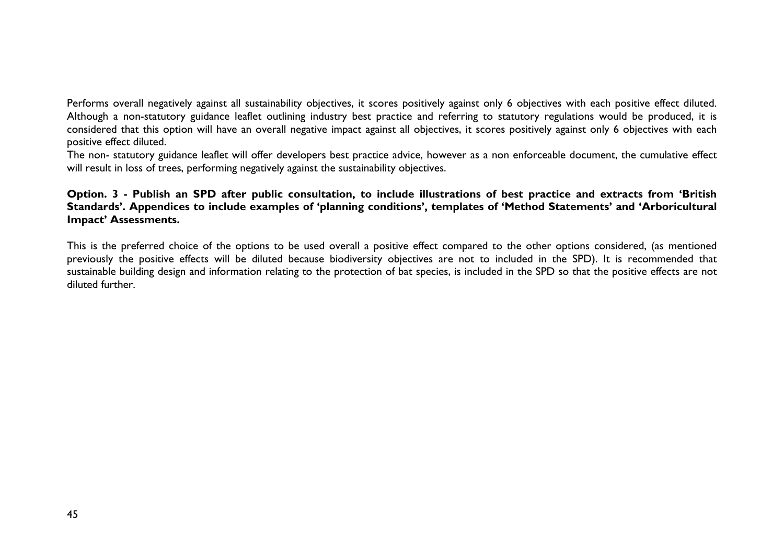Performs overall negatively against all sustainability objectives, it scores positively against only 6 objectives with each positive effect diluted. Although a non-statutory guidance leaflet outlining industry best practice and referring to statutory regulations would be produced, it is considered that this option will have an overall negative impact against all objectives, it scores positively against only 6 objectives with each positive effect diluted.

The non- statutory guidance leaflet will offer developers best practice advice, however as a non enforceable document, the cumulative effect will result in loss of trees, performing negatively against the sustainability objectives.

#### **Option. 3 - Publish an SPD after public consultation, to include illustrations of best practice and extracts from 'British Standards'. Appendices to include examples of 'planning conditions', templates of 'Method Statements' and 'Arboricultural Impact' Assessments.**

This is the preferred choice of the options to be used overall a positive effect compared to the other options considered, (as mentioned previously the positive effects will be diluted because biodiversity objectives are not to included in the SPD). It is recommended that sustainable building design and information relating to the protection of bat species, is included in the SPD so that the positive effects are not diluted further.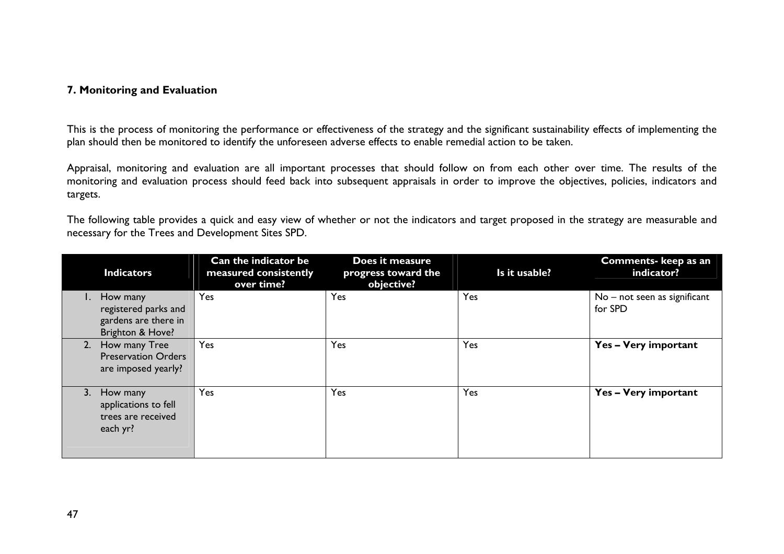#### **7. Monitoring and Evaluation**

This is the process of monitoring the performance or effectiveness of the strategy and the significant sustainability effects of implementing the plan should then be monitored to identify the unforeseen adverse effects to enable remedial action to be taken.

Appraisal, monitoring and evaluation are all important processes that should follow on from each other over time. The results of the monitoring and evaluation process should feed back into subsequent appraisals in order to improve the objectives, policies, indicators and targets.

The following table provides a quick and easy view of whether or not the indicators and target proposed in the strategy are measurable and necessary for the Trees and Development Sites SPD.

| <b>Indicators</b>                                                            | Can the indicator be<br>measured consistently | Does it measure<br>progress toward the | Is it usable? | <b>Comments- keep as an</b><br>indicator? |
|------------------------------------------------------------------------------|-----------------------------------------------|----------------------------------------|---------------|-------------------------------------------|
| How many<br>registered parks and<br>gardens are there in<br>Brighton & Hove? | over time?<br>Yes                             | objective?<br>Yes                      | Yes           | $No$ – not seen as significant<br>for SPD |
| 2. How many Tree<br><b>Preservation Orders</b><br>are imposed yearly?        | Yes                                           | Yes                                    | Yes           | Yes - Very important                      |
| 3. How many<br>applications to fell<br>trees are received<br>each yr?        | Yes                                           | Yes                                    | Yes           | Yes - Very important                      |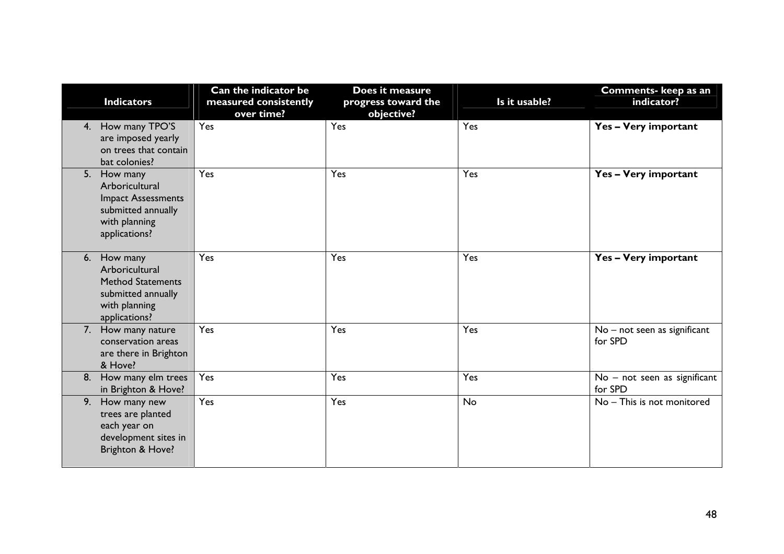|    | <b>Indicators</b>                                                                                                  | Can the indicator be<br>measured consistently<br>over time? | Does it measure<br>progress toward the<br>objective? | Is it usable? | Comments- keep as an<br>indicator?      |
|----|--------------------------------------------------------------------------------------------------------------------|-------------------------------------------------------------|------------------------------------------------------|---------------|-----------------------------------------|
|    | 4. How many TPO'S<br>are imposed yearly<br>on trees that contain<br>bat colonies?                                  | Yes                                                         | Yes                                                  | Yes           | Yes - Very important                    |
|    | 5. How many<br>Arboricultural<br><b>Impact Assessments</b><br>submitted annually<br>with planning<br>applications? | Yes                                                         | Yes                                                  | Yes           | Yes - Very important                    |
|    | 6. How many<br>Arboricultural<br><b>Method Statements</b><br>submitted annually<br>with planning<br>applications?  | Yes                                                         | Yes                                                  | Yes           | Yes - Very important                    |
|    | 7. How many nature<br>conservation areas<br>are there in Brighton<br>& Hove?                                       | Yes                                                         | Yes                                                  | Yes           | No - not seen as significant<br>for SPD |
|    | 8. How many elm trees<br>in Brighton & Hove?                                                                       | Yes                                                         | Yes                                                  | Yes           | No - not seen as significant<br>for SPD |
| 9. | How many new<br>trees are planted<br>each year on<br>development sites in<br>Brighton & Hove?                      | Yes                                                         | Yes                                                  | No            | No - This is not monitored              |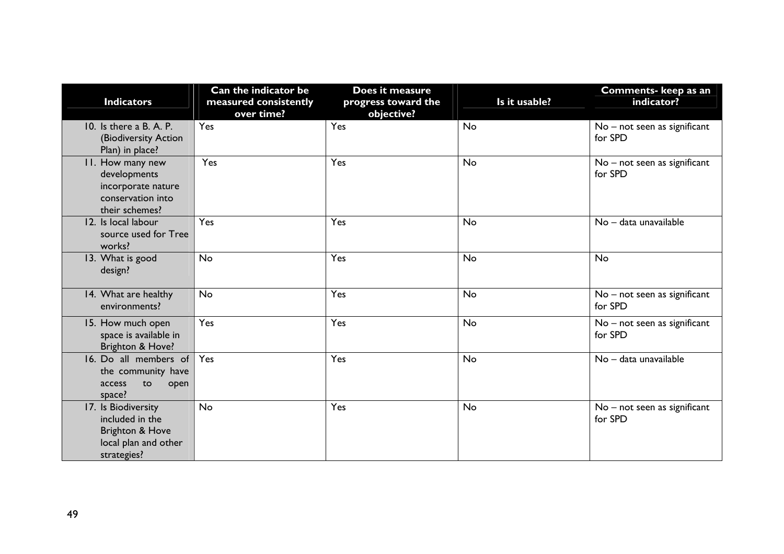| <b>Indicators</b>                   | Can the indicator be<br>measured consistently | Does it measure<br>progress toward the | Is it usable? | Comments- keep as an<br>indicator? |
|-------------------------------------|-----------------------------------------------|----------------------------------------|---------------|------------------------------------|
|                                     | over time?                                    | objective?                             |               |                                    |
| 10. Is there a B. A. P.             | Yes                                           | Yes                                    | <b>No</b>     | No - not seen as significant       |
| (Biodiversity Action                |                                               |                                        |               | for SPD                            |
| Plan) in place?                     |                                               |                                        |               |                                    |
| 11. How many new                    | Yes                                           | Yes                                    | <b>No</b>     | No - not seen as significant       |
| developments                        |                                               |                                        |               | for SPD                            |
| incorporate nature                  |                                               |                                        |               |                                    |
| conservation into<br>their schemes? |                                               |                                        |               |                                    |
| 12. Is local labour                 | Yes                                           | Yes                                    | <b>No</b>     | No - data unavailable              |
| source used for Tree                |                                               |                                        |               |                                    |
| works?                              |                                               |                                        |               |                                    |
| 13. What is good                    | <b>No</b>                                     | Yes                                    | No            | <b>No</b>                          |
| design?                             |                                               |                                        |               |                                    |
|                                     |                                               |                                        |               |                                    |
| 14. What are healthy                | No                                            | Yes                                    | No            | No - not seen as significant       |
| environments?                       |                                               |                                        |               | for SPD                            |
| 15. How much open                   | Yes                                           | Yes                                    | No            | No - not seen as significant       |
| space is available in               |                                               |                                        |               | for SPD                            |
| Brighton & Hove?                    |                                               |                                        |               |                                    |
| 16. Do all members of               | Yes                                           | Yes                                    | <b>No</b>     | No - data unavailable              |
| the community have                  |                                               |                                        |               |                                    |
| to<br>access<br>open                |                                               |                                        |               |                                    |
| space?                              |                                               |                                        |               |                                    |
| 17. Is Biodiversity                 | <b>No</b>                                     | Yes                                    | <b>No</b>     | No – not seen as significant       |
| included in the                     |                                               |                                        |               | for SPD                            |
| Brighton & Hove                     |                                               |                                        |               |                                    |
| local plan and other                |                                               |                                        |               |                                    |
| strategies?                         |                                               |                                        |               |                                    |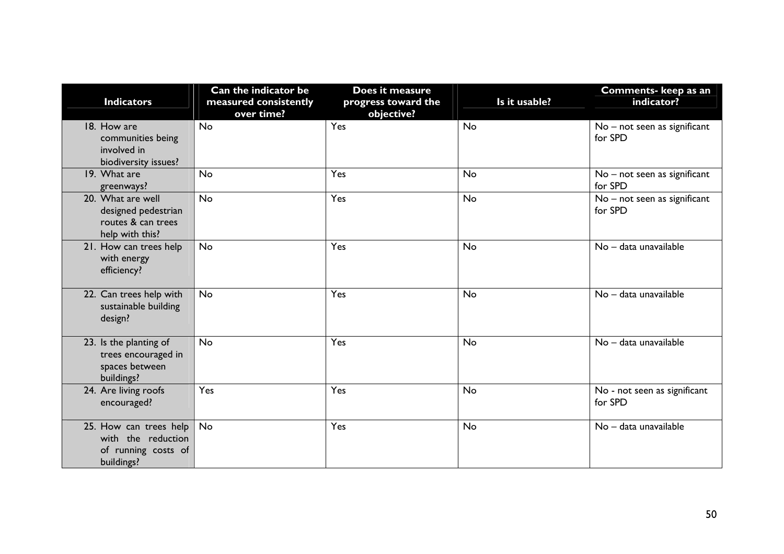| <b>Indicators</b>                                                                 | Can the indicator be<br>measured consistently<br>over time? | Does it measure<br>progress toward the<br>objective? | Is it usable? | Comments- keep as an<br>indicator?      |
|-----------------------------------------------------------------------------------|-------------------------------------------------------------|------------------------------------------------------|---------------|-----------------------------------------|
| 18. How are<br>communities being<br>involved in<br>biodiversity issues?           | <b>No</b>                                                   | Yes                                                  | No            | No - not seen as significant<br>for SPD |
| 19. What are<br>greenways?                                                        | <b>No</b>                                                   | Yes                                                  | No            | No - not seen as significant<br>for SPD |
| 20. What are well<br>designed pedestrian<br>routes & can trees<br>help with this? | <b>No</b>                                                   | Yes                                                  | No            | No - not seen as significant<br>for SPD |
| 21. How can trees help<br>with energy<br>efficiency?                              | <b>No</b>                                                   | Yes                                                  | No            | No - data unavailable                   |
| 22. Can trees help with<br>sustainable building<br>design?                        | <b>No</b>                                                   | Yes                                                  | No            | No - data unavailable                   |
| 23. Is the planting of<br>trees encouraged in<br>spaces between<br>buildings?     | <b>No</b>                                                   | Yes                                                  | No            | No - data unavailable                   |
| 24. Are living roofs<br>encouraged?                                               | Yes                                                         | Yes                                                  | No            | No - not seen as significant<br>for SPD |
| 25. How can trees help<br>with the reduction<br>of running costs of<br>buildings? | No                                                          | Yes                                                  | No            | No - data unavailable                   |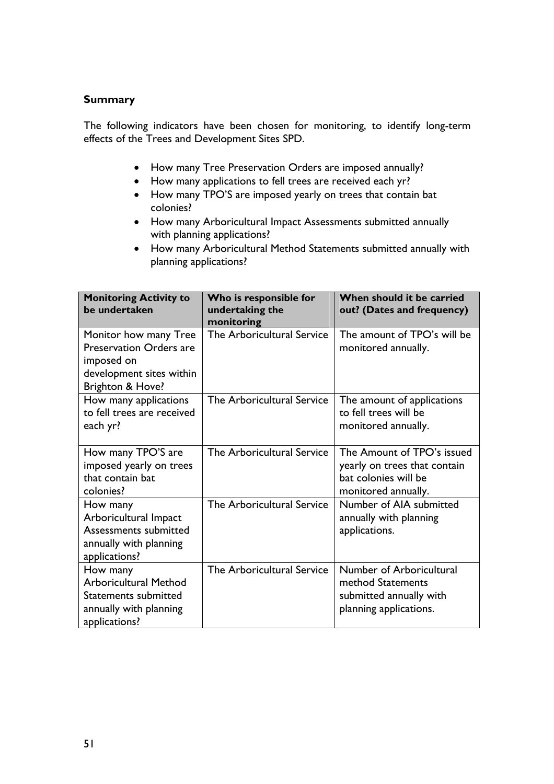#### **Summary**

The following indicators have been chosen for monitoring, to identify long-term effects of the Trees and Development Sites SPD.

- How many Tree Preservation Orders are imposed annually?
- How many applications to fell trees are received each yr?
- How many TPO'S are imposed yearly on trees that contain bat colonies?
- How many Arboricultural Impact Assessments submitted annually with planning applications?
- How many Arboricultural Method Statements submitted annually with planning applications?

| <b>Monitoring Activity to</b><br>be undertaken | Who is responsible for<br>undertaking the<br>monitoring | When should it be carried<br>out? (Dates and frequency) |
|------------------------------------------------|---------------------------------------------------------|---------------------------------------------------------|
| Monitor how many Tree                          | The Arboricultural Service                              | The amount of TPO's will be                             |
| <b>Preservation Orders are</b>                 |                                                         | monitored annually.                                     |
| imposed on<br>development sites within         |                                                         |                                                         |
| Brighton & Hove?                               |                                                         |                                                         |
| How many applications                          | The Arboricultural Service                              | The amount of applications                              |
| to fell trees are received                     |                                                         | to fell trees will be                                   |
| each yr?                                       |                                                         | monitored annually.                                     |
| How many TPO'S are                             | The Arboricultural Service                              | The Amount of TPO's issued                              |
| imposed yearly on trees                        |                                                         | yearly on trees that contain                            |
| that contain bat                               |                                                         | bat colonies will be                                    |
| colonies?                                      |                                                         | monitored annually.                                     |
| How many                                       | The Arboricultural Service                              | Number of AIA submitted                                 |
| Arboricultural Impact<br>Assessments submitted |                                                         | annually with planning                                  |
| annually with planning                         |                                                         | applications.                                           |
| applications?                                  |                                                         |                                                         |
| How many                                       | The Arboricultural Service                              | Number of Arboricultural                                |
| <b>Arboricultural Method</b>                   |                                                         | method Statements                                       |
| Statements submitted                           |                                                         | submitted annually with                                 |
| annually with planning                         |                                                         | planning applications.                                  |
| applications?                                  |                                                         |                                                         |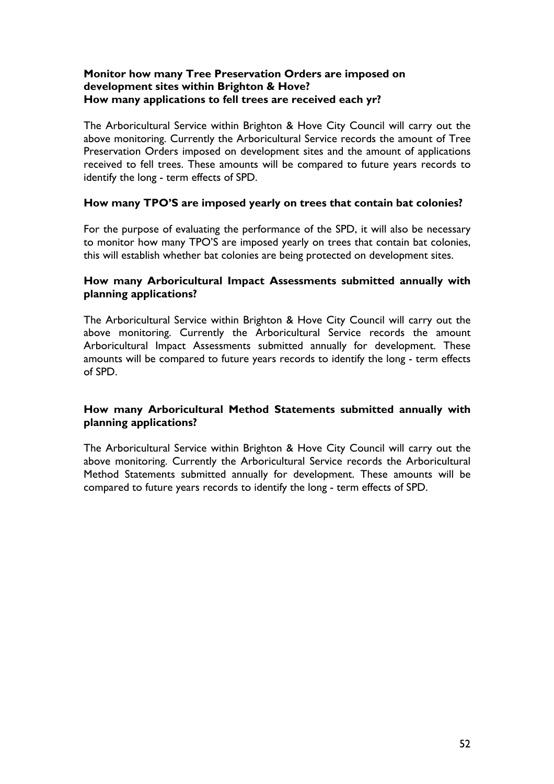#### **Monitor how many Tree Preservation Orders are imposed on development sites within Brighton & Hove? How many applications to fell trees are received each yr?**

The Arboricultural Service within Brighton & Hove City Council will carry out the above monitoring. Currently the Arboricultural Service records the amount of Tree Preservation Orders imposed on development sites and the amount of applications received to fell trees. These amounts will be compared to future years records to identify the long - term effects of SPD.

#### **How many TPO'S are imposed yearly on trees that contain bat colonies?**

For the purpose of evaluating the performance of the SPD, it will also be necessary to monitor how many TPO'S are imposed yearly on trees that contain bat colonies, this will establish whether bat colonies are being protected on development sites.

#### **How many Arboricultural Impact Assessments submitted annually with planning applications?**

The Arboricultural Service within Brighton & Hove City Council will carry out the above monitoring. Currently the Arboricultural Service records the amount Arboricultural Impact Assessments submitted annually for development. These amounts will be compared to future years records to identify the long - term effects of SPD.

#### **How many Arboricultural Method Statements submitted annually with planning applications?**

The Arboricultural Service within Brighton & Hove City Council will carry out the above monitoring. Currently the Arboricultural Service records the Arboricultural Method Statements submitted annually for development. These amounts will be compared to future years records to identify the long - term effects of SPD.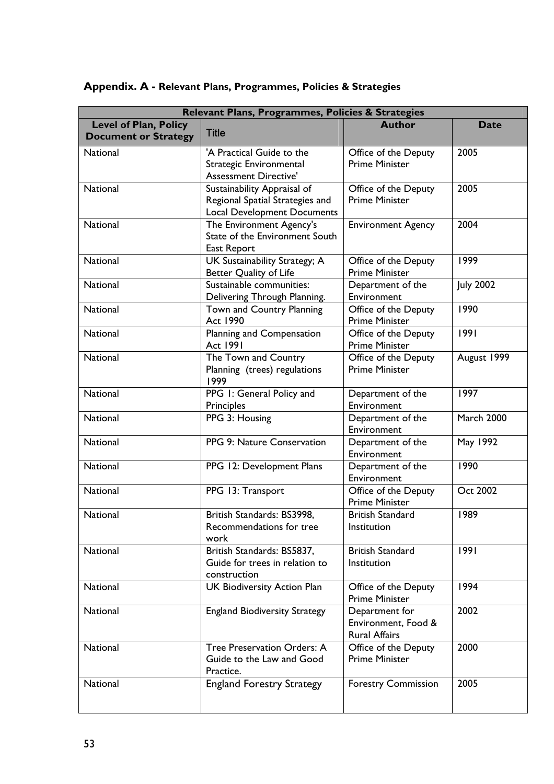| Relevant Plans, Programmes, Policies & Strategies           |                                                                                                      |                                                               |                  |
|-------------------------------------------------------------|------------------------------------------------------------------------------------------------------|---------------------------------------------------------------|------------------|
| <b>Level of Plan, Policy</b><br><b>Document or Strategy</b> | <b>Title</b>                                                                                         | <b>Author</b>                                                 | <b>Date</b>      |
| <b>National</b>                                             | 'A Practical Guide to the<br>Strategic Environmental<br><b>Assessment Directive'</b>                 | Office of the Deputy<br><b>Prime Minister</b>                 | 2005             |
| National                                                    | Sustainability Appraisal of<br>Regional Spatial Strategies and<br><b>Local Development Documents</b> | Office of the Deputy<br><b>Prime Minister</b>                 | 2005             |
| National                                                    | The Environment Agency's<br>State of the Environment South<br>East Report                            | <b>Environment Agency</b>                                     | 2004             |
| <b>National</b>                                             | UK Sustainability Strategy; A<br>Better Quality of Life                                              | Office of the Deputy<br><b>Prime Minister</b>                 | 1999             |
| <b>National</b>                                             | Sustainable communities:<br>Delivering Through Planning.                                             | Department of the<br>Environment                              | <b>July 2002</b> |
| <b>National</b>                                             | Town and Country Planning<br>Act 1990                                                                | Office of the Deputy<br><b>Prime Minister</b>                 | 1990             |
| <b>National</b>                                             | Planning and Compensation<br><b>Act 1991</b>                                                         | Office of the Deputy<br><b>Prime Minister</b>                 | 1991             |
| <b>National</b>                                             | The Town and Country<br>Planning (trees) regulations<br>1999                                         | Office of the Deputy<br><b>Prime Minister</b>                 | August 1999      |
| <b>National</b>                                             | PPG 1: General Policy and<br>Principles                                                              | Department of the<br>Environment                              | 1997             |
| National                                                    | PPG 3: Housing                                                                                       | Department of the<br>Environment                              | March 2000       |
| <b>National</b>                                             | PPG 9: Nature Conservation                                                                           | Department of the<br>Environment                              | May 1992         |
| <b>National</b>                                             | PPG 12: Development Plans                                                                            | Department of the<br>Environment                              | 1990             |
| National                                                    | PPG 13: Transport                                                                                    | Office of the Deputy<br><b>Prime Minister</b>                 | Oct 2002         |
| National                                                    | British Standards: BS3998,<br>Recommendations for tree<br>work                                       | <b>British Standard</b><br>Institution                        | 1989             |
| National                                                    | British Standards: BS5837,<br>Guide for trees in relation to<br>construction                         | <b>British Standard</b><br>Institution                        | 1991             |
| National                                                    | <b>UK Biodiversity Action Plan</b>                                                                   | Office of the Deputy<br><b>Prime Minister</b>                 | 1994             |
| National                                                    | <b>England Biodiversity Strategy</b>                                                                 | Department for<br>Environment, Food &<br><b>Rural Affairs</b> | 2002             |
| National                                                    | Tree Preservation Orders: A<br>Guide to the Law and Good<br>Practice.                                | Office of the Deputy<br><b>Prime Minister</b>                 | 2000             |
| National                                                    | <b>England Forestry Strategy</b>                                                                     | <b>Forestry Commission</b>                                    | 2005             |

# **Appendix. A - Relevant Plans, Programmes, Policies & Strategies**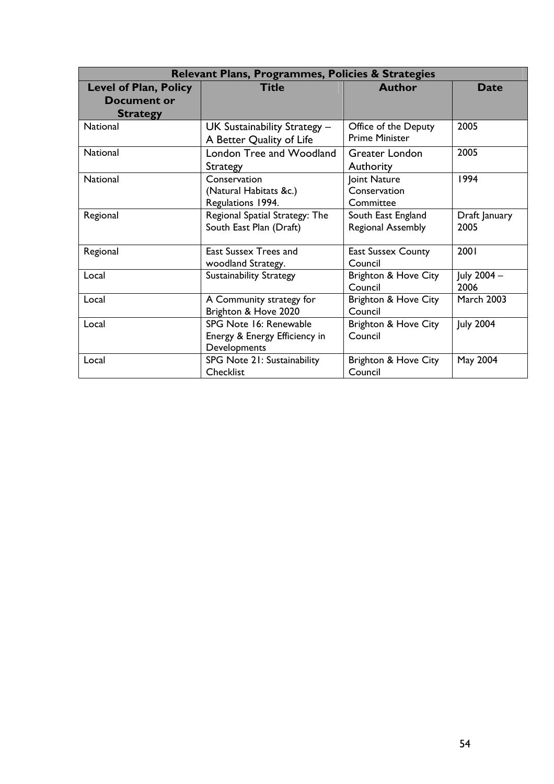|                              | Relevant Plans, Programmes, Policies & Strategies |                           |                   |
|------------------------------|---------------------------------------------------|---------------------------|-------------------|
| <b>Level of Plan, Policy</b> | <b>Title</b>                                      | Author                    | <b>Date</b>       |
| Document or                  |                                                   |                           |                   |
| <b>Strategy</b>              |                                                   |                           |                   |
| <b>National</b>              | UK Sustainability Strategy $-$                    | Office of the Deputy      | 2005              |
|                              | A Better Quality of Life                          | <b>Prime Minister</b>     |                   |
| <b>National</b>              | London Tree and Woodland                          | Greater London            | 2005              |
|                              | Strategy                                          | Authority                 |                   |
| <b>National</b>              | Conservation                                      | Joint Nature              | 1994              |
|                              | (Natural Habitats &c.)                            | Conservation              |                   |
|                              | Regulations 1994.                                 | Committee                 |                   |
| Regional                     | Regional Spatial Strategy: The                    | South East England        | Draft January     |
|                              | South East Plan (Draft)                           | Regional Assembly         | 2005              |
|                              |                                                   |                           |                   |
| Regional                     | East Sussex Trees and                             | <b>East Sussex County</b> | 2001              |
|                              | woodland Strategy.                                | Council                   |                   |
| Local                        | <b>Sustainability Strategy</b>                    | Brighton & Hove City      | July 2004 -       |
|                              |                                                   | Council                   | 2006              |
| Local                        | A Community strategy for                          | Brighton & Hove City      | <b>March 2003</b> |
|                              | Brighton & Hove 2020                              | Council                   |                   |
| Local                        | SPG Note 16: Renewable                            | Brighton & Hove City      | <b>July 2004</b>  |
|                              | Energy & Energy Efficiency in                     | Council                   |                   |
|                              | Developments                                      |                           |                   |
| Local                        | SPG Note 21: Sustainability                       | Brighton & Hove City      | May 2004          |
|                              | Checklist                                         | Council                   |                   |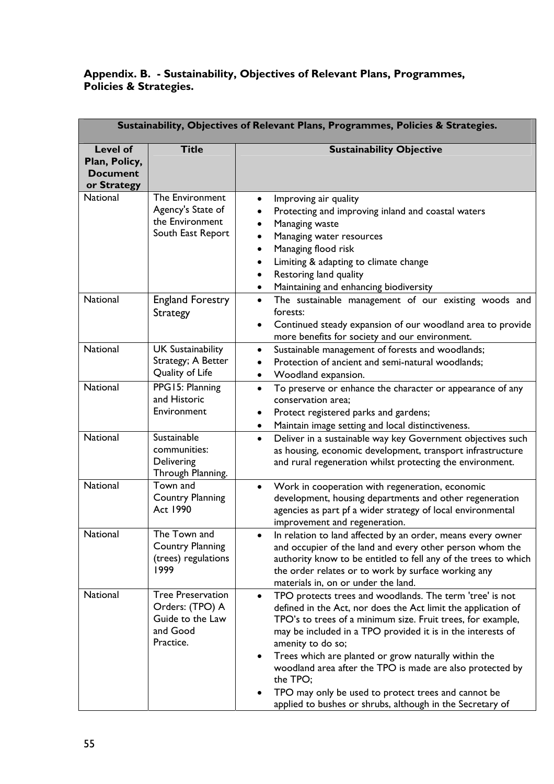## **Appendix. B. - Sustainability, Objectives of Relevant Plans, Programmes, Policies & Strategies.**

|                                                                    | Sustainability, Objectives of Relevant Plans, Programmes, Policies & Strategies.         |                                                                                                                                                                                                                                                                                                                                                                                                                                                                                                                                                             |  |  |
|--------------------------------------------------------------------|------------------------------------------------------------------------------------------|-------------------------------------------------------------------------------------------------------------------------------------------------------------------------------------------------------------------------------------------------------------------------------------------------------------------------------------------------------------------------------------------------------------------------------------------------------------------------------------------------------------------------------------------------------------|--|--|
| <b>Level of</b><br>Plan, Policy,<br><b>Document</b><br>or Strategy | <b>Title</b>                                                                             | <b>Sustainability Objective</b>                                                                                                                                                                                                                                                                                                                                                                                                                                                                                                                             |  |  |
| National                                                           | The Environment<br>Agency's State of<br>the Environment<br>South East Report             | Improving air quality<br>٠<br>Protecting and improving inland and coastal waters<br>Managing waste<br>Managing water resources<br>Managing flood risk<br>Limiting & adapting to climate change<br>Restoring land quality<br>Maintaining and enhancing biodiversity                                                                                                                                                                                                                                                                                          |  |  |
| <b>National</b>                                                    | <b>England Forestry</b><br><b>Strategy</b>                                               | The sustainable management of our existing woods and<br>$\bullet$<br>forests:<br>Continued steady expansion of our woodland area to provide<br>more benefits for society and our environment.                                                                                                                                                                                                                                                                                                                                                               |  |  |
| National                                                           | <b>UK Sustainability</b><br>Strategy; A Better<br>Quality of Life                        | Sustainable management of forests and woodlands;<br>$\bullet$<br>Protection of ancient and semi-natural woodlands;<br>Woodland expansion.                                                                                                                                                                                                                                                                                                                                                                                                                   |  |  |
| <b>National</b>                                                    | PPG15: Planning<br>and Historic<br>Environment                                           | To preserve or enhance the character or appearance of any<br>$\bullet$<br>conservation area;<br>Protect registered parks and gardens;<br>Maintain image setting and local distinctiveness.                                                                                                                                                                                                                                                                                                                                                                  |  |  |
| National                                                           | Sustainable<br>communities:<br>Delivering<br>Through Planning.                           | Deliver in a sustainable way key Government objectives such<br>$\bullet$<br>as housing, economic development, transport infrastructure<br>and rural regeneration whilst protecting the environment.                                                                                                                                                                                                                                                                                                                                                         |  |  |
| National                                                           | Town and<br><b>Country Planning</b><br>Act 1990                                          | Work in cooperation with regeneration, economic<br>development, housing departments and other regeneration<br>agencies as part pf a wider strategy of local environmental<br>improvement and regeneration.                                                                                                                                                                                                                                                                                                                                                  |  |  |
| National                                                           | The Town and<br><b>Country Planning</b><br>(trees) regulations<br>1999                   | In relation to land affected by an order, means every owner<br>and occupier of the land and every other person whom the<br>authority know to be entitled to fell any of the trees to which<br>the order relates or to work by surface working any<br>materials in, on or under the land.                                                                                                                                                                                                                                                                    |  |  |
| National                                                           | <b>Tree Preservation</b><br>Orders: (TPO) A<br>Guide to the Law<br>and Good<br>Practice. | TPO protects trees and woodlands. The term 'tree' is not<br>$\bullet$<br>defined in the Act, nor does the Act limit the application of<br>TPO's to trees of a minimum size. Fruit trees, for example,<br>may be included in a TPO provided it is in the interests of<br>amenity to do so;<br>Trees which are planted or grow naturally within the<br>$\bullet$<br>woodland area after the TPO is made are also protected by<br>the TPO;<br>TPO may only be used to protect trees and cannot be<br>applied to bushes or shrubs, although in the Secretary of |  |  |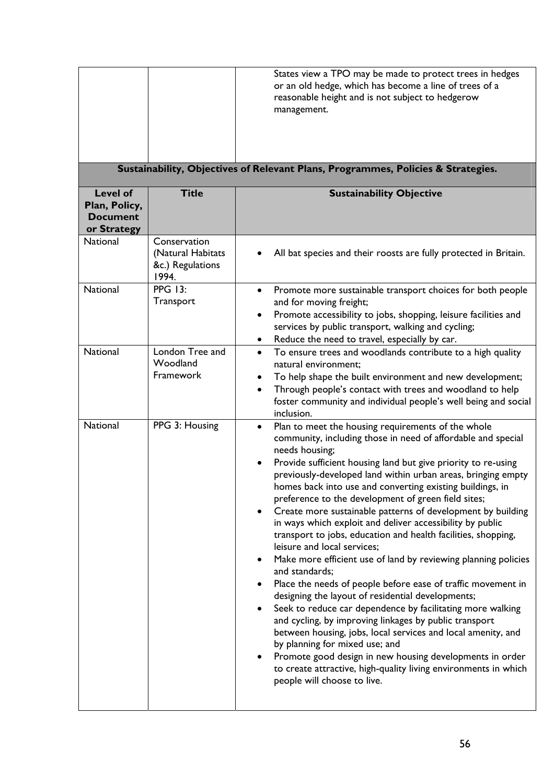|                                                                                  |                                                                | States view a TPO may be made to protect trees in hedges<br>or an old hedge, which has become a line of trees of a<br>reasonable height and is not subject to hedgerow<br>management.                                                                                                                                                                                                                                                                                                                                                                                                                                                                                                                                                                                                                                                                                                                                                                                                                                                                                                                                                                                                                                                                 |  |  |  |  |
|----------------------------------------------------------------------------------|----------------------------------------------------------------|-------------------------------------------------------------------------------------------------------------------------------------------------------------------------------------------------------------------------------------------------------------------------------------------------------------------------------------------------------------------------------------------------------------------------------------------------------------------------------------------------------------------------------------------------------------------------------------------------------------------------------------------------------------------------------------------------------------------------------------------------------------------------------------------------------------------------------------------------------------------------------------------------------------------------------------------------------------------------------------------------------------------------------------------------------------------------------------------------------------------------------------------------------------------------------------------------------------------------------------------------------|--|--|--|--|
| Sustainability, Objectives of Relevant Plans, Programmes, Policies & Strategies. |                                                                |                                                                                                                                                                                                                                                                                                                                                                                                                                                                                                                                                                                                                                                                                                                                                                                                                                                                                                                                                                                                                                                                                                                                                                                                                                                       |  |  |  |  |
| <b>Level of</b><br>Plan, Policy,<br><b>Document</b><br>or Strategy               | <b>Title</b>                                                   | <b>Sustainability Objective</b>                                                                                                                                                                                                                                                                                                                                                                                                                                                                                                                                                                                                                                                                                                                                                                                                                                                                                                                                                                                                                                                                                                                                                                                                                       |  |  |  |  |
| <b>National</b>                                                                  | Conservation<br>(Natural Habitats<br>&c.) Regulations<br>1994. | All bat species and their roosts are fully protected in Britain.                                                                                                                                                                                                                                                                                                                                                                                                                                                                                                                                                                                                                                                                                                                                                                                                                                                                                                                                                                                                                                                                                                                                                                                      |  |  |  |  |
| National                                                                         | <b>PPG 13:</b><br>Transport                                    | Promote more sustainable transport choices for both people<br>$\bullet$<br>and for moving freight;<br>Promote accessibility to jobs, shopping, leisure facilities and<br>$\bullet$<br>services by public transport, walking and cycling;<br>Reduce the need to travel, especially by car.<br>٠                                                                                                                                                                                                                                                                                                                                                                                                                                                                                                                                                                                                                                                                                                                                                                                                                                                                                                                                                        |  |  |  |  |
| National                                                                         | London Tree and<br>Woodland<br>Framework                       | To ensure trees and woodlands contribute to a high quality<br>$\bullet$<br>natural environment;<br>To help shape the built environment and new development;<br>٠<br>Through people's contact with trees and woodland to help<br>$\bullet$<br>foster community and individual people's well being and social<br>inclusion.                                                                                                                                                                                                                                                                                                                                                                                                                                                                                                                                                                                                                                                                                                                                                                                                                                                                                                                             |  |  |  |  |
| National                                                                         | PPG 3: Housing                                                 | Plan to meet the housing requirements of the whole<br>$\bullet$<br>community, including those in need of affordable and special<br>needs housing;<br>Provide sufficient housing land but give priority to re-using<br>previously-developed land within urban areas, bringing empty<br>homes back into use and converting existing buildings, in<br>preference to the development of green field sites;<br>Create more sustainable patterns of development by building<br>$\bullet$<br>in ways which exploit and deliver accessibility by public<br>transport to jobs, education and health facilities, shopping,<br>leisure and local services;<br>Make more efficient use of land by reviewing planning policies<br>and standards;<br>Place the needs of people before ease of traffic movement in<br>٠<br>designing the layout of residential developments;<br>Seek to reduce car dependence by facilitating more walking<br>and cycling, by improving linkages by public transport<br>between housing, jobs, local services and local amenity, and<br>by planning for mixed use; and<br>Promote good design in new housing developments in order<br>to create attractive, high-quality living environments in which<br>people will choose to live. |  |  |  |  |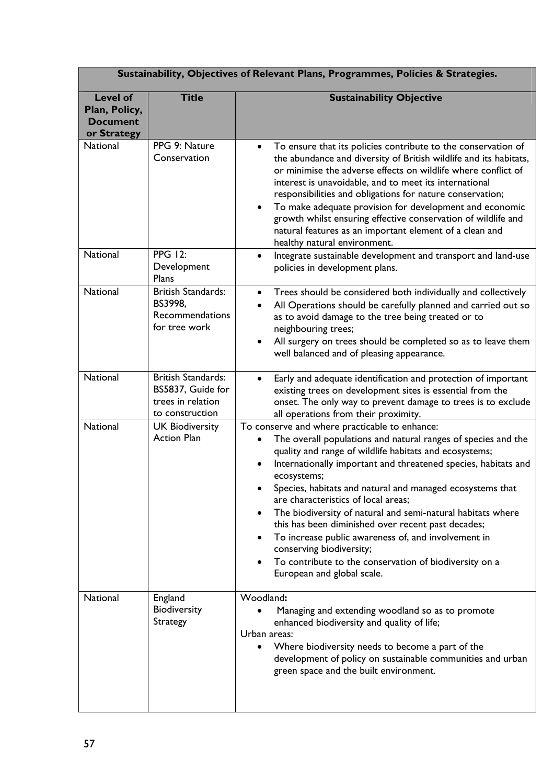| Sustainability, Objectives of Relevant Plans, Programmes, Policies & Strategies. |                                                                                        |                                                                                                                                                                                                                                                                                                                                                                                                                                                                                                                                                                                                                                                                                 |  |  |
|----------------------------------------------------------------------------------|----------------------------------------------------------------------------------------|---------------------------------------------------------------------------------------------------------------------------------------------------------------------------------------------------------------------------------------------------------------------------------------------------------------------------------------------------------------------------------------------------------------------------------------------------------------------------------------------------------------------------------------------------------------------------------------------------------------------------------------------------------------------------------|--|--|
| <b>Level of</b><br>Plan, Policy,<br><b>Document</b><br>or Strategy               | <b>Title</b>                                                                           | <b>Sustainability Objective</b>                                                                                                                                                                                                                                                                                                                                                                                                                                                                                                                                                                                                                                                 |  |  |
| <b>National</b>                                                                  | PPG 9: Nature<br>Conservation                                                          | To ensure that its policies contribute to the conservation of<br>$\bullet$<br>the abundance and diversity of British wildlife and its habitats,<br>or minimise the adverse effects on wildlife where conflict of<br>interest is unavoidable, and to meet its international<br>responsibilities and obligations for nature conservation;<br>To make adequate provision for development and economic<br>$\bullet$<br>growth whilst ensuring effective conservation of wildlife and<br>natural features as an important element of a clean and<br>healthy natural environment.                                                                                                     |  |  |
| <b>National</b>                                                                  | <b>PPG 12:</b><br>Development<br>Plans                                                 | Integrate sustainable development and transport and land-use<br>$\bullet$<br>policies in development plans.                                                                                                                                                                                                                                                                                                                                                                                                                                                                                                                                                                     |  |  |
| National                                                                         | <b>British Standards:</b><br>BS3998,<br>Recommendations<br>for tree work               | Trees should be considered both individually and collectively<br>$\bullet$<br>All Operations should be carefully planned and carried out so<br>$\bullet$<br>as to avoid damage to the tree being treated or to<br>neighbouring trees;<br>All surgery on trees should be completed so as to leave them<br>well balanced and of pleasing appearance.                                                                                                                                                                                                                                                                                                                              |  |  |
| National                                                                         | <b>British Standards:</b><br>BS5837, Guide for<br>trees in relation<br>to construction | Early and adequate identification and protection of important<br>$\bullet$<br>existing trees on development sites is essential from the<br>onset. The only way to prevent damage to trees is to exclude<br>all operations from their proximity.                                                                                                                                                                                                                                                                                                                                                                                                                                 |  |  |
| National                                                                         | <b>UK Biodiversity</b><br><b>Action Plan</b>                                           | To conserve and where practicable to enhance:<br>The overall populations and natural ranges of species and the<br>٠<br>quality and range of wildlife habitats and ecosystems;<br>Internationally important and threatened species, habitats and<br>ecosystems;<br>Species, habitats and natural and managed ecosystems that<br>are characteristics of local areas;<br>The biodiversity of natural and semi-natural habitats where<br>$\bullet$<br>this has been diminished over recent past decades;<br>To increase public awareness of, and involvement in<br>conserving biodiversity;<br>To contribute to the conservation of biodiversity on a<br>European and global scale. |  |  |
| National                                                                         | England<br>Biodiversity<br>Strategy                                                    | Woodland:<br>Managing and extending woodland so as to promote<br>enhanced biodiversity and quality of life;<br>Urban areas:<br>Where biodiversity needs to become a part of the<br>$\bullet$<br>development of policy on sustainable communities and urban<br>green space and the built environment.                                                                                                                                                                                                                                                                                                                                                                            |  |  |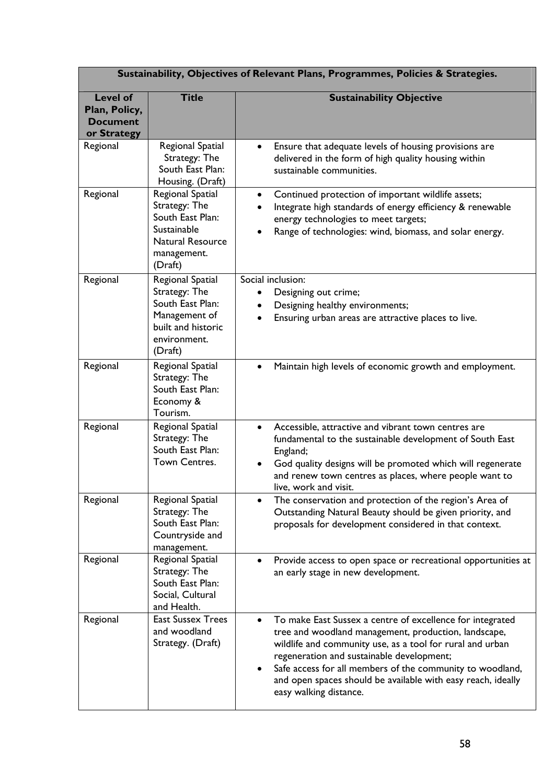| Sustainability, Objectives of Relevant Plans, Programmes, Policies & Strategies. |                                                                                                                           |                                                                                                                                                                                                                                                                                                                                                                                                              |  |  |
|----------------------------------------------------------------------------------|---------------------------------------------------------------------------------------------------------------------------|--------------------------------------------------------------------------------------------------------------------------------------------------------------------------------------------------------------------------------------------------------------------------------------------------------------------------------------------------------------------------------------------------------------|--|--|
| <b>Level of</b><br>Plan, Policy,<br><b>Document</b><br>or Strategy               | <b>Title</b>                                                                                                              | <b>Sustainability Objective</b>                                                                                                                                                                                                                                                                                                                                                                              |  |  |
| Regional                                                                         | Regional Spatial<br>Strategy: The<br>South East Plan:<br>Housing. (Draft)                                                 | Ensure that adequate levels of housing provisions are<br>$\bullet$<br>delivered in the form of high quality housing within<br>sustainable communities.                                                                                                                                                                                                                                                       |  |  |
| Regional                                                                         | Regional Spatial<br>Strategy: The<br>South East Plan:<br>Sustainable<br><b>Natural Resource</b><br>management.<br>(Draft) | Continued protection of important wildlife assets;<br>$\bullet$<br>Integrate high standards of energy efficiency & renewable<br>$\bullet$<br>energy technologies to meet targets;<br>Range of technologies: wind, biomass, and solar energy.                                                                                                                                                                 |  |  |
| Regional                                                                         | Regional Spatial<br>Strategy: The<br>South East Plan:<br>Management of<br>built and historic<br>environment.<br>(Draft)   | Social inclusion:<br>Designing out crime;<br>Designing healthy environments;<br>Ensuring urban areas are attractive places to live.                                                                                                                                                                                                                                                                          |  |  |
| Regional                                                                         | Regional Spatial<br>Strategy: The<br>South East Plan:<br>Economy &<br>Tourism.                                            | Maintain high levels of economic growth and employment.<br>$\bullet$                                                                                                                                                                                                                                                                                                                                         |  |  |
| Regional                                                                         | Regional Spatial<br>Strategy: The<br>South East Plan:<br>Town Centres.                                                    | Accessible, attractive and vibrant town centres are<br>$\bullet$<br>fundamental to the sustainable development of South East<br>England;<br>God quality designs will be promoted which will regenerate<br>and renew town centres as places, where people want to<br>live, work and visit.                                                                                                                    |  |  |
| Regional                                                                         | Regional Spatial<br>Strategy: The<br>South East Plan:<br>Countryside and<br>management.                                   | The conservation and protection of the region's Area of<br>Outstanding Natural Beauty should be given priority, and<br>proposals for development considered in that context.                                                                                                                                                                                                                                 |  |  |
| Regional                                                                         | Regional Spatial<br>Strategy: The<br>South East Plan:<br>Social, Cultural<br>and Health.                                  | Provide access to open space or recreational opportunities at<br>an early stage in new development.                                                                                                                                                                                                                                                                                                          |  |  |
| Regional                                                                         | <b>East Sussex Trees</b><br>and woodland<br>Strategy. (Draft)                                                             | To make East Sussex a centre of excellence for integrated<br>$\bullet$<br>tree and woodland management, production, landscape,<br>wildlife and community use, as a tool for rural and urban<br>regeneration and sustainable development;<br>Safe access for all members of the community to woodland,<br>$\bullet$<br>and open spaces should be available with easy reach, ideally<br>easy walking distance. |  |  |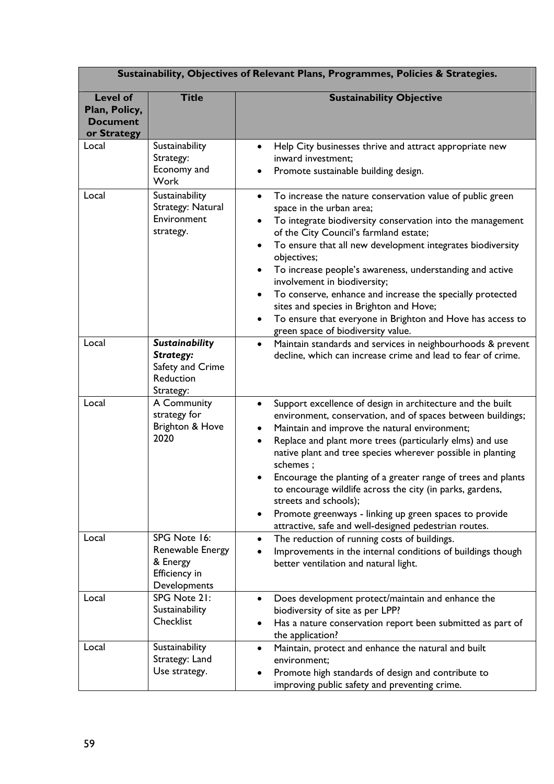| Sustainability, Objectives of Relevant Plans, Programmes, Policies & Strategies. |                                                                                  |                                                                                                                                                                                                                                                                                                                                                                                                                                                                                                                                                                                                                                             |  |  |
|----------------------------------------------------------------------------------|----------------------------------------------------------------------------------|---------------------------------------------------------------------------------------------------------------------------------------------------------------------------------------------------------------------------------------------------------------------------------------------------------------------------------------------------------------------------------------------------------------------------------------------------------------------------------------------------------------------------------------------------------------------------------------------------------------------------------------------|--|--|
| <b>Level of</b><br>Plan, Policy,<br><b>Document</b><br>or Strategy               | <b>Title</b>                                                                     | <b>Sustainability Objective</b>                                                                                                                                                                                                                                                                                                                                                                                                                                                                                                                                                                                                             |  |  |
| Local                                                                            | Sustainability<br>Strategy:<br>Economy and<br>Work                               | Help City businesses thrive and attract appropriate new<br>$\bullet$<br>inward investment;<br>Promote sustainable building design.                                                                                                                                                                                                                                                                                                                                                                                                                                                                                                          |  |  |
| Local                                                                            | Sustainability<br>Strategy: Natural<br>Environment<br>strategy.                  | To increase the nature conservation value of public green<br>$\bullet$<br>space in the urban area;<br>To integrate biodiversity conservation into the management<br>$\bullet$<br>of the City Council's farmland estate;<br>To ensure that all new development integrates biodiversity<br>objectives;<br>To increase people's awareness, understanding and active<br>٠<br>involvement in biodiversity;<br>To conserve, enhance and increase the specially protected<br>$\bullet$<br>sites and species in Brighton and Hove;<br>To ensure that everyone in Brighton and Hove has access to<br>$\bullet$<br>green space of biodiversity value. |  |  |
| Local                                                                            | <b>Sustainability</b><br>Strategy:<br>Safety and Crime<br>Reduction<br>Strategy: | Maintain standards and services in neighbourhoods & prevent<br>$\bullet$<br>decline, which can increase crime and lead to fear of crime.                                                                                                                                                                                                                                                                                                                                                                                                                                                                                                    |  |  |
| Local                                                                            | A Community<br>strategy for<br>Brighton & Hove<br>2020                           | Support excellence of design in architecture and the built<br>$\bullet$<br>environment, conservation, and of spaces between buildings;<br>Maintain and improve the natural environment;<br>$\bullet$<br>Replace and plant more trees (particularly elms) and use<br>$\bullet$<br>native plant and tree species wherever possible in planting<br>schemes;<br>Encourage the planting of a greater range of trees and plants<br>to encourage wildlife across the city (in parks, gardens,<br>streets and schools);<br>Promote greenways - linking up green spaces to provide<br>٠<br>attractive, safe and well-designed pedestrian routes.     |  |  |
| Local                                                                            | SPG Note 16:<br>Renewable Energy<br>& Energy<br>Efficiency in<br>Developments    | The reduction of running costs of buildings.<br>$\bullet$<br>Improvements in the internal conditions of buildings though<br>better ventilation and natural light.                                                                                                                                                                                                                                                                                                                                                                                                                                                                           |  |  |
| Local                                                                            | SPG Note 21:<br>Sustainability<br>Checklist                                      | Does development protect/maintain and enhance the<br>$\bullet$<br>biodiversity of site as per LPP?<br>Has a nature conservation report been submitted as part of<br>the application?                                                                                                                                                                                                                                                                                                                                                                                                                                                        |  |  |
| Local                                                                            | Sustainability<br>Strategy: Land<br>Use strategy.                                | Maintain, protect and enhance the natural and built<br>$\bullet$<br>environment;<br>Promote high standards of design and contribute to<br>improving public safety and preventing crime.                                                                                                                                                                                                                                                                                                                                                                                                                                                     |  |  |